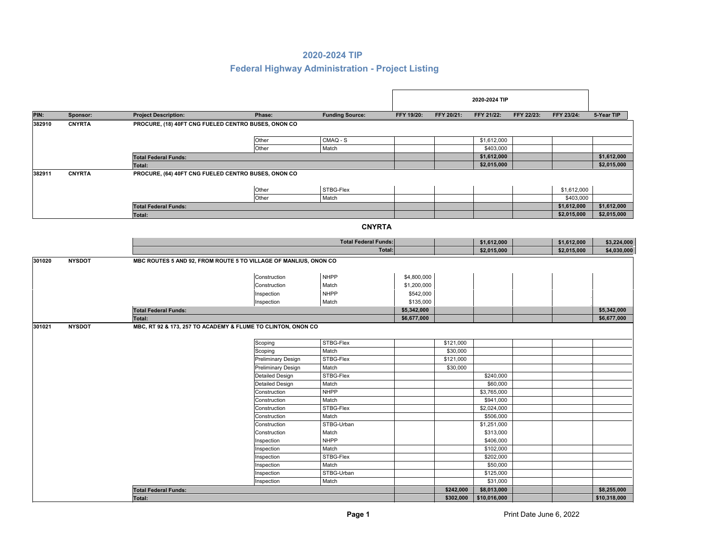|        |               |                                                     |                                                              |                             |                            |            | 2020-2024 TIP |            |             |              |
|--------|---------------|-----------------------------------------------------|--------------------------------------------------------------|-----------------------------|----------------------------|------------|---------------|------------|-------------|--------------|
| PIN:   | Sponsor:      | <b>Project Description:</b>                         | Phase:                                                       | <b>Funding Source:</b>      | FFY 19/20:                 | FFY 20/21: | FFY 21/22:    | FFY 22/23: | FFY 23/24:  | 5-Year TIP   |
| 382910 | <b>CNYRTA</b> | PROCURE, (18) 40FT CNG FUELED CENTRO BUSES, ONON CO |                                                              |                             |                            |            |               |            |             |              |
|        |               |                                                     |                                                              |                             |                            |            |               |            |             |              |
|        |               |                                                     | Other                                                        | CMAQ - S                    |                            |            | \$1,612,000   |            |             |              |
|        |               |                                                     | Other                                                        | Match                       |                            |            | \$403,000     |            |             |              |
|        |               | <b>Total Federal Funds:</b>                         |                                                              |                             |                            |            | \$1,612,000   |            |             | \$1,612,000  |
|        |               | Total:                                              |                                                              |                             |                            |            | \$2,015,000   |            |             | \$2,015,000  |
| 382911 | <b>CNYRTA</b> | PROCURE, (64) 40FT CNG FUELED CENTRO BUSES, ONON CO |                                                              |                             |                            |            |               |            |             |              |
|        |               |                                                     | Other                                                        | STBG-Flex                   |                            |            |               |            | \$1,612,000 |              |
|        |               |                                                     | Other                                                        | Match                       |                            |            |               |            | \$403,000   |              |
|        |               |                                                     |                                                              |                             |                            |            |               |            | \$1,612,000 | \$1,612,000  |
|        |               | <b>Total Federal Funds:</b><br>Total:               |                                                              |                             |                            |            |               |            | \$2,015,000 | \$2,015,000  |
|        |               |                                                     |                                                              |                             |                            |            |               |            |             |              |
|        |               |                                                     |                                                              | <b>CNYRTA</b>               |                            |            |               |            |             |              |
|        |               |                                                     |                                                              | <b>Total Federal Funds:</b> |                            |            | \$1,612,000   |            | \$1,612,000 | \$3,224,000  |
|        |               |                                                     |                                                              |                             | Total:                     |            | \$2,015,000   |            | \$2,015,000 | \$4,030,000  |
|        |               |                                                     | Construction<br>Construction                                 | <b>NHPP</b><br>Match        | \$4,800,000<br>\$1,200,000 |            |               |            |             |              |
|        |               |                                                     | Inspection                                                   | <b>NHPP</b>                 | \$542,000                  |            |               |            |             |              |
|        |               |                                                     | Inspection                                                   | Match                       | \$135,000                  |            |               |            |             |              |
|        |               | <b>Total Federal Funds:</b>                         |                                                              |                             | \$5,342,000                |            |               |            |             | \$5,342,000  |
|        |               | Total:                                              |                                                              |                             | \$6,677,000                |            |               |            |             | \$6,677,000  |
| 301021 | <b>NYSDOT</b> |                                                     | MBC, RT 92 & 173, 257 TO ACADEMY & FLUME TO CLINTON, ONON CO |                             |                            |            |               |            |             |              |
|        |               |                                                     | Scoping                                                      | STBG-Flex                   |                            | \$121,000  |               |            |             |              |
|        |               |                                                     | Scoping                                                      | Match                       |                            | \$30,000   |               |            |             |              |
|        |               |                                                     | <b>Preliminary Design</b>                                    | STBG-Flex                   |                            | \$121,000  |               |            |             |              |
|        |               |                                                     | <b>Preliminary Design</b>                                    | Match                       |                            | \$30,000   |               |            |             |              |
|        |               |                                                     | Detailed Design                                              | STBG-Flex                   |                            |            | \$240,000     |            |             |              |
|        |               |                                                     | Detailed Design                                              | Match                       |                            |            | \$60,000      |            |             |              |
|        |               |                                                     | Construction                                                 | <b>NHPP</b>                 |                            |            | \$3,765,000   |            |             |              |
|        |               |                                                     | Construction                                                 | Match                       |                            |            | \$941,000     |            |             |              |
|        |               |                                                     | Construction                                                 | STBG-Flex                   |                            |            | \$2,024,000   |            |             |              |
|        |               |                                                     | Construction                                                 | Match                       |                            |            | \$506,000     |            |             |              |
|        |               |                                                     | Construction                                                 | STBG-Urban                  |                            |            | \$1,251,000   |            |             |              |
|        |               |                                                     | Construction                                                 | Match                       |                            |            | \$313,000     |            |             |              |
|        |               |                                                     | Inspection                                                   | <b>NHPP</b>                 |                            |            | \$406,000     |            |             |              |
|        |               |                                                     | Inspection                                                   | Match                       |                            |            | \$102,000     |            |             |              |
|        |               |                                                     | Inspection                                                   | STBG-Flex                   |                            |            | \$202,000     |            |             |              |
|        |               |                                                     | Inspection                                                   | Match                       |                            |            | \$50,000      |            |             |              |
|        |               |                                                     | Inspection                                                   | STBG-Urban                  |                            |            | \$125,000     |            |             |              |
|        |               |                                                     | Inspection                                                   | Match                       |                            |            | \$31,000      |            |             |              |
|        |               | <b>Total Federal Funds:</b>                         |                                                              |                             |                            | \$242.000  | \$8,013,000   |            |             | \$8,255,000  |
|        |               | Total:                                              |                                                              |                             |                            | \$302,000  | \$10,016,000  |            |             | \$10,318,000 |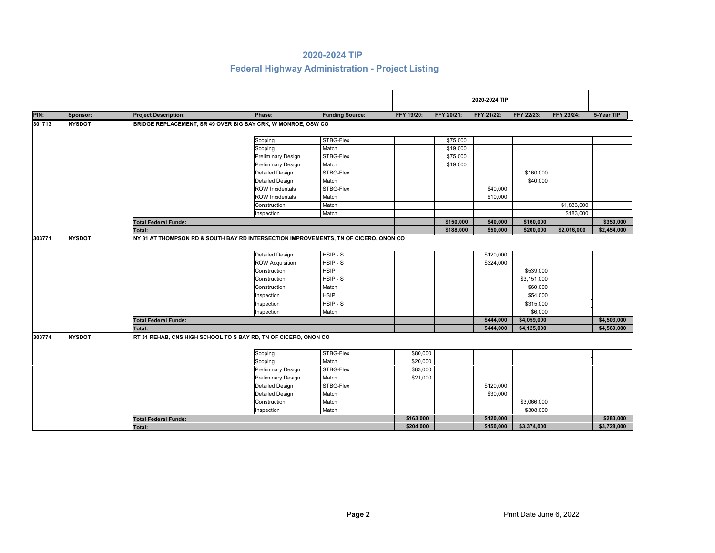|        |               |                             |                                                                                      |                        |            |            | 2020-2024 TIP |             |             |             |
|--------|---------------|-----------------------------|--------------------------------------------------------------------------------------|------------------------|------------|------------|---------------|-------------|-------------|-------------|
| PIN:   | Sponsor:      | <b>Project Description:</b> | Phase:                                                                               | <b>Funding Source:</b> | FFY 19/20: | FFY 20/21: | FFY 21/22:    | FFY 22/23:  | FFY 23/24:  | 5-Year TIP  |
| 301713 | <b>NYSDOT</b> |                             | BRIDGE REPLACEMENT, SR 49 OVER BIG BAY CRK, W MONROE, OSW CO                         |                        |            |            |               |             |             |             |
|        |               |                             | Scoping                                                                              | STBG-Flex              |            | \$75,000   |               |             |             |             |
|        |               |                             | Scoping                                                                              | Match                  |            | \$19,000   |               |             |             |             |
|        |               |                             | <b>Preliminary Design</b>                                                            | STBG-Flex              |            | \$75,000   |               |             |             |             |
|        |               |                             | <b>Preliminary Design</b>                                                            | Match                  |            | \$19,000   |               |             |             |             |
|        |               |                             | <b>Detailed Design</b>                                                               | STBG-Flex              |            |            |               | \$160,000   |             |             |
|        |               |                             | <b>Detailed Design</b>                                                               | Match                  |            |            |               | \$40,000    |             |             |
|        |               |                             | <b>ROW Incidentals</b>                                                               | STBG-Flex              |            |            | \$40,000      |             |             |             |
|        |               |                             | <b>ROW Incidentals</b>                                                               | Match                  |            |            | \$10,000      |             |             |             |
|        |               |                             | Construction                                                                         | Match                  |            |            |               |             | \$1,833,000 |             |
|        |               |                             | Inspection                                                                           | Match                  |            |            |               |             | \$183,000   |             |
|        |               | <b>Total Federal Funds:</b> |                                                                                      |                        |            | \$150,000  | \$40,000      | \$160,000   |             | \$350,000   |
|        |               | <b>Total:</b>               |                                                                                      |                        |            | \$188,000  | \$50,000      | \$200,000   | \$2,016,000 | \$2,454,000 |
| 303771 | <b>NYSDOT</b> |                             | NY 31 AT THOMPSON RD & SOUTH BAY RD INTERSECTION IMPROVEMENTS, TN OF CICERO, ONON CO |                        |            |            |               |             |             |             |
|        |               |                             | <b>Detailed Design</b>                                                               | HSIP-S                 |            |            | \$120,000     |             |             |             |
|        |               |                             | <b>ROW Acquisition</b>                                                               | HSIP-S                 |            |            | \$324,000     |             |             |             |
|        |               |                             | Construction                                                                         | <b>HSIP</b>            |            |            |               | \$539,000   |             |             |
|        |               |                             | Construction                                                                         | HSIP-S                 |            |            |               | \$3,151,000 |             |             |
|        |               |                             | Construction                                                                         | Match                  |            |            |               | \$60,000    |             |             |
|        |               |                             | Inspection                                                                           | <b>HSIP</b>            |            |            |               | \$54,000    |             |             |
|        |               |                             | Inspection                                                                           | HSIP-S                 |            |            |               | \$315,000   |             |             |
|        |               |                             | Inspection                                                                           | Match                  |            |            |               | \$6,000     |             |             |
|        |               | <b>Total Federal Funds:</b> |                                                                                      |                        |            |            | \$444,000     | \$4,059,000 |             | \$4,503,000 |
|        |               | Total:                      |                                                                                      |                        |            |            | \$444,000     | \$4,125,000 |             | \$4,569,000 |
| 303774 | <b>NYSDOT</b> |                             | RT 31 REHAB, CNS HIGH SCHOOL TO S BAY RD, TN OF CICERO, ONON CO                      |                        |            |            |               |             |             |             |
|        |               |                             | Scoping                                                                              | STBG-Flex              | \$80,000   |            |               |             |             |             |
|        |               |                             | Scoping                                                                              | Match                  | \$20,000   |            |               |             |             |             |
|        |               |                             | <b>Preliminary Design</b>                                                            | STBG-Flex              | \$83,000   |            |               |             |             |             |
|        |               |                             | Preliminary Design                                                                   | Match                  | \$21,000   |            |               |             |             |             |
|        |               |                             | <b>Detailed Design</b>                                                               | STBG-Flex              |            |            | \$120,000     |             |             |             |
|        |               |                             | <b>Detailed Design</b>                                                               | Match                  |            |            | \$30,000      |             |             |             |
|        |               |                             | Construction                                                                         | Match                  |            |            |               | \$3,066,000 |             |             |
|        |               |                             | Inspection                                                                           | Match                  |            |            |               | \$308,000   |             |             |
|        |               | <b>Total Federal Funds:</b> |                                                                                      |                        | \$163,000  |            | \$120,000     |             |             | \$283,000   |
|        |               | Total:                      |                                                                                      |                        | \$204,000  |            | \$150,000     | \$3,374,000 |             | \$3,728,000 |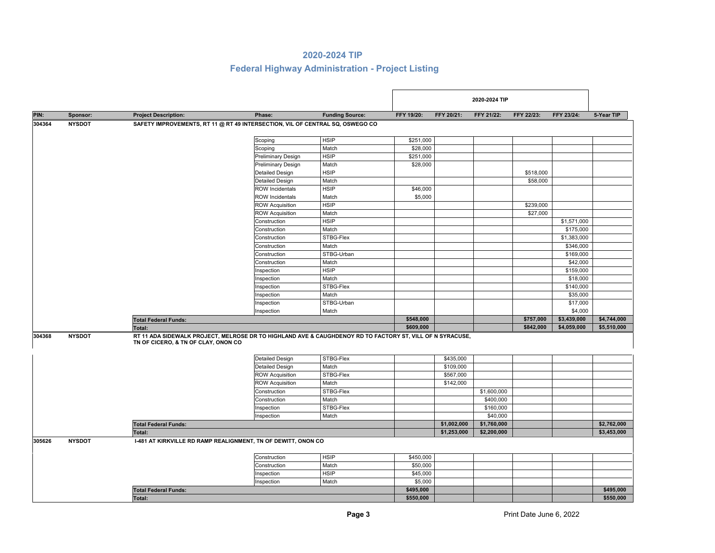|        |               |                                     |                                                                                                           |                        |            |             | 2020-2024 TIP |            |             |             |
|--------|---------------|-------------------------------------|-----------------------------------------------------------------------------------------------------------|------------------------|------------|-------------|---------------|------------|-------------|-------------|
| PIN:   | Sponsor:      | <b>Project Description:</b>         | Phase:                                                                                                    | <b>Funding Source:</b> | FFY 19/20: | FFY 20/21:  | FFY 21/22:    | FFY 22/23: | FFY 23/24:  | 5-Year TIP  |
| 304364 | <b>NYSDOT</b> |                                     | SAFETY IMPROVEMENTS, RT 11 @ RT 49 INTERSECTION, VIL OF CENTRAL SQ, OSWEGO CO                             |                        |            |             |               |            |             |             |
|        |               |                                     |                                                                                                           |                        |            |             |               |            |             |             |
|        |               |                                     | Scoping                                                                                                   | <b>HSIP</b>            | \$251,000  |             |               |            |             |             |
|        |               |                                     | Scoping                                                                                                   | Match                  | \$28,000   |             |               |            |             |             |
|        |               |                                     | <b>Preliminary Design</b>                                                                                 | <b>HSIP</b>            | \$251,000  |             |               |            |             |             |
|        |               |                                     | Preliminary Design                                                                                        | Match                  | \$28,000   |             |               |            |             |             |
|        |               |                                     | <b>Detailed Design</b>                                                                                    | <b>HSIP</b>            |            |             |               | \$518,000  |             |             |
|        |               |                                     | <b>Detailed Design</b>                                                                                    | Match                  |            |             |               | \$58,000   |             |             |
|        |               |                                     | <b>ROW Incidentals</b>                                                                                    | <b>HSIP</b>            | \$46,000   |             |               |            |             |             |
|        |               |                                     | <b>ROW Incidentals</b>                                                                                    | Match                  | \$5,000    |             |               |            |             |             |
|        |               |                                     | <b>ROW Acquisition</b>                                                                                    | <b>HSIP</b>            |            |             |               | \$239,000  |             |             |
|        |               |                                     | <b>ROW Acquisition</b>                                                                                    | Match                  |            |             |               | \$27,000   |             |             |
|        |               |                                     | Construction                                                                                              | <b>HSIP</b>            |            |             |               |            | \$1,571,000 |             |
|        |               |                                     | Construction                                                                                              | Match                  |            |             |               |            | \$175,000   |             |
|        |               |                                     | Construction                                                                                              | STBG-Flex              |            |             |               |            | \$1,383,000 |             |
|        |               |                                     | Construction                                                                                              | Match                  |            |             |               |            | \$346,000   |             |
|        |               |                                     | Construction                                                                                              | STBG-Urban             |            |             |               |            | \$169,000   |             |
|        |               |                                     | Construction                                                                                              | Match                  |            |             |               |            | \$42,000    |             |
|        |               |                                     | Inspection                                                                                                | <b>HSIP</b>            |            |             |               |            | \$159,000   |             |
|        |               |                                     | Inspection                                                                                                | Match                  |            |             |               |            | \$18,000    |             |
|        |               |                                     | Inspection                                                                                                | STBG-Flex              |            |             |               |            | \$140,000   |             |
|        |               |                                     | Inspection                                                                                                | Match                  |            |             |               |            | \$35,000    |             |
|        |               |                                     | Inspection                                                                                                | STBG-Urban             |            |             |               |            | \$17,000    |             |
|        |               |                                     | Inspection                                                                                                | Match                  |            |             |               |            | \$4,000     |             |
|        |               | <b>Total Federal Funds:</b>         |                                                                                                           |                        | \$548,000  |             |               | \$757,000  | \$3,439,000 | \$4,744,000 |
|        |               | Total:                              |                                                                                                           |                        | \$609,000  |             |               | \$842,000  | \$4,059,000 | \$5,510,000 |
| 304368 | <b>NYSDOT</b> | TN OF CICERO, & TN OF CLAY, ONON CO | RT 11 ADA SIDEWALK PROJECT, MELROSE DR TO HIGHLAND AVE & CAUGHDENOY RD TO FACTORY ST, VILL OF N SYRACUSE, |                        |            |             |               |            |             |             |
|        |               |                                     | <b>Detailed Design</b>                                                                                    | STBG-Flex              |            | \$435,000   |               |            |             |             |
|        |               |                                     | <b>Detailed Design</b>                                                                                    | Match                  |            | \$109,000   |               |            |             |             |
|        |               |                                     | <b>ROW Acquisition</b>                                                                                    | STBG-Flex              |            | \$567,000   |               |            |             |             |
|        |               |                                     | <b>ROW Acquisition</b>                                                                                    | Match                  |            | \$142,000   |               |            |             |             |
|        |               |                                     | Construction                                                                                              | STBG-Flex              |            |             | \$1,600,000   |            |             |             |
|        |               |                                     | Construction                                                                                              | Match                  |            |             | \$400,000     |            |             |             |
|        |               |                                     | Inspection                                                                                                | STBG-Flex              |            |             | \$160,000     |            |             |             |
|        |               |                                     | Inspection                                                                                                | Match                  |            |             | \$40,000      |            |             |             |
|        |               | <b>Total Federal Funds:</b>         |                                                                                                           |                        |            | \$1,002,000 | \$1,760,000   |            |             | \$2,762,000 |
|        |               | <b>Total:</b>                       |                                                                                                           |                        |            | \$1,253,000 | \$2,200,000   |            |             | \$3,453,000 |
| 305626 | <b>NYSDOT</b> |                                     | 1-481 AT KIRKVILLE RD RAMP REALIGNMENT, TN OF DEWITT, ONON CO                                             |                        |            |             |               |            |             |             |
|        |               |                                     | Construction                                                                                              | <b>HSIP</b>            | \$450,000  |             |               |            |             |             |
|        |               |                                     |                                                                                                           |                        |            |             |               |            |             |             |
|        |               |                                     | Construction                                                                                              | Match                  | \$50,000   |             |               |            |             |             |
|        |               |                                     | Inspection                                                                                                | <b>HSIP</b>            | \$45,000   |             |               |            |             |             |
|        |               |                                     | Inspection                                                                                                | Match                  | \$5,000    |             |               |            |             |             |
|        |               | <b>Total Federal Funds:</b>         |                                                                                                           |                        | \$495,000  |             |               |            |             | \$495.000   |
|        |               | Total:                              |                                                                                                           |                        | \$550,000  |             |               |            |             | \$550,000   |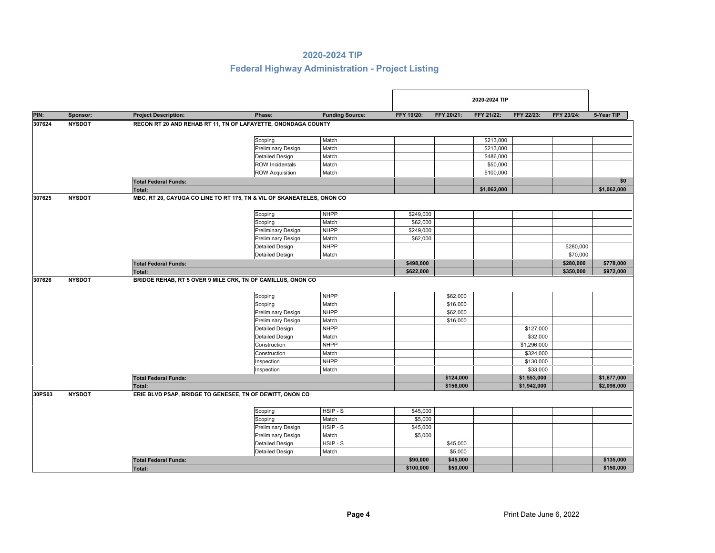|        |               |                             |                                                                                   |                        |                     |                      | 2020-2024 TIP |                            |            |             |
|--------|---------------|-----------------------------|-----------------------------------------------------------------------------------|------------------------|---------------------|----------------------|---------------|----------------------------|------------|-------------|
| PIN:   | Sponsor:      | <b>Project Description:</b> | Phase:                                                                            | <b>Funding Source:</b> | FFY 19/20:          | FFY 20/21:           | FFY 21/22:    | FFY 22/23:                 | FFY 23/24: | 5-Year TIP  |
| 307624 | <b>NYSDOT</b> |                             | RECON RT 20 AND REHAB RT 11, TN OF LAFAYETTE, ONONDAGA COUNTY                     |                        |                     |                      |               |                            |            |             |
|        |               |                             | Scoping                                                                           | Match                  |                     |                      | \$213,000     |                            |            |             |
|        |               |                             | <b>Preliminary Design</b>                                                         | Match                  |                     |                      | \$213,000     |                            |            |             |
|        |               |                             | <b>Detailed Design</b>                                                            | Match                  |                     |                      | \$486,000     |                            |            |             |
|        |               |                             | <b>ROW Incidentals</b>                                                            | Match                  |                     |                      | \$50,000      |                            |            |             |
|        |               |                             | <b>ROW Acquisition</b>                                                            | Match                  |                     |                      | \$100,000     |                            |            |             |
|        |               | <b>Total Federal Funds:</b> |                                                                                   |                        |                     |                      |               |                            |            | \$0         |
|        |               | <b>Total:</b>               |                                                                                   |                        |                     |                      | \$1,062,000   |                            |            | \$1,062,000 |
| 307625 | <b>NYSDOT</b> |                             | MBC, RT 20, CAYUGA CO LINE TO RT 175, TN & VIL OF SKANEATELES, ONON CO            |                        |                     |                      |               |                            |            |             |
|        |               |                             | Scoping                                                                           | <b>NHPP</b>            | \$249,000           |                      |               |                            |            |             |
|        |               |                             | Scoping                                                                           | Match                  | \$62,000            |                      |               |                            |            |             |
|        |               |                             | <b>Preliminary Design</b>                                                         | <b>NHPP</b>            | \$249,000           |                      |               |                            |            |             |
|        |               |                             | <b>Preliminary Design</b>                                                         | Match                  | \$62,000            |                      |               |                            |            |             |
|        |               |                             | <b>Detailed Design</b>                                                            | <b>NHPP</b>            |                     |                      |               |                            | \$280,000  |             |
|        |               |                             | <b>Detailed Design</b>                                                            | Match                  |                     |                      |               |                            | \$70,000   |             |
|        |               | <b>Total Federal Funds:</b> |                                                                                   |                        | \$498,000           |                      |               |                            | \$280,000  | \$778,000   |
|        |               | <b>Total:</b>               |                                                                                   |                        | \$622,000           |                      |               |                            | \$350,000  | \$972,000   |
| 307626 | <b>NYSDOT</b> |                             | BRIDGE REHAB, RT 5 OVER 9 MILE CRK, TN OF CAMILLUS, ONON CO<br>Scoping<br>Scoping | <b>NHPP</b><br>Match   |                     | \$62,000<br>\$16,000 |               |                            |            |             |
|        |               |                             | <b>Preliminary Design</b>                                                         | <b>NHPP</b>            |                     | \$62,000             |               |                            |            |             |
|        |               |                             | <b>Preliminary Design</b>                                                         | Match                  |                     | \$16,000             |               |                            |            |             |
|        |               |                             | <b>Detailed Design</b>                                                            | <b>NHPP</b>            |                     |                      |               | \$127,000                  |            |             |
|        |               |                             | <b>Detailed Design</b>                                                            | Match                  |                     |                      |               | \$32,000                   |            |             |
|        |               |                             | Construction                                                                      | <b>NHPP</b>            |                     |                      |               | \$1,296,000                |            |             |
|        |               |                             | Construction                                                                      | Match                  |                     |                      |               | \$324,000                  |            |             |
|        |               |                             | Inspection                                                                        | <b>NHPP</b>            |                     |                      |               | \$130,000                  |            |             |
|        |               |                             | Inspection                                                                        | Match                  |                     | \$124,000            |               | \$33,000                   |            | \$1,677,000 |
|        |               | <b>Total Federal Funds:</b> |                                                                                   |                        |                     | \$156,000            |               | \$1,553,000<br>\$1,942,000 |            | \$2,098,000 |
| 30PS03 | <b>NYSDOT</b> | <b>Total:</b>               | ERIE BLVD PSAP, BRIDGE TO GENESEE, TN OF DEWITT, ONON CO                          |                        |                     |                      |               |                            |            |             |
|        |               |                             |                                                                                   |                        |                     |                      |               |                            |            |             |
|        |               |                             | Scoping                                                                           | HSIP-S<br>Match        | \$45,000<br>\$5,000 |                      |               |                            |            |             |
|        |               |                             | Scoping<br><b>Preliminary Design</b>                                              | HSIP-S                 | \$45,000            |                      |               |                            |            |             |
|        |               |                             | <b>Preliminary Design</b>                                                         | Match                  | \$5,000             |                      |               |                            |            |             |
|        |               |                             | <b>Detailed Design</b>                                                            | HSIP - S               |                     | \$45,000             |               |                            |            |             |
|        |               |                             | <b>Detailed Design</b>                                                            | Match                  |                     | \$5,000              |               |                            |            |             |
|        |               |                             |                                                                                   |                        | \$90,000            | \$45,000             |               |                            |            | \$135,000   |
|        |               | <b>Total Federal Funds:</b> |                                                                                   |                        | \$100,000           | \$50,000             |               |                            |            | \$150,000   |
|        |               | Total:                      |                                                                                   |                        |                     |                      |               |                            |            |             |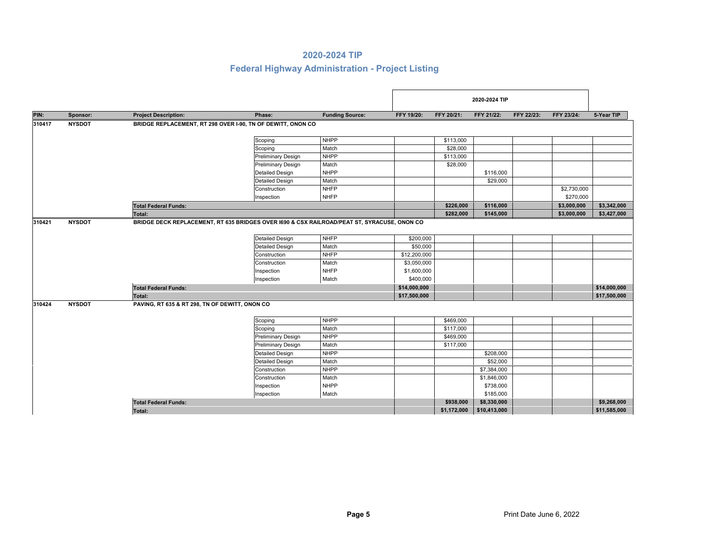|        |               |                                                |                                                                                             |                        |              |             | 2020-2024 TIP |                   |             |              |
|--------|---------------|------------------------------------------------|---------------------------------------------------------------------------------------------|------------------------|--------------|-------------|---------------|-------------------|-------------|--------------|
| PIN:   | Sponsor:      | <b>Project Description:</b>                    | Phase:                                                                                      | <b>Funding Source:</b> | FFY 19/20:   | FFY 20/21:  | FFY 21/22:    | <b>FFY 22/23:</b> | FFY 23/24:  | 5-Year TIP   |
| 310417 | <b>NYSDOT</b> |                                                | BRIDGE REPLACEMENT, RT 298 OVER 1-90, TN OF DEWITT, ONON CO                                 |                        |              |             |               |                   |             |              |
|        |               |                                                | Scoping                                                                                     | <b>NHPP</b>            |              | \$113,000   |               |                   |             |              |
|        |               |                                                | Scoping                                                                                     | Match                  |              | \$28,000    |               |                   |             |              |
|        |               |                                                | <b>Preliminary Design</b>                                                                   | <b>NHPP</b>            |              | \$113,000   |               |                   |             |              |
|        |               |                                                | Preliminary Design                                                                          | Match                  |              | \$28,000    |               |                   |             |              |
|        |               |                                                | <b>Detailed Design</b>                                                                      | <b>NHPP</b>            |              |             | \$116,000     |                   |             |              |
|        |               |                                                | <b>Detailed Design</b>                                                                      | Match                  |              |             | \$29,000      |                   |             |              |
|        |               |                                                | Construction                                                                                | <b>NHFP</b>            |              |             |               |                   | \$2,730,000 |              |
|        |               |                                                | Inspection                                                                                  | <b>NHFP</b>            |              |             |               |                   | \$270,000   |              |
|        |               | <b>Total Federal Funds:</b>                    |                                                                                             |                        |              | \$226,000   | \$116,000     |                   | \$3,000,000 | \$3,342,000  |
|        |               | Total:                                         |                                                                                             |                        |              | \$282,000   | \$145,000     |                   | \$3,000,000 | \$3,427,000  |
| 310421 | <b>NYSDOT</b> |                                                | BRIDGE DECK REPLACEMENT, RT 635 BRIDGES OVER 1690 & CSX RAILROAD/PEAT ST, SYRACUSE, ONON CO |                        |              |             |               |                   |             |              |
|        |               |                                                | <b>Detailed Design</b>                                                                      | <b>NHFP</b>            | \$200,000    |             |               |                   |             |              |
|        |               |                                                | <b>Detailed Design</b>                                                                      | Match                  | \$50,000     |             |               |                   |             |              |
|        |               |                                                | Construction                                                                                | <b>NHFP</b>            |              |             |               |                   |             |              |
|        |               |                                                |                                                                                             |                        | \$12,200,000 |             |               |                   |             |              |
|        |               |                                                | Construction                                                                                | Match                  | \$3,050,000  |             |               |                   |             |              |
|        |               |                                                | Inspection                                                                                  | <b>NHFP</b>            | \$1,600,000  |             |               |                   |             |              |
|        |               |                                                | Inspection                                                                                  | Match                  | \$400,000    |             |               |                   |             |              |
|        |               | <b>Total Federal Funds:</b>                    |                                                                                             |                        | \$14,000,000 |             |               |                   |             | \$14,000,000 |
|        |               | Total:                                         |                                                                                             |                        | \$17,500,000 |             |               |                   |             | \$17,500,000 |
| 310424 | <b>NYSDOT</b> | PAVING, RT 635 & RT 298, TN OF DEWITT, ONON CO |                                                                                             |                        |              |             |               |                   |             |              |
|        |               |                                                | Scoping                                                                                     | <b>NHPP</b>            |              | \$469,000   |               |                   |             |              |
|        |               |                                                | Scoping                                                                                     | Match                  |              | \$117,000   |               |                   |             |              |
|        |               |                                                | Preliminary Design                                                                          | <b>NHPP</b>            |              | \$469,000   |               |                   |             |              |
|        |               |                                                | <b>Preliminary Design</b>                                                                   | Match                  |              | \$117,000   |               |                   |             |              |
|        |               |                                                | Detailed Design                                                                             | <b>NHPP</b>            |              |             | \$208,000     |                   |             |              |
|        |               |                                                | <b>Detailed Design</b>                                                                      | Match                  |              |             | \$52,000      |                   |             |              |
|        |               |                                                | Construction                                                                                | <b>NHPP</b>            |              |             | \$7,384,000   |                   |             |              |
|        |               |                                                | Construction                                                                                | Match                  |              |             | \$1,846,000   |                   |             |              |
|        |               |                                                | Inspection                                                                                  | <b>NHPP</b>            |              |             | \$738,000     |                   |             |              |
|        |               |                                                | Inspection                                                                                  | Match                  |              |             | \$185,000     |                   |             |              |
|        |               | <b>Total Federal Funds:</b>                    |                                                                                             |                        |              | \$938,000   | \$8,330,000   |                   |             | \$9,268,000  |
|        |               | Total:                                         |                                                                                             |                        |              | \$1,172,000 | \$10,413,000  |                   |             | \$11,585,000 |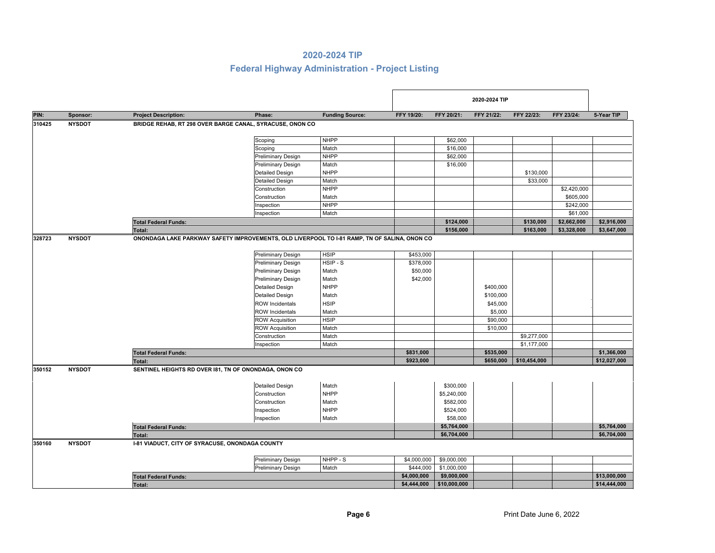|        |               |                                                        |                                                                                              |                        |             |              | 2020-2024 TIP |              |             |              |
|--------|---------------|--------------------------------------------------------|----------------------------------------------------------------------------------------------|------------------------|-------------|--------------|---------------|--------------|-------------|--------------|
| PIN:   | Sponsor:      | <b>Project Description:</b>                            | Phase:                                                                                       | <b>Funding Source:</b> | FFY 19/20:  | FFY 20/21:   | FFY 21/22:    | FFY 22/23:   | FFY 23/24:  | 5-Year TIP   |
| 310425 | <b>NYSDOT</b> |                                                        | BRIDGE REHAB, RT 298 OVER BARGE CANAL, SYRACUSE, ONON CO                                     |                        |             |              |               |              |             |              |
|        |               |                                                        | Scoping                                                                                      | <b>NHPP</b>            |             | \$62,000     |               |              |             |              |
|        |               |                                                        | Scoping                                                                                      | Match                  |             | \$16,000     |               |              |             |              |
|        |               |                                                        | <b>Preliminary Design</b>                                                                    | <b>NHPP</b>            |             | \$62,000     |               |              |             |              |
|        |               |                                                        | <b>Preliminary Design</b>                                                                    | Match                  |             | \$16,000     |               |              |             |              |
|        |               |                                                        | <b>Detailed Design</b>                                                                       | <b>NHPP</b>            |             |              |               | \$130,000    |             |              |
|        |               |                                                        | <b>Detailed Design</b>                                                                       | Match                  |             |              |               | \$33,000     |             |              |
|        |               |                                                        | Construction                                                                                 | <b>NHPP</b>            |             |              |               |              | \$2,420,000 |              |
|        |               |                                                        | Construction                                                                                 | Match                  |             |              |               |              | \$605,000   |              |
|        |               |                                                        | Inspection                                                                                   | <b>NHPP</b>            |             |              |               |              | \$242,000   |              |
|        |               |                                                        | Inspection                                                                                   | Match                  |             |              |               |              | \$61,000    |              |
|        |               | <b>Total Federal Funds:</b>                            |                                                                                              |                        |             | \$124,000    |               | \$130,000    | \$2,662,000 | \$2,916,000  |
|        |               | <b>Total:</b>                                          |                                                                                              |                        |             | \$156,000    |               | \$163,000    | \$3,328,000 | \$3,647,000  |
| 328723 | <b>NYSDOT</b> |                                                        | ONONDAGA LAKE PARKWAY SAFETY IMPROVEMENTS, OLD LIVERPOOL TO I-81 RAMP, TN OF SALINA, ONON CO |                        |             |              |               |              |             |              |
|        |               |                                                        | <b>Preliminary Design</b>                                                                    | <b>HSIP</b>            | \$453,000   |              |               |              |             |              |
|        |               |                                                        | <b>Preliminary Design</b>                                                                    | HSIP-S                 | \$378,000   |              |               |              |             |              |
|        |               |                                                        | <b>Preliminary Design</b>                                                                    | Match                  | \$50,000    |              |               |              |             |              |
|        |               |                                                        | <b>Preliminary Design</b>                                                                    | Match                  | \$42,000    |              |               |              |             |              |
|        |               |                                                        | <b>Detailed Design</b>                                                                       | <b>NHPP</b>            |             |              | \$400,000     |              |             |              |
|        |               |                                                        | <b>Detailed Design</b>                                                                       | Match                  |             |              | \$100,000     |              |             |              |
|        |               |                                                        | <b>ROW Incidentals</b>                                                                       | <b>HSIP</b>            |             |              | \$45,000      |              |             |              |
|        |               |                                                        | <b>ROW Incidentals</b>                                                                       | Match                  |             |              | \$5,000       |              |             |              |
|        |               |                                                        | <b>ROW Acquisition</b>                                                                       | <b>HSIP</b>            |             |              | \$90,000      |              |             |              |
|        |               |                                                        | <b>ROW Acquisition</b>                                                                       | Match                  |             |              | \$10,000      |              |             |              |
|        |               |                                                        | Construction                                                                                 | Match                  |             |              |               | \$9,277,000  |             |              |
|        |               |                                                        | Inspection                                                                                   | Match                  |             |              |               | \$1,177,000  |             |              |
|        |               | <b>Total Federal Funds:</b>                            |                                                                                              |                        | \$831,000   |              | \$535,000     |              |             | \$1,366,000  |
|        |               | Total:                                                 |                                                                                              |                        | \$923,000   |              | \$650,000     | \$10,454,000 |             | \$12,027,000 |
| 350152 | <b>NYSDOT</b> | SENTINEL HEIGHTS RD OVER 181, TN OF ONONDAGA, ONON CO  |                                                                                              |                        |             |              |               |              |             |              |
|        |               |                                                        | <b>Detailed Design</b>                                                                       | Match                  |             | \$300,000    |               |              |             |              |
|        |               |                                                        | Construction                                                                                 | <b>NHPP</b>            |             | \$5,240,000  |               |              |             |              |
|        |               |                                                        | Construction                                                                                 | Match                  |             | \$582,000    |               |              |             |              |
|        |               |                                                        | Inspection                                                                                   | <b>NHPP</b>            |             | \$524,000    |               |              |             |              |
|        |               |                                                        | Inspection                                                                                   | Match                  |             | \$58,000     |               |              |             |              |
|        |               | <b>Total Federal Funds:</b>                            |                                                                                              |                        |             | \$5,764,000  |               |              |             | \$5,764,000  |
|        |               | <b>Total:</b>                                          |                                                                                              |                        |             | \$6,704,000  |               |              |             | \$6,704,000  |
| 350160 | <b>NYSDOT</b> | <b>1-81 VIADUCT, CITY OF SYRACUSE, ONONDAGA COUNTY</b> |                                                                                              |                        |             |              |               |              |             |              |
|        |               |                                                        |                                                                                              |                        |             |              |               |              |             |              |
|        |               |                                                        | <b>Preliminary Design</b>                                                                    | NHPP - S               | \$4,000,000 | \$9,000,000  |               |              |             |              |
|        |               |                                                        | <b>Preliminary Design</b>                                                                    | Match                  | \$444,000   | \$1,000,000  |               |              |             |              |
|        |               | <b>Total Federal Funds:</b>                            |                                                                                              |                        | \$4,000,000 | \$9,000,000  |               |              |             | \$13,000,000 |
|        |               | <b>Total:</b>                                          |                                                                                              |                        | \$4,444,000 | \$10,000,000 |               |              |             | \$14,444,000 |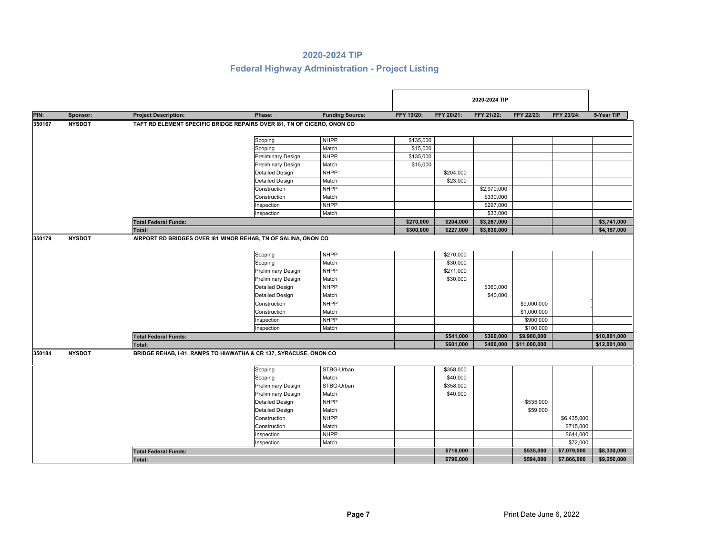|        |               |                             |                                                                         |                        |            |            | 2020-2024 TIP |              |             |              |
|--------|---------------|-----------------------------|-------------------------------------------------------------------------|------------------------|------------|------------|---------------|--------------|-------------|--------------|
| PIN:   | Sponsor:      | <b>Project Description:</b> | Phase:                                                                  | <b>Funding Source:</b> | FFY 19/20: | FFY 20/21: | FFY 21/22:    | FFY 22/23:   | FFY 23/24:  | 5-Year TIP   |
| 350167 | <b>NYSDOT</b> |                             | TAFT RD ELEMENT SPECIFIC BRIDGE REPAIRS OVER 181, TN OF CICERO, ONON CO |                        |            |            |               |              |             |              |
|        |               |                             |                                                                         |                        |            |            |               |              |             |              |
|        |               |                             | Scoping                                                                 | <b>NHPP</b>            | \$135,000  |            |               |              |             |              |
|        |               |                             | Scoping                                                                 | Match                  | \$15,000   |            |               |              |             |              |
|        |               |                             | Preliminary Design                                                      | <b>NHPP</b>            | \$135,000  |            |               |              |             |              |
|        |               |                             | Preliminary Design                                                      | Match                  | \$15,000   |            |               |              |             |              |
|        |               |                             | <b>Detailed Design</b>                                                  | <b>NHPP</b>            |            | \$204,000  |               |              |             |              |
|        |               |                             | <b>Detailed Design</b>                                                  | Match                  |            | \$23,000   |               |              |             |              |
|        |               |                             | Construction                                                            | <b>NHPP</b>            |            |            | \$2,970,000   |              |             |              |
|        |               |                             | Construction                                                            | Match                  |            |            | \$330,000     |              |             |              |
|        |               |                             | Inspection                                                              | <b>NHPP</b>            |            |            | \$297,000     |              |             |              |
|        |               |                             | Inspection                                                              | Match                  |            |            | \$33,000      |              |             |              |
|        |               | <b>Total Federal Funds:</b> |                                                                         |                        | \$270,000  | \$204,000  | \$3,267,000   |              |             | \$3,741,000  |
|        |               | Total:                      |                                                                         |                        | \$300,000  | \$227,000  | \$3,630,000   |              |             | \$4,157,000  |
| 350179 | <b>NYSDOT</b> |                             | AIRPORT RD BRIDGES OVER 181 MINOR REHAB, TN OF SALINA, ONON CO          |                        |            |            |               |              |             |              |
|        |               |                             | Scoping                                                                 | <b>NHPP</b>            |            | \$270,000  |               |              |             |              |
|        |               |                             | Scoping                                                                 | Match                  |            | \$30,000   |               |              |             |              |
|        |               |                             | <b>Preliminary Design</b>                                               | <b>NHPP</b>            |            | \$271,000  |               |              |             |              |
|        |               |                             | <b>Preliminary Design</b>                                               | Match                  |            | \$30,000   |               |              |             |              |
|        |               |                             | <b>Detailed Design</b>                                                  | <b>NHPP</b>            |            |            | \$360,000     |              |             |              |
|        |               |                             | <b>Detailed Design</b>                                                  | Match                  |            |            | \$40,000      |              |             |              |
|        |               |                             | Construction                                                            | <b>NHPP</b>            |            |            |               | \$9,000,000  |             |              |
|        |               |                             | Construction                                                            | Match                  |            |            |               | \$1,000,000  |             |              |
|        |               |                             | Inspection                                                              | <b>NHPP</b>            |            |            |               | \$900,000    |             |              |
|        |               |                             | Inspection                                                              | Match                  |            |            |               | \$100,000    |             |              |
|        |               | <b>Total Federal Funds:</b> |                                                                         |                        |            | \$541,000  | \$360,000     | \$9,900,000  |             | \$10,801,000 |
|        |               | Total:                      |                                                                         |                        |            | \$601,000  | \$400,000     | \$11,000,000 |             | \$12,001,000 |
| 350184 | <b>NYSDOT</b> |                             | BRIDGE REHAB, I-81, RAMPS TO HIAWATHA & CR 137, SYRACUSE, ONON CO       |                        |            |            |               |              |             |              |
|        |               |                             |                                                                         |                        |            |            |               |              |             |              |
|        |               |                             | Scoping                                                                 | STBG-Urban             |            | \$358,000  |               |              |             |              |
|        |               |                             | Scoping                                                                 | Match                  |            | \$40,000   |               |              |             |              |
|        |               |                             | <b>Preliminary Design</b>                                               | STBG-Urban             |            | \$358,000  |               |              |             |              |
|        |               |                             | Preliminary Design                                                      | Match                  |            | \$40,000   |               |              |             |              |
|        |               |                             | <b>Detailed Design</b>                                                  | <b>NHPP</b>            |            |            |               | \$535,000    |             |              |
|        |               |                             | <b>Detailed Design</b>                                                  | Match                  |            |            |               | \$59,000     |             |              |
|        |               |                             | Construction                                                            | <b>NHPP</b>            |            |            |               |              | \$6,435,000 |              |
|        |               |                             | Construction                                                            | Match                  |            |            |               |              | \$715,000   |              |
|        |               |                             | Inspection                                                              | <b>NHPP</b>            |            |            |               |              | \$644,000   |              |
|        |               |                             | Inspection                                                              | Match                  |            |            |               |              | \$72,000    |              |
|        |               | <b>Total Federal Funds:</b> |                                                                         |                        |            | \$716,000  |               | \$535,000    | \$7,079,000 | \$8,330,000  |
|        |               | Total:                      |                                                                         |                        |            | \$796,000  |               | \$594,000    | \$7,866,000 | \$9,256,000  |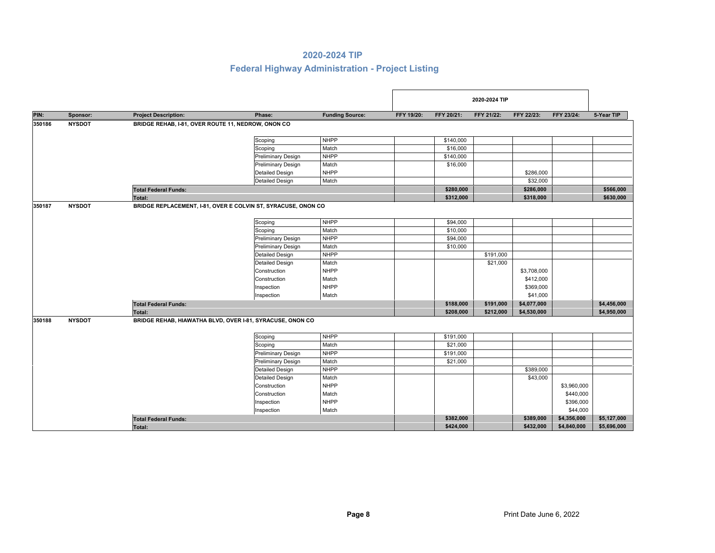|        |               |                                                    |                                                               |                        |            |            | 2020-2024 TIP |             |             |             |
|--------|---------------|----------------------------------------------------|---------------------------------------------------------------|------------------------|------------|------------|---------------|-------------|-------------|-------------|
| PIN:   | Sponsor:      | <b>Project Description:</b>                        | Phase:                                                        | <b>Funding Source:</b> | FFY 19/20: | FFY 20/21: | FFY 21/22:    | FFY 22/23:  | FFY 23/24:  | 5-Year TIP  |
| 350186 | <b>NYSDOT</b> | BRIDGE REHAB, I-81, OVER ROUTE 11, NEDROW, ONON CO |                                                               |                        |            |            |               |             |             |             |
|        |               |                                                    | Scoping                                                       | <b>NHPP</b>            |            | \$140,000  |               |             |             |             |
|        |               |                                                    | Scoping                                                       | Match                  |            | \$16,000   |               |             |             |             |
|        |               |                                                    | <b>Preliminary Design</b>                                     | <b>NHPP</b>            |            | \$140,000  |               |             |             |             |
|        |               |                                                    | <b>Preliminary Design</b>                                     | Match                  |            | \$16,000   |               |             |             |             |
|        |               |                                                    | <b>Detailed Design</b>                                        | <b>NHPP</b>            |            |            |               | \$286,000   |             |             |
|        |               |                                                    | <b>Detailed Design</b>                                        | Match                  |            |            |               | \$32,000    |             |             |
|        |               | <b>Total Federal Funds:</b>                        |                                                               |                        |            | \$280,000  |               | \$286,000   |             | \$566,000   |
|        |               | Total:                                             |                                                               |                        |            | \$312,000  |               | \$318,000   |             | \$630,000   |
| 350187 | <b>NYSDOT</b> |                                                    | BRIDGE REPLACEMENT, I-81, OVER E COLVIN ST, SYRACUSE, ONON CO |                        |            |            |               |             |             |             |
|        |               |                                                    | Scoping                                                       | <b>NHPP</b>            |            | \$94,000   |               |             |             |             |
|        |               |                                                    | Scoping                                                       | Match                  |            | \$10,000   |               |             |             |             |
|        |               |                                                    | <b>Preliminary Design</b>                                     | <b>NHPP</b>            |            | \$94,000   |               |             |             |             |
|        |               |                                                    | <b>Preliminary Design</b>                                     | Match                  |            | \$10,000   |               |             |             |             |
|        |               |                                                    | <b>Detailed Design</b>                                        | <b>NHPP</b>            |            |            | \$191,000     |             |             |             |
|        |               |                                                    | <b>Detailed Design</b>                                        | Match                  |            |            | \$21,000      |             |             |             |
|        |               |                                                    | Construction                                                  | <b>NHPP</b>            |            |            |               | \$3,708,000 |             |             |
|        |               |                                                    | Construction                                                  | Match                  |            |            |               | \$412,000   |             |             |
|        |               |                                                    | Inspection                                                    | <b>NHPP</b>            |            |            |               | \$369,000   |             |             |
|        |               |                                                    | Inspection                                                    | Match                  |            |            |               | \$41,000    |             |             |
|        |               | <b>Total Federal Funds:</b>                        |                                                               |                        |            | \$188,000  | \$191,000     | \$4,077,000 |             | \$4,456,000 |
|        |               | <b>Total:</b>                                      |                                                               |                        |            | \$208,000  | \$212,000     | \$4,530,000 |             | \$4,950,000 |
| 350188 | <b>NYSDOT</b> |                                                    | BRIDGE REHAB, HIAWATHA BLVD, OVER I-81, SYRACUSE, ONON CO     |                        |            |            |               |             |             |             |
|        |               |                                                    | Scoping                                                       | <b>NHPP</b>            |            | \$191,000  |               |             |             |             |
|        |               |                                                    | Scoping                                                       | Match                  |            | \$21,000   |               |             |             |             |
|        |               |                                                    | <b>Preliminary Design</b>                                     | <b>NHPP</b>            |            | \$191,000  |               |             |             |             |
|        |               |                                                    | <b>Preliminary Design</b>                                     | Match                  |            | \$21,000   |               |             |             |             |
|        |               |                                                    | <b>Detailed Design</b>                                        | <b>NHPP</b>            |            |            |               | \$389,000   |             |             |
|        |               |                                                    | <b>Detailed Design</b>                                        | Match                  |            |            |               | \$43,000    |             |             |
|        |               |                                                    | Construction                                                  | <b>NHPP</b>            |            |            |               |             | \$3,960,000 |             |
|        |               |                                                    | Construction                                                  | Match                  |            |            |               |             | \$440,000   |             |
|        |               |                                                    | Inspection                                                    | <b>NHPP</b>            |            |            |               |             | \$396,000   |             |
|        |               |                                                    | Inspection                                                    | Match                  |            |            |               |             | \$44,000    |             |
|        |               | <b>Total Federal Funds:</b>                        |                                                               |                        |            | \$382,000  |               | \$389,000   | \$4,356,000 | \$5,127,000 |
|        |               | <b>Total:</b>                                      |                                                               |                        |            | \$424,000  |               | \$432,000   | \$4,840,000 | \$5,696,000 |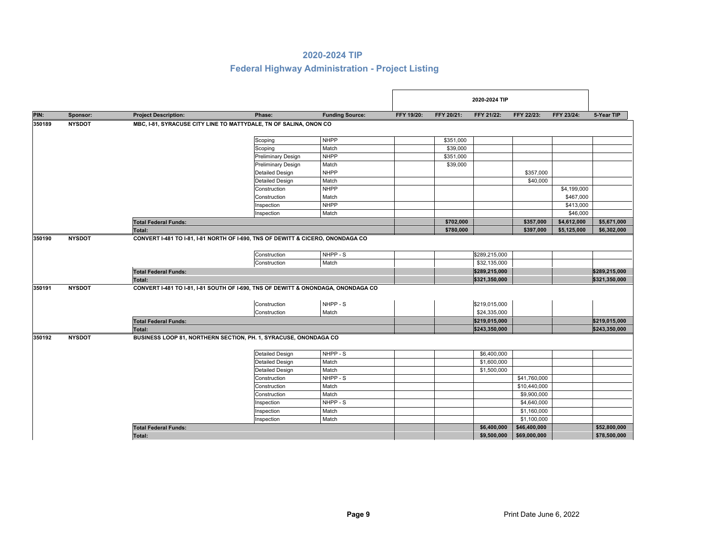|        |               |                             |                                                                                   |                        |            |            | 2020-2024 TIP                 |              |             |               |
|--------|---------------|-----------------------------|-----------------------------------------------------------------------------------|------------------------|------------|------------|-------------------------------|--------------|-------------|---------------|
| PIN:   | Sponsor:      | <b>Project Description:</b> | Phase:                                                                            | <b>Funding Source:</b> | FFY 19/20: | FFY 20/21: | FFY 21/22:                    | FFY 22/23:   | FFY 23/24:  | 5-Year TIP    |
| 350189 | <b>NYSDOT</b> |                             | MBC, I-81, SYRACUSE CITY LINE TO MATTYDALE, TN OF SALINA, ONON CO                 |                        |            |            |                               |              |             |               |
|        |               |                             | Scoping                                                                           | <b>NHPP</b>            |            | \$351,000  |                               |              |             |               |
|        |               |                             | Scoping                                                                           | Match                  |            | \$39,000   |                               |              |             |               |
|        |               |                             | <b>Preliminary Design</b>                                                         | <b>NHPP</b>            |            | \$351,000  |                               |              |             |               |
|        |               |                             | <b>Preliminary Design</b>                                                         | Match                  |            | \$39,000   |                               |              |             |               |
|        |               |                             | <b>Detailed Design</b>                                                            | <b>NHPP</b>            |            |            |                               | \$357,000    |             |               |
|        |               |                             | <b>Detailed Design</b>                                                            | Match                  |            |            |                               | \$40,000     |             |               |
|        |               |                             | Construction                                                                      | <b>NHPP</b>            |            |            |                               |              | \$4,199,000 |               |
|        |               |                             | Construction                                                                      | Match                  |            |            |                               |              | \$467,000   |               |
|        |               |                             | Inspection                                                                        | <b>NHPP</b>            |            |            |                               |              | \$413,000   |               |
|        |               |                             | Inspection                                                                        | Match                  |            |            |                               |              | \$46,000    |               |
|        |               | <b>Total Federal Funds:</b> |                                                                                   |                        |            | \$702,000  |                               | \$357,000    | \$4,612,000 | \$5,671,000   |
|        |               | Total:                      |                                                                                   |                        |            | \$780,000  |                               | \$397,000    | \$5,125,000 | \$6,302,000   |
|        |               |                             | Construction<br>Construction                                                      | NHPP - S<br>Match      |            |            | \$289,215,000<br>\$32,135,000 |              |             |               |
|        |               | <b>Total Federal Funds:</b> |                                                                                   |                        |            |            | \$289,215,000                 |              |             | \$289.215.000 |
|        |               | <b>Total:</b>               |                                                                                   |                        |            |            | \$321,350,000                 |              |             | \$321,350,000 |
| 350191 | <b>NYSDOT</b> |                             | CONVERT I-481 TO I-81, I-81 SOUTH OF I-690, TNS OF DEWITT & ONONDAGA, ONONDAGA CO |                        |            |            |                               |              |             |               |
|        |               |                             | Construction                                                                      | NHPP - S               |            |            | \$219,015,000                 |              |             |               |
|        |               |                             | Construction                                                                      | Match                  |            |            | \$24,335,000                  |              |             |               |
|        |               | <b>Total Federal Funds:</b> |                                                                                   |                        |            |            | \$219,015,000                 |              |             | \$219,015,000 |
|        |               | Total:                      |                                                                                   |                        |            |            | \$243,350,000                 |              |             | \$243,350,000 |
| 350192 | <b>NYSDOT</b> |                             | BUSINESS LOOP 81, NORTHERN SECTION, PH. 1, SYRACUSE, ONONDAGA CO                  |                        |            |            |                               |              |             |               |
|        |               |                             | <b>Detailed Design</b>                                                            | NHPP - S               |            |            | \$6,400,000                   |              |             |               |
|        |               |                             | <b>Detailed Design</b>                                                            | Match                  |            |            | \$1,600,000                   |              |             |               |
|        |               |                             | <b>Detailed Design</b>                                                            | Match                  |            |            | \$1,500,000                   |              |             |               |
|        |               |                             | Construction                                                                      | NHPP-S                 |            |            |                               | \$41,760,000 |             |               |
|        |               |                             | Construction                                                                      | Match                  |            |            |                               | \$10,440,000 |             |               |
|        |               |                             | Construction                                                                      | Match                  |            |            |                               | \$9,900,000  |             |               |
|        |               |                             | Inspection                                                                        | NHPP - S               |            |            |                               | \$4,640,000  |             |               |
|        |               |                             | Inspection                                                                        | Match                  |            |            |                               | \$1,160,000  |             |               |
|        |               |                             | Inspection                                                                        | Match                  |            |            |                               | \$1,100,000  |             |               |
|        |               | <b>Total Federal Funds:</b> |                                                                                   |                        |            |            | \$6,400,000                   | \$46,400,000 |             | \$52,800,000  |
|        |               | <b>Total:</b>               |                                                                                   |                        |            |            | \$9,500,000                   | \$69,000,000 |             | \$78,500,000  |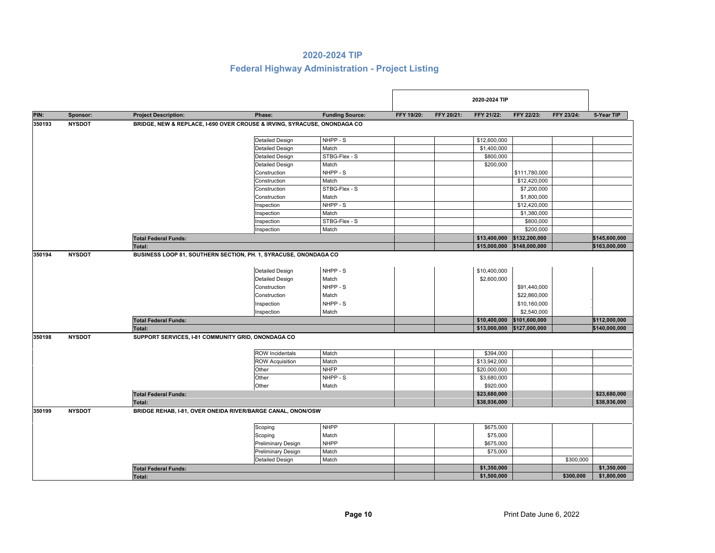|        |               |                                                                                             |                                                                                                                                                 |                                                                                  |            |            | 2020-2024 TIP                                                            |                                                                                                            |            |                                |
|--------|---------------|---------------------------------------------------------------------------------------------|-------------------------------------------------------------------------------------------------------------------------------------------------|----------------------------------------------------------------------------------|------------|------------|--------------------------------------------------------------------------|------------------------------------------------------------------------------------------------------------|------------|--------------------------------|
| PIN:   | Sponsor:      | <b>Project Description:</b>                                                                 | Phase:                                                                                                                                          | <b>Funding Source:</b>                                                           | FFY 19/20: | FFY 20/21: | FFY 21/22:                                                               | FFY 22/23:                                                                                                 | FFY 23/24: | 5-Year TIP                     |
| 350193 | <b>NYSDOT</b> |                                                                                             | BRIDGE, NEW & REPLACE, I-690 OVER CROUSE & IRVING, SYRACUSE, ONONDAGA CO                                                                        |                                                                                  |            |            |                                                                          |                                                                                                            |            |                                |
|        |               |                                                                                             | <b>Detailed Design</b>                                                                                                                          | NHPP - S                                                                         |            |            | \$12,600,000                                                             |                                                                                                            |            |                                |
|        |               |                                                                                             | <b>Detailed Design</b>                                                                                                                          | Match                                                                            |            |            | \$1,400,000                                                              |                                                                                                            |            |                                |
|        |               |                                                                                             | <b>Detailed Design</b>                                                                                                                          | STBG-Flex - S                                                                    |            |            | \$800,000                                                                |                                                                                                            |            |                                |
|        |               |                                                                                             | <b>Detailed Design</b>                                                                                                                          | Match                                                                            |            |            | \$200,000                                                                |                                                                                                            |            |                                |
|        |               |                                                                                             | Construction                                                                                                                                    | NHPP - S                                                                         |            |            |                                                                          | \$111,780,000                                                                                              |            |                                |
|        |               |                                                                                             | Construction                                                                                                                                    | Match                                                                            |            |            |                                                                          | \$12,420,000                                                                                               |            |                                |
|        |               |                                                                                             | Construction                                                                                                                                    | STBG-Flex - S                                                                    |            |            |                                                                          | \$7,200,000                                                                                                |            |                                |
|        |               |                                                                                             | Construction                                                                                                                                    | Match                                                                            |            |            |                                                                          | \$1,800,000                                                                                                |            |                                |
|        |               |                                                                                             | Inspection                                                                                                                                      | NHPP - S                                                                         |            |            |                                                                          | \$12,420,000                                                                                               |            |                                |
|        |               |                                                                                             | Inspection                                                                                                                                      | Match                                                                            |            |            |                                                                          | \$1,380,000                                                                                                |            |                                |
|        |               |                                                                                             | Inspection                                                                                                                                      | STBG-Flex - S                                                                    |            |            |                                                                          | \$800,000                                                                                                  |            |                                |
|        |               |                                                                                             | Inspection                                                                                                                                      | Match                                                                            |            |            |                                                                          | \$200,000                                                                                                  |            |                                |
|        |               | <b>Total Federal Funds:</b>                                                                 |                                                                                                                                                 |                                                                                  |            |            | \$13,400,000                                                             | \$132,200,000                                                                                              |            | \$145,600,000                  |
|        |               | Total:                                                                                      |                                                                                                                                                 |                                                                                  |            |            | \$15,000,000                                                             | \$148,000,000                                                                                              |            | \$163,000,000                  |
| 350198 | <b>NYSDOT</b> | <b>Total Federal Funds:</b><br>Total:<br>SUPPORT SERVICES, I-81 COMMUNITY GRID, ONONDAGA CO | <b>Detailed Design</b><br>Construction<br>Construction<br>Inspection<br>Inspection<br><b>ROW Incidentals</b><br><b>ROW Acquisition</b><br>Other | Match<br>NHPP - S<br>Match<br>NHPP - S<br>Match<br>Match<br>Match<br><b>NHFP</b> |            |            | \$2,600,000<br>\$10,400,000<br>\$394,000<br>\$13,942,000<br>\$20,000,000 | \$91,440,000<br>\$22,860,000<br>\$10,160,000<br>\$2,540,000<br>\$101,600,000<br>\$13,000,000 \$127,000,000 |            | \$112,000,000<br>\$140,000,000 |
|        |               |                                                                                             | Other                                                                                                                                           | NHPP - S                                                                         |            |            | \$3,680,000                                                              |                                                                                                            |            |                                |
|        |               |                                                                                             | Other                                                                                                                                           | Match                                                                            |            |            | \$920,000                                                                |                                                                                                            |            |                                |
|        |               |                                                                                             |                                                                                                                                                 |                                                                                  |            |            | \$23,680,000                                                             |                                                                                                            |            | \$23,680,000                   |
|        |               | <b>Total Federal Funds:</b><br>Total:                                                       |                                                                                                                                                 |                                                                                  |            |            | \$38,936,000                                                             |                                                                                                            |            | \$38,936,000                   |
|        |               |                                                                                             |                                                                                                                                                 |                                                                                  |            |            |                                                                          |                                                                                                            |            |                                |
| 350199 | <b>NYSDOT</b> |                                                                                             | BRIDGE REHAB, I-81, OVER ONEIDA RIVER/BARGE CANAL, ONON/OSW                                                                                     |                                                                                  |            |            |                                                                          |                                                                                                            |            |                                |
|        |               |                                                                                             | Scoping                                                                                                                                         | <b>NHPP</b>                                                                      |            |            | \$675,000                                                                |                                                                                                            |            |                                |
|        |               |                                                                                             | Scoping                                                                                                                                         | Match                                                                            |            |            | \$75,000                                                                 |                                                                                                            |            |                                |
|        |               |                                                                                             | <b>Preliminary Design</b>                                                                                                                       | <b>NHPP</b>                                                                      |            |            | \$675,000                                                                |                                                                                                            |            |                                |
|        |               |                                                                                             | <b>Preliminary Design</b>                                                                                                                       | Match                                                                            |            |            | \$75,000                                                                 |                                                                                                            |            |                                |
|        |               |                                                                                             | <b>Detailed Design</b>                                                                                                                          | Match                                                                            |            |            |                                                                          |                                                                                                            | \$300,000  |                                |
|        |               | <b>Total Federal Funds:</b>                                                                 |                                                                                                                                                 |                                                                                  |            |            | \$1,350,000                                                              |                                                                                                            |            | \$1,350,000                    |
|        |               | Total:                                                                                      |                                                                                                                                                 |                                                                                  |            |            | \$1,500,000                                                              |                                                                                                            | \$300,000  | \$1,800,000                    |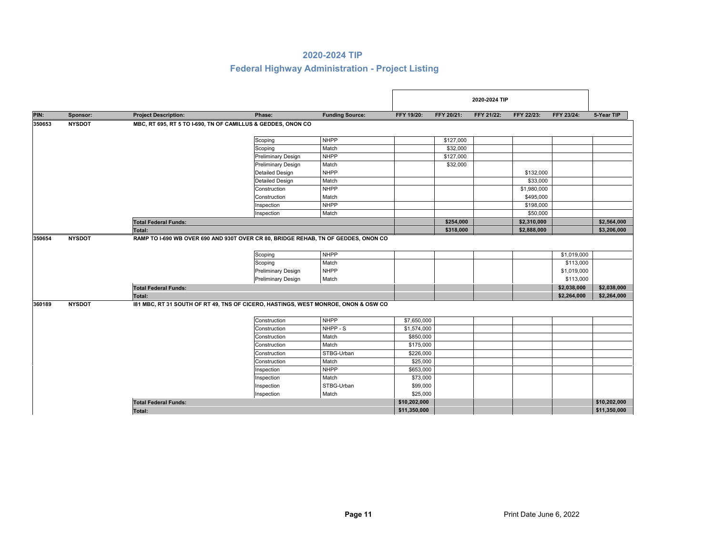|        |               |                             |                                                                                               |                        |              |            | 2020-2024 TIP |             |             |              |
|--------|---------------|-----------------------------|-----------------------------------------------------------------------------------------------|------------------------|--------------|------------|---------------|-------------|-------------|--------------|
| PIN:   | Sponsor:      | <b>Project Description:</b> | Phase:                                                                                        | <b>Funding Source:</b> | FFY 19/20:   | FFY 20/21: | FFY 21/22:    | FFY 22/23:  | FFY 23/24:  | 5-Year TIP   |
| 350653 | <b>NYSDOT</b> |                             | MBC, RT 695, RT 5 TO I-690, TN OF CAMILLUS & GEDDES, ONON CO                                  |                        |              |            |               |             |             |              |
|        |               |                             | Scoping                                                                                       | <b>NHPP</b>            |              | \$127,000  |               |             |             |              |
|        |               |                             | Scoping                                                                                       | Match                  |              | \$32,000   |               |             |             |              |
|        |               |                             | <b>Preliminary Design</b>                                                                     | <b>NHPP</b>            |              | \$127,000  |               |             |             |              |
|        |               |                             | <b>Preliminary Design</b>                                                                     | Match                  |              | \$32,000   |               |             |             |              |
|        |               |                             | <b>Detailed Design</b>                                                                        | <b>NHPP</b>            |              |            |               | \$132,000   |             |              |
|        |               |                             | <b>Detailed Design</b>                                                                        | Match                  |              |            |               | \$33,000    |             |              |
|        |               |                             | Construction                                                                                  | <b>NHPP</b>            |              |            |               | \$1,980,000 |             |              |
|        |               |                             | Construction                                                                                  | Match                  |              |            |               | \$495,000   |             |              |
|        |               |                             | Inspection                                                                                    | <b>NHPP</b>            |              |            |               | \$198,000   |             |              |
|        |               |                             | Inspection                                                                                    | Match                  |              |            |               | \$50,000    |             |              |
|        |               | <b>Total Federal Funds:</b> |                                                                                               |                        |              | \$254,000  |               | \$2,310,000 |             | \$2,564,000  |
|        |               | <b>Total:</b>               |                                                                                               |                        |              | \$318,000  |               | \$2,888,000 |             | \$3,206,000  |
| 350654 | <b>NYSDOT</b> |                             | RAMP TO I-690 WB OVER 690 AND 930T OVER CR 80, BRIDGE REHAB, TN OF GEDDES, ONON CO<br>Scoping | <b>NHPP</b>            |              |            |               |             | \$1,019,000 |              |
|        |               |                             | Scoping                                                                                       | Match                  |              |            |               |             | \$113,000   |              |
|        |               |                             | Preliminary Design                                                                            | <b>NHPP</b>            |              |            |               |             | \$1,019,000 |              |
|        |               |                             | <b>Preliminary Design</b>                                                                     | Match                  |              |            |               |             | \$113,000   |              |
|        |               | <b>Total Federal Funds:</b> |                                                                                               |                        |              |            |               |             | \$2,038,000 | \$2,038,000  |
|        |               | <b>Total:</b>               |                                                                                               |                        |              |            |               |             | \$2,264,000 | \$2,264,000  |
| 360189 | <b>NYSDOT</b> |                             | 181 MBC, RT 31 SOUTH OF RT 49, TNS OF CICERO, HASTINGS, WEST MONROE, ONON & OSW CO            |                        |              |            |               |             |             |              |
|        |               |                             | Construction                                                                                  | <b>NHPP</b>            | \$7,650,000  |            |               |             |             |              |
|        |               |                             | Construction                                                                                  | NHPP - S               | \$1,574,000  |            |               |             |             |              |
|        |               |                             | Construction                                                                                  | Match                  | \$850,000    |            |               |             |             |              |
|        |               |                             | Construction                                                                                  | Match                  | \$175,000    |            |               |             |             |              |
|        |               |                             | Construction                                                                                  | STBG-Urban             | \$226,000    |            |               |             |             |              |
|        |               |                             | Construction                                                                                  | Match                  | \$25,000     |            |               |             |             |              |
|        |               |                             | Inspection                                                                                    | <b>NHPP</b>            | \$653,000    |            |               |             |             |              |
|        |               |                             | Inspection                                                                                    | Match                  | \$73,000     |            |               |             |             |              |
|        |               |                             | Inspection                                                                                    | STBG-Urban             | \$99,000     |            |               |             |             |              |
|        |               |                             | Inspection                                                                                    | Match                  | \$25,000     |            |               |             |             |              |
|        |               | <b>Total Federal Funds:</b> |                                                                                               |                        | \$10,202,000 |            |               |             |             | \$10,202,000 |
|        |               | Total:                      |                                                                                               |                        | \$11,350,000 |            |               |             |             | \$11,350,000 |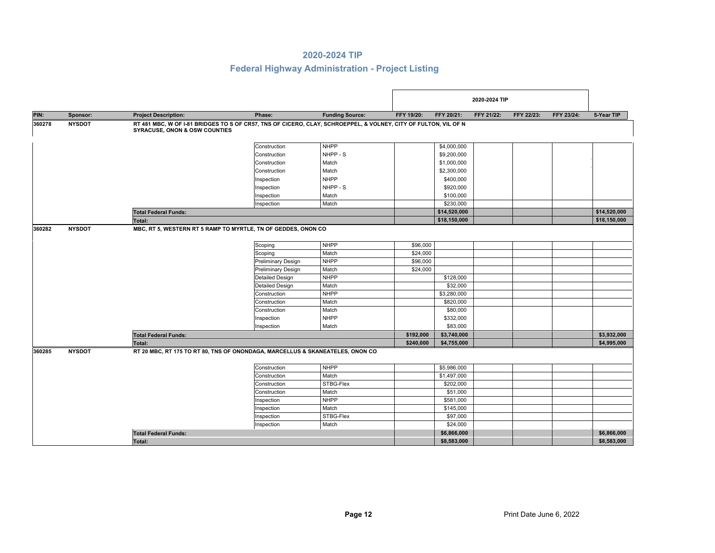|        |               |                                          |                                                                                                                 |                        |            |              | 2020-2024 TIP |            |            |              |
|--------|---------------|------------------------------------------|-----------------------------------------------------------------------------------------------------------------|------------------------|------------|--------------|---------------|------------|------------|--------------|
| PIN:   | Sponsor:      | <b>Project Description:</b>              | Phase:                                                                                                          | <b>Funding Source:</b> | FFY 19/20: | FFY 20/21:   | FFY 21/22:    | FFY 22/23: | FFY 23/24: | 5-Year TIP   |
| 360278 | <b>NYSDOT</b> | <b>SYRACUSE, ONON &amp; OSW COUNTIES</b> | RT 481 MBC, W OF I-81 BRIDGES TO S OF CR57, TNS OF CICERO, CLAY, SCHROEPPEL, & VOLNEY, CITY OF FULTON, VIL OF N |                        |            |              |               |            |            |              |
|        |               |                                          | Construction                                                                                                    | <b>NHPP</b>            |            | \$4,000,000  |               |            |            |              |
|        |               |                                          | Construction                                                                                                    | NHPP - S               |            | \$9,200,000  |               |            |            |              |
|        |               |                                          | Construction                                                                                                    | Match                  |            | \$1,000,000  |               |            |            |              |
|        |               |                                          | Construction                                                                                                    | Match                  |            | \$2,300,000  |               |            |            |              |
|        |               |                                          | Inspection                                                                                                      | <b>NHPP</b>            |            | \$400,000    |               |            |            |              |
|        |               |                                          | Inspection                                                                                                      | NHPP - S               |            | \$920,000    |               |            |            |              |
|        |               |                                          | Inspection                                                                                                      | Match                  |            | \$100,000    |               |            |            |              |
|        |               |                                          | Inspection                                                                                                      | Match                  |            | \$230,000    |               |            |            |              |
|        |               | <b>Total Federal Funds:</b>              |                                                                                                                 |                        |            | \$14,520,000 |               |            |            | \$14,520,000 |
|        |               | Total:                                   |                                                                                                                 |                        |            | \$18,150,000 |               |            |            | \$18,150,000 |
| 360282 | <b>NYSDOT</b> |                                          | MBC, RT 5, WESTERN RT 5 RAMP TO MYRTLE, TN OF GEDDES, ONON CO                                                   |                        |            |              |               |            |            |              |
|        |               |                                          | Scoping                                                                                                         | <b>NHPP</b>            | \$96,000   |              |               |            |            |              |
|        |               |                                          | Scoping                                                                                                         | Match                  | \$24,000   |              |               |            |            |              |
|        |               |                                          | <b>Preliminary Design</b>                                                                                       | <b>NHPP</b>            | \$96,000   |              |               |            |            |              |
|        |               |                                          | <b>Preliminary Design</b>                                                                                       | Match                  | \$24,000   |              |               |            |            |              |
|        |               |                                          | <b>Detailed Design</b>                                                                                          | <b>NHPP</b>            |            | \$128,000    |               |            |            |              |
|        |               |                                          | <b>Detailed Design</b>                                                                                          | Match                  |            | \$32,000     |               |            |            |              |
|        |               |                                          | Construction                                                                                                    | <b>NHPP</b>            |            | \$3,280,000  |               |            |            |              |
|        |               |                                          | Construction                                                                                                    | Match                  |            | \$820,000    |               |            |            |              |
|        |               |                                          | Construction                                                                                                    | Match                  |            | \$80,000     |               |            |            |              |
|        |               |                                          | Inspection                                                                                                      | <b>NHPP</b>            |            | \$332,000    |               |            |            |              |
|        |               |                                          | Inspection                                                                                                      | Match                  |            | \$83,000     |               |            |            |              |
|        |               | <b>Total Federal Funds:</b>              |                                                                                                                 |                        | \$192,000  | \$3,740,000  |               |            |            | \$3,932,000  |
|        |               | <b>Total:</b>                            |                                                                                                                 |                        | \$240,000  | \$4,755,000  |               |            |            | \$4,995,000  |
| 360285 | <b>NYSDOT</b> |                                          | RT 20 MBC, RT 175 TO RT 80, TNS OF ONONDAGA, MARCELLUS & SKANEATELES, ONON CO                                   |                        |            |              |               |            |            |              |
|        |               |                                          | Construction                                                                                                    | <b>NHPP</b>            |            | \$5,986,000  |               |            |            |              |
|        |               |                                          | Construction                                                                                                    | Match                  |            | \$1,497,000  |               |            |            |              |
|        |               |                                          | Construction                                                                                                    | STBG-Flex              |            | \$202,000    |               |            |            |              |
|        |               |                                          | Construction                                                                                                    | Match                  |            | \$51,000     |               |            |            |              |
|        |               |                                          | Inspection                                                                                                      | <b>NHPP</b>            |            | \$581,000    |               |            |            |              |
|        |               |                                          | Inspection                                                                                                      | Match                  |            | \$145,000    |               |            |            |              |
|        |               |                                          | Inspection                                                                                                      | STBG-Flex              |            | \$97,000     |               |            |            |              |
|        |               |                                          | Inspection                                                                                                      | Match                  |            | \$24,000     |               |            |            |              |
|        |               | <b>Total Federal Funds:</b>              |                                                                                                                 |                        |            | \$6,866,000  |               |            |            | \$6,866,000  |
|        |               | <b>Total:</b>                            |                                                                                                                 |                        |            | \$8,583,000  |               |            |            | \$8,583,000  |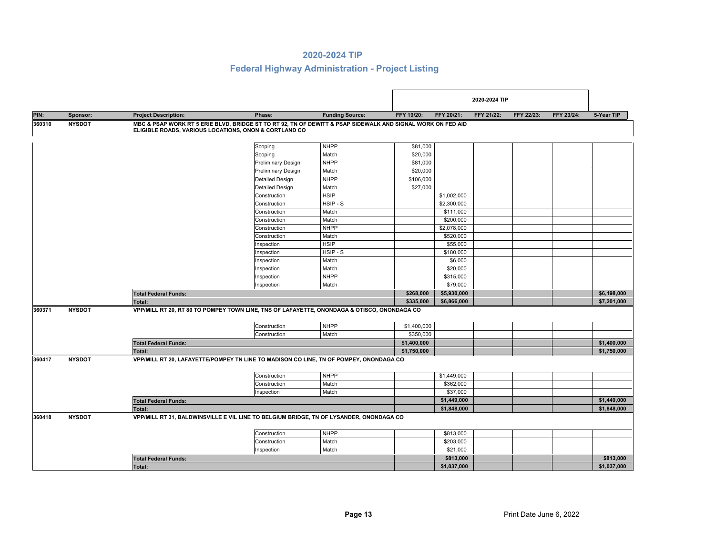|        |               |                                                       |                                                                                                             |                        |                        |                            | 2020-2024 TIP |            |            |                            |
|--------|---------------|-------------------------------------------------------|-------------------------------------------------------------------------------------------------------------|------------------------|------------------------|----------------------------|---------------|------------|------------|----------------------------|
| PIN:   | Sponsor:      | <b>Project Description:</b>                           | Phase:                                                                                                      | <b>Funding Source:</b> | FFY 19/20:             | FFY 20/21:                 | FFY 21/22:    | FFY 22/23: | FFY 23/24: | 5-Year TIP                 |
| 360310 | <b>NYSDOT</b> | ELIGIBLE ROADS, VARIOUS LOCATIONS, ONON & CORTLAND CO | MBC & PSAP WORK RT 5 ERIE BLVD, BRIDGE ST TO RT 92, TN OF DEWITT & PSAP SIDEWALK AND SIGNAL WORK ON FED AID |                        |                        |                            |               |            |            |                            |
|        |               |                                                       | Scoping                                                                                                     | <b>NHPP</b>            | \$81,000               |                            |               |            |            |                            |
|        |               |                                                       | Scoping                                                                                                     | Match                  | \$20,000               |                            |               |            |            |                            |
|        |               |                                                       | <b>Preliminary Design</b>                                                                                   | <b>NHPP</b>            | \$81,000               |                            |               |            |            |                            |
|        |               |                                                       | Preliminary Design                                                                                          | Match                  | \$20,000               |                            |               |            |            |                            |
|        |               |                                                       | <b>Detailed Design</b>                                                                                      | <b>NHPP</b>            | \$106,000              |                            |               |            |            |                            |
|        |               |                                                       | <b>Detailed Design</b>                                                                                      | Match                  | \$27,000               |                            |               |            |            |                            |
|        |               |                                                       | Construction                                                                                                | <b>HSIP</b>            |                        | \$1,002,000                |               |            |            |                            |
|        |               |                                                       | Construction                                                                                                | HSIP-S                 |                        | \$2,300,000                |               |            |            |                            |
|        |               |                                                       | Construction                                                                                                | Match                  |                        | \$111,000                  |               |            |            |                            |
|        |               |                                                       | Construction                                                                                                | Match                  |                        | \$200,000                  |               |            |            |                            |
|        |               |                                                       | Construction                                                                                                | <b>NHPP</b>            |                        | \$2,078,000                |               |            |            |                            |
|        |               |                                                       | Construction                                                                                                | Match                  |                        | \$520,000                  |               |            |            |                            |
|        |               |                                                       | Inspection                                                                                                  | <b>HSIP</b>            |                        | \$55,000                   |               |            |            |                            |
|        |               |                                                       | Inspection                                                                                                  | HSIP-S                 |                        | \$180,000                  |               |            |            |                            |
|        |               |                                                       | Inspection                                                                                                  | Match                  |                        | \$6,000                    |               |            |            |                            |
|        |               |                                                       | Inspection                                                                                                  | Match                  |                        | \$20,000                   |               |            |            |                            |
|        |               |                                                       | Inspection                                                                                                  | <b>NHPP</b>            |                        | \$315,000                  |               |            |            |                            |
|        |               |                                                       | Inspection                                                                                                  | Match                  |                        | \$79,000                   |               |            |            |                            |
|        |               |                                                       |                                                                                                             |                        |                        |                            |               |            |            |                            |
|        |               | <b>Total Federal Funds:</b>                           |                                                                                                             |                        | \$268,000<br>\$335,000 | \$5,930,000<br>\$6,866,000 |               |            |            | \$6,198,000<br>\$7,201,000 |
| 360371 | <b>NYSDOT</b> | <b>Total:</b>                                         | VPP/MILL RT 20, RT 80 TO POMPEY TOWN LINE, TNS OF LAFAYETTE, ONONDAGA & OTISCO, ONONDAGA CO                 |                        |                        |                            |               |            |            |                            |
|        |               |                                                       | Construction                                                                                                | <b>NHPP</b>            | \$1,400,000            |                            |               |            |            |                            |
|        |               |                                                       | Construction                                                                                                | Match                  | \$350,000              |                            |               |            |            |                            |
|        |               | <b>Total Federal Funds:</b>                           |                                                                                                             |                        | \$1,400,000            |                            |               |            |            | \$1,400,000                |
|        |               | Total:                                                |                                                                                                             |                        | \$1,750,000            |                            |               |            |            | \$1,750,000                |
| 360417 | <b>NYSDOT</b> |                                                       | VPP/MILL RT 20, LAFAYETTE/POMPEY TN LINE TO MADISON CO LINE, TN OF POMPEY, ONONDAGA CO                      |                        |                        |                            |               |            |            |                            |
|        |               |                                                       | Construction                                                                                                | <b>NHPP</b>            |                        | \$1,449,000                |               |            |            |                            |
|        |               |                                                       | Construction                                                                                                | Match                  |                        | \$362,000                  |               |            |            |                            |
|        |               |                                                       | Inspection                                                                                                  | Match                  |                        | \$37,000                   |               |            |            |                            |
|        |               | <b>Total Federal Funds:</b>                           |                                                                                                             |                        |                        | \$1,449,000                |               |            |            | \$1,449,000                |
|        |               | Total:                                                |                                                                                                             |                        |                        | \$1,848,000                |               |            |            | \$1,848,000                |
| 360418 | <b>NYSDOT</b> |                                                       | VPP/MILL RT 31, BALDWINSVILLE E VIL LINE TO BELGIUM BRIDGE, TN OF LYSANDER, ONONDAGA CO                     |                        |                        |                            |               |            |            |                            |
|        |               |                                                       | Construction                                                                                                | <b>NHPP</b>            |                        | \$813,000                  |               |            |            |                            |
|        |               |                                                       | Construction                                                                                                | Match                  |                        | \$203,000                  |               |            |            |                            |
|        |               |                                                       | Inspection                                                                                                  | Match                  |                        | \$21,000                   |               |            |            |                            |
|        |               | <b>Total Federal Funds:</b>                           |                                                                                                             |                        |                        | \$813,000                  |               |            |            | \$813,000                  |
|        |               |                                                       |                                                                                                             |                        |                        | \$1,037,000                |               |            |            | \$1,037,000                |
|        |               | <b>Total:</b>                                         |                                                                                                             |                        |                        |                            |               |            |            |                            |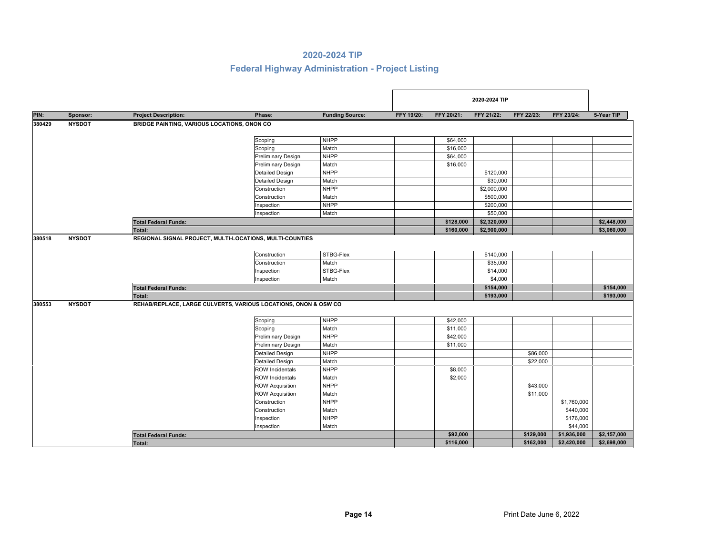|        |               |                                                                 |                           |                        |            |            | 2020-2024 TIP |            |             |             |
|--------|---------------|-----------------------------------------------------------------|---------------------------|------------------------|------------|------------|---------------|------------|-------------|-------------|
| PIN:   | Sponsor:      | <b>Project Description:</b>                                     | Phase:                    | <b>Funding Source:</b> | FFY 19/20: | FFY 20/21: | FFY 21/22:    | FFY 22/23: | FFY 23/24:  | 5-Year TIP  |
| 380429 | <b>NYSDOT</b> | BRIDGE PAINTING, VARIOUS LOCATIONS, ONON CO                     |                           |                        |            |            |               |            |             |             |
|        |               |                                                                 | Scoping                   | <b>NHPP</b>            |            | \$64,000   |               |            |             |             |
|        |               |                                                                 | Scoping                   | Match                  |            | \$16,000   |               |            |             |             |
|        |               |                                                                 | <b>Preliminary Design</b> | <b>NHPP</b>            |            | \$64,000   |               |            |             |             |
|        |               |                                                                 | <b>Preliminary Design</b> | Match                  |            | \$16,000   |               |            |             |             |
|        |               |                                                                 | <b>Detailed Design</b>    | <b>NHPP</b>            |            |            | \$120,000     |            |             |             |
|        |               |                                                                 | <b>Detailed Design</b>    | Match                  |            |            | \$30,000      |            |             |             |
|        |               |                                                                 | Construction              | <b>NHPP</b>            |            |            | \$2,000,000   |            |             |             |
|        |               |                                                                 | Construction              | Match                  |            |            | \$500,000     |            |             |             |
|        |               |                                                                 | Inspection                | <b>NHPP</b>            |            |            | \$200,000     |            |             |             |
|        |               |                                                                 | Inspection                | Match                  |            |            | \$50,000      |            |             |             |
|        |               | <b>Total Federal Funds:</b>                                     |                           |                        |            | \$128,000  | \$2,320,000   |            |             | \$2,448,000 |
|        |               | Total:                                                          |                           |                        |            | \$160,000  | \$2,900,000   |            |             | \$3,060,000 |
| 380518 | <b>NYSDOT</b> | REGIONAL SIGNAL PROJECT, MULTI-LOCATIONS, MULTI-COUNTIES        |                           |                        |            |            |               |            |             |             |
|        |               |                                                                 | Construction              | STBG-Flex              |            |            | \$140,000     |            |             |             |
|        |               |                                                                 | Construction              | Match                  |            |            | \$35,000      |            |             |             |
|        |               |                                                                 | Inspection                | STBG-Flex              |            |            | \$14,000      |            |             |             |
|        |               |                                                                 | Inspection                | Match                  |            |            | \$4,000       |            |             |             |
|        |               | <b>Total Federal Funds:</b>                                     |                           |                        |            |            | \$154,000     |            |             | \$154,000   |
|        |               | Total:                                                          |                           |                        |            |            | \$193,000     |            |             | \$193,000   |
| 380553 | <b>NYSDOT</b> | REHAB/REPLACE, LARGE CULVERTS, VARIOUS LOCATIONS, ONON & OSW CO |                           |                        |            |            |               |            |             |             |
|        |               |                                                                 | Scoping                   | <b>NHPP</b>            |            | \$42,000   |               |            |             |             |
|        |               |                                                                 | Scoping                   | Match                  |            | \$11,000   |               |            |             |             |
|        |               |                                                                 | <b>Preliminary Design</b> | <b>NHPP</b>            |            | \$42,000   |               |            |             |             |
|        |               |                                                                 | Preliminary Design        | Match                  |            | \$11,000   |               |            |             |             |
|        |               |                                                                 | <b>Detailed Design</b>    | <b>NHPP</b>            |            |            |               | \$86,000   |             |             |
|        |               |                                                                 | <b>Detailed Design</b>    | Match                  |            |            |               | \$22,000   |             |             |
|        |               |                                                                 | <b>ROW Incidentals</b>    | <b>NHPP</b>            |            | \$8,000    |               |            |             |             |
|        |               |                                                                 | <b>ROW Incidentals</b>    | Match                  |            | \$2,000    |               |            |             |             |
|        |               |                                                                 | <b>ROW Acquisition</b>    | <b>NHPP</b>            |            |            |               | \$43,000   |             |             |
|        |               |                                                                 | <b>ROW Acquisition</b>    | Match                  |            |            |               | \$11,000   |             |             |
|        |               |                                                                 | Construction              | <b>NHPP</b>            |            |            |               |            | \$1,760,000 |             |
|        |               |                                                                 | Construction              | Match                  |            |            |               |            | \$440,000   |             |
|        |               |                                                                 | Inspection                | <b>NHPP</b>            |            |            |               |            | \$176,000   |             |
|        |               |                                                                 | Inspection                | Match                  |            |            |               |            | \$44,000    |             |
|        |               | <b>Total Federal Funds:</b>                                     |                           |                        |            | \$92,000   |               | \$129,000  | \$1,936,000 | \$2,157,000 |
|        |               | Total:                                                          |                           |                        |            | \$116,000  |               | \$162,000  | \$2,420,000 | \$2,698,000 |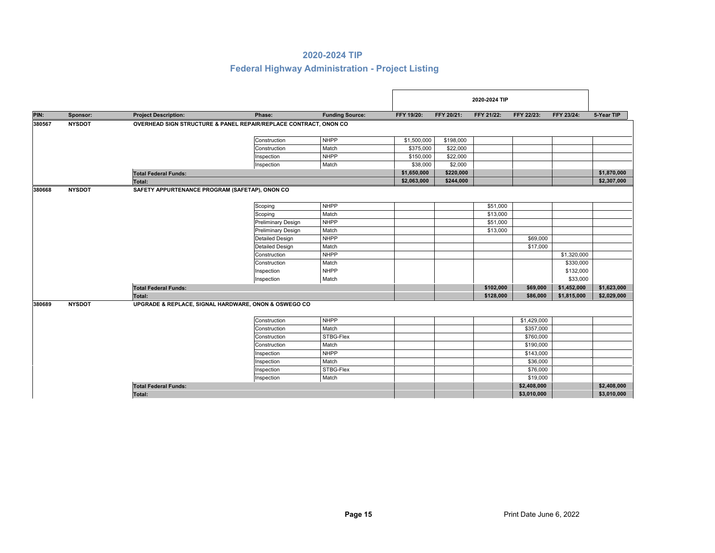|        |               |                                                                  |                           |                        |             |            | 2020-2024 TIP |             |             |             |
|--------|---------------|------------------------------------------------------------------|---------------------------|------------------------|-------------|------------|---------------|-------------|-------------|-------------|
| PIN:   | Sponsor:      | <b>Project Description:</b>                                      | Phase:                    | <b>Funding Source:</b> | FFY 19/20:  | FFY 20/21: | FFY 21/22:    | FFY 22/23:  | FFY 23/24:  | 5-Year TIP  |
| 380567 | <b>NYSDOT</b> | OVERHEAD SIGN STRUCTURE & PANEL REPAIR/REPLACE CONTRACT, ONON CO |                           |                        |             |            |               |             |             |             |
|        |               |                                                                  | Construction              | <b>NHPP</b>            | \$1,500,000 | \$198,000  |               |             |             |             |
|        |               |                                                                  | Construction              | Match                  | \$375,000   | \$22,000   |               |             |             |             |
|        |               |                                                                  | Inspection                | <b>NHPP</b>            | \$150,000   | \$22,000   |               |             |             |             |
|        |               |                                                                  | Inspection                | Match                  | \$38,000    | \$2,000    |               |             |             |             |
|        |               | <b>Total Federal Funds:</b>                                      |                           |                        | \$1,650,000 | \$220,000  |               |             |             | \$1,870,000 |
|        |               | Total:                                                           |                           |                        | \$2,063,000 | \$244,000  |               |             |             | \$2,307,000 |
| 380668 | <b>NYSDOT</b> | SAFETY APPURTENANCE PROGRAM (SAFETAP), ONON CO                   |                           |                        |             |            |               |             |             |             |
|        |               |                                                                  | Scoping                   | <b>NHPP</b>            |             |            | \$51,000      |             |             |             |
|        |               |                                                                  | Scoping                   | Match                  |             |            | \$13,000      |             |             |             |
|        |               |                                                                  | <b>Preliminary Design</b> | <b>NHPP</b>            |             |            | \$51,000      |             |             |             |
|        |               |                                                                  | <b>Preliminary Design</b> | Match                  |             |            | \$13,000      |             |             |             |
|        |               |                                                                  | <b>Detailed Design</b>    | <b>NHPP</b>            |             |            |               | \$69,000    |             |             |
|        |               |                                                                  | <b>Detailed Design</b>    | Match                  |             |            |               | \$17,000    |             |             |
|        |               |                                                                  | Construction              | <b>NHPP</b>            |             |            |               |             | \$1,320,000 |             |
|        |               |                                                                  | Construction              | Match                  |             |            |               |             | \$330,000   |             |
|        |               |                                                                  | Inspection                | <b>NHPP</b>            |             |            |               |             | \$132,000   |             |
|        |               |                                                                  | Inspection                | Match                  |             |            |               |             | \$33,000    |             |
|        |               | <b>Total Federal Funds:</b>                                      |                           |                        |             |            | \$102,000     | \$69,000    | \$1,452,000 | \$1,623,000 |
|        |               | Total:                                                           |                           |                        |             |            | \$128,000     | \$86,000    | \$1,815,000 | \$2,029,000 |
| 380689 | <b>NYSDOT</b> | UPGRADE & REPLACE, SIGNAL HARDWARE, ONON & OSWEGO CO             |                           |                        |             |            |               |             |             |             |
|        |               |                                                                  | Construction              | <b>NHPP</b>            |             |            |               | \$1,429,000 |             |             |
|        |               |                                                                  | Construction              | Match                  |             |            |               | \$357,000   |             |             |
|        |               |                                                                  | Construction              | STBG-Flex              |             |            |               | \$760,000   |             |             |
|        |               |                                                                  | Construction              | Match                  |             |            |               | \$190,000   |             |             |
|        |               |                                                                  | Inspection                | <b>NHPP</b>            |             |            |               | \$143,000   |             |             |
|        |               |                                                                  | Inspection                | Match                  |             |            |               | \$36,000    |             |             |
|        |               |                                                                  | Inspection                | STBG-Flex              |             |            |               | \$76,000    |             |             |
|        |               |                                                                  | Inspection                | Match                  |             |            |               | \$19,000    |             |             |
|        |               | <b>Total Federal Funds:</b>                                      |                           |                        |             |            |               | \$2,408,000 |             | \$2,408,000 |
|        |               | Total:                                                           |                           |                        |             |            |               | \$3,010,000 |             | \$3,010,000 |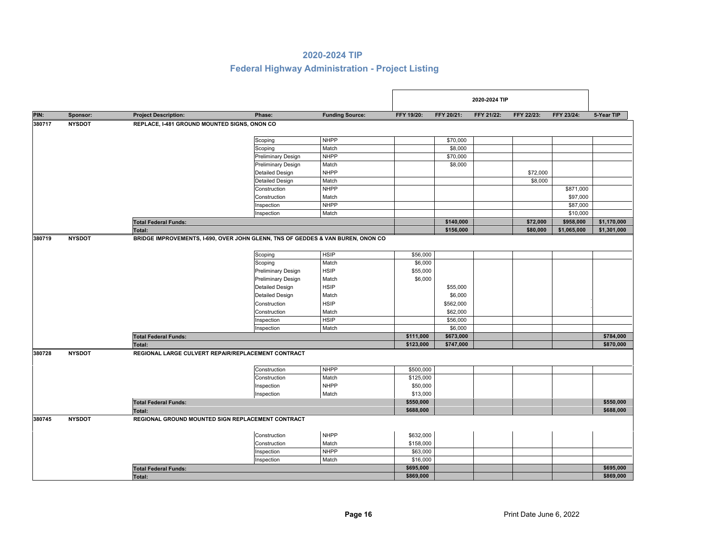|        |               |                                              |                                                                                 |                        |            |            | 2020-2024 TIP |            |             |             |
|--------|---------------|----------------------------------------------|---------------------------------------------------------------------------------|------------------------|------------|------------|---------------|------------|-------------|-------------|
| PIN:   | Sponsor:      | <b>Project Description:</b>                  | Phase:                                                                          | <b>Funding Source:</b> | FFY 19/20: | FFY 20/21: | FFY 21/22:    | FFY 22/23: | FFY 23/24:  | 5-Year TIP  |
| 380717 | <b>NYSDOT</b> | REPLACE, I-481 GROUND MOUNTED SIGNS, ONON CO |                                                                                 |                        |            |            |               |            |             |             |
|        |               |                                              | Scoping                                                                         | <b>NHPP</b>            |            | \$70,000   |               |            |             |             |
|        |               |                                              | Scoping                                                                         | Match                  |            | \$8,000    |               |            |             |             |
|        |               |                                              | <b>Preliminary Design</b>                                                       | <b>NHPP</b>            |            | \$70,000   |               |            |             |             |
|        |               |                                              | Preliminary Design                                                              | Match                  |            | \$8,000    |               |            |             |             |
|        |               |                                              | <b>Detailed Design</b>                                                          | <b>NHPP</b>            |            |            |               | \$72,000   |             |             |
|        |               |                                              | <b>Detailed Design</b>                                                          | Match                  |            |            |               | \$8,000    |             |             |
|        |               |                                              | Construction                                                                    | <b>NHPP</b>            |            |            |               |            | \$871,000   |             |
|        |               |                                              | Construction                                                                    | Match                  |            |            |               |            | \$97,000    |             |
|        |               |                                              | Inspection                                                                      | <b>NHPP</b>            |            |            |               |            | \$87,000    |             |
|        |               |                                              | Inspection                                                                      | Match                  |            |            |               |            | \$10,000    |             |
|        |               | <b>Total Federal Funds:</b>                  |                                                                                 |                        |            | \$140,000  |               | \$72,000   | \$958,000   | \$1,170,000 |
|        |               | Total:                                       |                                                                                 |                        |            | \$156,000  |               | \$80,000   | \$1,065,000 | \$1,301,000 |
| 380719 | <b>NYSDOT</b> |                                              | BRIDGE IMPROVEMENTS, I-690, OVER JOHN GLENN, TNS OF GEDDES & VAN BUREN, ONON CO |                        |            |            |               |            |             |             |
|        |               |                                              | Scoping                                                                         | <b>HSIP</b>            | \$56,000   |            |               |            |             |             |
|        |               |                                              | Scoping                                                                         | Match                  | \$6,000    |            |               |            |             |             |
|        |               |                                              | <b>Preliminary Design</b>                                                       | <b>HSIP</b>            | \$55,000   |            |               |            |             |             |
|        |               |                                              | <b>Preliminary Design</b>                                                       | Match                  | \$6,000    |            |               |            |             |             |
|        |               |                                              | <b>Detailed Design</b>                                                          | <b>HSIP</b>            |            | \$55,000   |               |            |             |             |
|        |               |                                              | <b>Detailed Design</b>                                                          | Match                  |            | \$6,000    |               |            |             |             |
|        |               |                                              | Construction                                                                    | <b>HSIP</b>            |            | \$562,000  |               |            |             |             |
|        |               |                                              | Construction                                                                    | Match                  |            | \$62,000   |               |            |             |             |
|        |               |                                              | Inspection                                                                      | <b>HSIP</b>            |            | \$56,000   |               |            |             |             |
|        |               |                                              | Inspection                                                                      | Match                  |            | \$6,000    |               |            |             |             |
|        |               | <b>Total Federal Funds:</b>                  |                                                                                 |                        | \$111,000  | \$673,000  |               |            |             | \$784,000   |
|        |               | <b>Total:</b>                                |                                                                                 |                        | \$123,000  | \$747,000  |               |            |             | \$870,000   |
| 380728 | <b>NYSDOT</b> |                                              | REGIONAL LARGE CULVERT REPAIR/REPLACEMENT CONTRACT                              |                        |            |            |               |            |             |             |
|        |               |                                              | Construction                                                                    | <b>NHPP</b>            | \$500,000  |            |               |            |             |             |
|        |               |                                              | Construction                                                                    | Match                  | \$125,000  |            |               |            |             |             |
|        |               |                                              | Inspection                                                                      | <b>NHPP</b>            | \$50,000   |            |               |            |             |             |
|        |               |                                              | Inspection                                                                      | Match                  | \$13,000   |            |               |            |             |             |
|        |               | <b>Total Federal Funds:</b>                  |                                                                                 |                        | \$550,000  |            |               |            |             | \$550,000   |
|        |               | Total:                                       |                                                                                 |                        | \$688,000  |            |               |            |             | \$688,000   |
| 380745 | <b>NYSDOT</b> |                                              | REGIONAL GROUND MOUNTED SIGN REPLACEMENT CONTRACT                               |                        |            |            |               |            |             |             |
|        |               |                                              | Construction                                                                    | <b>NHPP</b>            | \$632,000  |            |               |            |             |             |
|        |               |                                              | Construction                                                                    | Match                  | \$158,000  |            |               |            |             |             |
|        |               |                                              | Inspection                                                                      | <b>NHPP</b>            | \$63,000   |            |               |            |             |             |
|        |               |                                              | Inspection                                                                      | Match                  | \$16,000   |            |               |            |             |             |
|        |               | <b>Total Federal Funds:</b>                  |                                                                                 |                        | \$695,000  |            |               |            |             | \$695,000   |
|        |               | Total:                                       |                                                                                 |                        | \$869,000  |            |               |            |             | \$869,000   |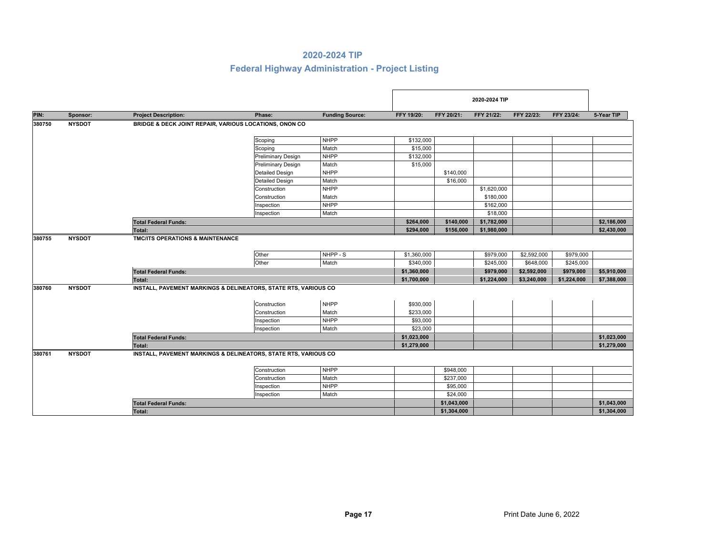|        |               |                                                        |                                                                 |                        |                          |             | 2020-2024 TIP          |                          |                        |             |
|--------|---------------|--------------------------------------------------------|-----------------------------------------------------------------|------------------------|--------------------------|-------------|------------------------|--------------------------|------------------------|-------------|
| PIN:   | Sponsor:      | <b>Project Description:</b>                            | Phase:                                                          | <b>Funding Source:</b> | FFY 19/20:               | FFY 20/21:  | FFY 21/22:             | FFY 22/23:               | FFY 23/24:             | 5-Year TIP  |
| 380750 | <b>NYSDOT</b> | BRIDGE & DECK JOINT REPAIR, VARIOUS LOCATIONS, ONON CO |                                                                 |                        |                          |             |                        |                          |                        |             |
|        |               |                                                        | Scoping                                                         | <b>NHPP</b>            | \$132,000                |             |                        |                          |                        |             |
|        |               |                                                        | Scoping                                                         | Match                  | \$15,000                 |             |                        |                          |                        |             |
|        |               |                                                        | <b>Preliminary Design</b>                                       | <b>NHPP</b>            | \$132,000                |             |                        |                          |                        |             |
|        |               |                                                        | <b>Preliminary Design</b>                                       | Match                  | \$15,000                 |             |                        |                          |                        |             |
|        |               |                                                        | Detailed Design                                                 | <b>NHPP</b>            |                          | \$140,000   |                        |                          |                        |             |
|        |               |                                                        | <b>Detailed Design</b>                                          | Match                  |                          | \$16,000    |                        |                          |                        |             |
|        |               |                                                        | Construction                                                    | <b>NHPP</b>            |                          |             | \$1,620,000            |                          |                        |             |
|        |               |                                                        | Construction                                                    | Match                  |                          |             | \$180,000              |                          |                        |             |
|        |               |                                                        | Inspection                                                      | <b>NHPP</b>            |                          |             | \$162,000              |                          |                        |             |
|        |               |                                                        | Inspection                                                      | Match                  |                          |             | \$18,000               |                          |                        |             |
|        |               | <b>Total Federal Funds:</b>                            |                                                                 |                        | \$264,000                | \$140,000   | \$1,782,000            |                          |                        | \$2,186,000 |
|        |               | Total:                                                 |                                                                 |                        | \$294,000                | \$156,000   | \$1,980,000            |                          |                        | \$2,430,000 |
|        |               |                                                        | Other<br>Other                                                  | NHPP - S<br>Match      | \$1,360,000<br>\$340,000 |             | \$979,000<br>\$245,000 | \$2,592,000<br>\$648,000 | \$979,000<br>\$245,000 |             |
|        |               | <b>Total Federal Funds:</b>                            |                                                                 |                        | \$1,360,000              |             | \$979,000              | \$2,592,000              | \$979,000              | \$5,910,000 |
|        |               | Total:                                                 |                                                                 |                        | \$1,700,000              |             | \$1,224,000            | \$3,240,000              | \$1,224,000            | \$7,388,000 |
| 380760 | <b>NYSDOT</b> |                                                        | INSTALL, PAVEMENT MARKINGS & DELINEATORS, STATE RTS, VARIOUS CO |                        |                          |             |                        |                          |                        |             |
|        |               |                                                        | Construction                                                    | <b>NHPP</b>            | \$930,000                |             |                        |                          |                        |             |
|        |               |                                                        | Construction                                                    | Match                  | \$233,000                |             |                        |                          |                        |             |
|        |               |                                                        | Inspection                                                      | <b>NHPP</b>            | \$93,000                 |             |                        |                          |                        |             |
|        |               |                                                        | Inspection                                                      | Match                  | \$23,000                 |             |                        |                          |                        |             |
|        |               | <b>Total Federal Funds:</b>                            |                                                                 |                        | \$1,023,000              |             |                        |                          |                        | \$1,023,000 |
|        |               | Total:                                                 |                                                                 |                        | \$1,279,000              |             |                        |                          |                        | \$1,279,000 |
| 380761 | <b>NYSDOT</b> |                                                        | INSTALL, PAVEMENT MARKINGS & DELINEATORS, STATE RTS, VARIOUS CO |                        |                          |             |                        |                          |                        |             |
|        |               |                                                        | Construction                                                    | <b>NHPP</b>            |                          | \$948,000   |                        |                          |                        |             |
|        |               |                                                        | Construction                                                    | Match                  |                          | \$237,000   |                        |                          |                        |             |
|        |               |                                                        | Inspection                                                      | <b>NHPP</b>            |                          | \$95,000    |                        |                          |                        |             |
|        |               |                                                        | Inspection                                                      | Match                  |                          | \$24,000    |                        |                          |                        |             |
|        |               | <b>Total Federal Funds:</b>                            |                                                                 |                        |                          | \$1,043,000 |                        |                          |                        | \$1,043,000 |
|        |               | Total:                                                 |                                                                 |                        |                          | \$1,304,000 |                        |                          |                        | \$1,304,000 |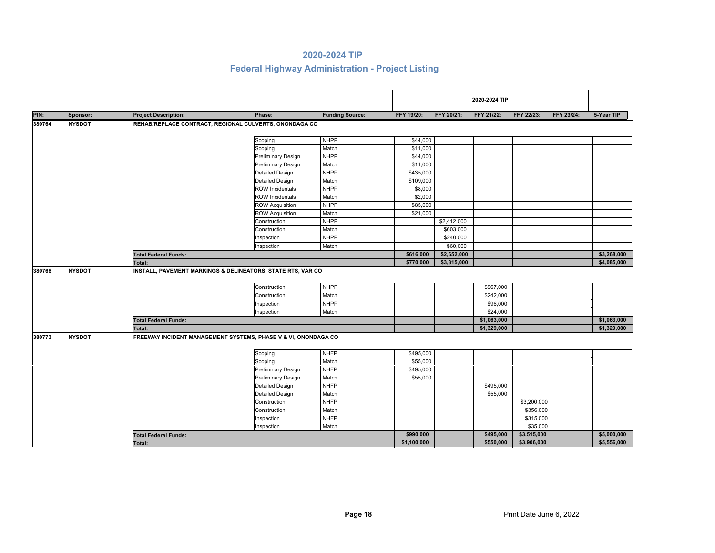|        |               |                                                                |                                            |                                     |             |             | 2020-2024 TIP                      |             |            |             |
|--------|---------------|----------------------------------------------------------------|--------------------------------------------|-------------------------------------|-------------|-------------|------------------------------------|-------------|------------|-------------|
| PIN:   | Sponsor:      | <b>Project Description:</b>                                    | Phase:                                     | <b>Funding Source:</b>              | FFY 19/20:  | FFY 20/21:  | FFY 21/22:                         | FFY 22/23:  | FFY 23/24: | 5-Year TIP  |
| 380764 | <b>NYSDOT</b> | REHAB/REPLACE CONTRACT, REGIONAL CULVERTS, ONONDAGA CO         |                                            |                                     |             |             |                                    |             |            |             |
|        |               |                                                                | Scoping                                    | <b>NHPP</b>                         | \$44,000    |             |                                    |             |            |             |
|        |               |                                                                | Scoping                                    | Match                               | \$11,000    |             |                                    |             |            |             |
|        |               |                                                                | <b>Preliminary Design</b>                  | <b>NHPP</b>                         | \$44,000    |             |                                    |             |            |             |
|        |               |                                                                | <b>Preliminary Design</b>                  | Match                               | \$11,000    |             |                                    |             |            |             |
|        |               |                                                                | <b>Detailed Design</b>                     | <b>NHPP</b>                         | \$435,000   |             |                                    |             |            |             |
|        |               |                                                                | <b>Detailed Design</b>                     | Match                               | \$109,000   |             |                                    |             |            |             |
|        |               |                                                                | <b>ROW Incidentals</b>                     | <b>NHPP</b>                         | \$8,000     |             |                                    |             |            |             |
|        |               |                                                                | <b>ROW Incidentals</b>                     | Match                               | \$2,000     |             |                                    |             |            |             |
|        |               |                                                                | <b>ROW Acquisition</b>                     | <b>NHPP</b>                         | \$85,000    |             |                                    |             |            |             |
|        |               |                                                                | <b>ROW Acquisition</b>                     | Match                               | \$21,000    |             |                                    |             |            |             |
|        |               |                                                                | Construction                               | <b>NHPP</b>                         |             | \$2,412,000 |                                    |             |            |             |
|        |               |                                                                | Construction                               | Match                               |             | \$603,000   |                                    |             |            |             |
|        |               |                                                                | Inspection                                 | <b>NHPP</b>                         |             | \$240,000   |                                    |             |            |             |
|        |               |                                                                | Inspection                                 | Match                               |             | \$60,000    |                                    |             |            |             |
|        |               | <b>Total Federal Funds:</b>                                    |                                            |                                     | \$616,000   | \$2,652,000 |                                    |             |            | \$3,268,000 |
|        |               | Total:                                                         |                                            |                                     | \$770,000   | \$3,315,000 |                                    |             |            | \$4,085,000 |
| 380768 | <b>NYSDOT</b> | INSTALL, PAVEMENT MARKINGS & DELINEATORS, STATE RTS, VAR CO    | Construction<br>Construction<br>Inspection | <b>NHPP</b><br>Match<br><b>NHPP</b> |             |             | \$967,000<br>\$242,000<br>\$96,000 |             |            |             |
|        |               |                                                                | Inspection                                 | Match                               |             |             | \$24,000                           |             |            |             |
|        |               | <b>Total Federal Funds:</b>                                    |                                            |                                     |             |             | \$1,063,000                        |             |            | \$1,063,000 |
|        |               | <b>Total:</b>                                                  |                                            |                                     |             |             | \$1,329,000                        |             |            | \$1,329,000 |
| 380773 | <b>NYSDOT</b> | FREEWAY INCIDENT MANAGEMENT SYSTEMS, PHASE V & VI, ONONDAGA CO |                                            |                                     |             |             |                                    |             |            |             |
|        |               |                                                                | Scoping                                    | <b>NHFP</b>                         | \$495,000   |             |                                    |             |            |             |
|        |               |                                                                | Scoping                                    | Match                               | \$55,000    |             |                                    |             |            |             |
|        |               |                                                                | <b>Preliminary Design</b>                  | <b>NHFP</b>                         | \$495,000   |             |                                    |             |            |             |
|        |               |                                                                | Preliminary Design                         | Match                               | \$55,000    |             |                                    |             |            |             |
|        |               |                                                                | <b>Detailed Design</b>                     | <b>NHFP</b>                         |             |             | \$495,000                          |             |            |             |
|        |               |                                                                | <b>Detailed Design</b>                     | Match                               |             |             | \$55,000                           |             |            |             |
|        |               |                                                                | Construction                               | <b>NHFP</b>                         |             |             |                                    | \$3,200,000 |            |             |
|        |               |                                                                | Construction                               | Match                               |             |             |                                    | \$356,000   |            |             |
|        |               |                                                                | Inspection                                 | <b>NHFP</b>                         |             |             |                                    | \$315,000   |            |             |
|        |               |                                                                | Inspection                                 | Match                               |             |             |                                    | \$35,000    |            |             |
|        |               | <b>Total Federal Funds:</b>                                    |                                            |                                     | \$990,000   |             | \$495,000                          | \$3,515,000 |            | \$5,000,000 |
|        |               | Total:                                                         |                                            |                                     | \$1,100,000 |             | \$550,000                          | \$3,906,000 |            | \$5,556,000 |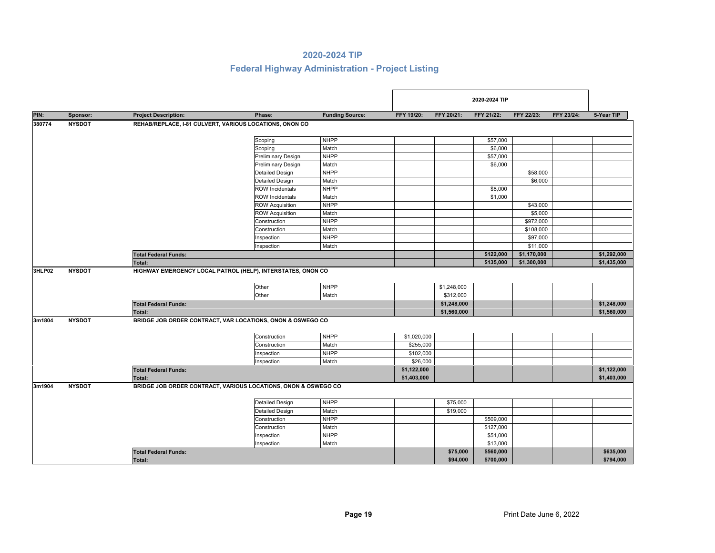|        |               |                             |                                                                |                        |             |             | 2020-2024 TIP |             |            |             |
|--------|---------------|-----------------------------|----------------------------------------------------------------|------------------------|-------------|-------------|---------------|-------------|------------|-------------|
| PIN:   | Sponsor:      | <b>Project Description:</b> | Phase:                                                         | <b>Funding Source:</b> | FFY 19/20:  | FFY 20/21:  | FFY 21/22:    | FFY 22/23:  | FFY 23/24: | 5-Year TIP  |
| 380774 | <b>NYSDOT</b> |                             | REHAB/REPLACE, I-81 CULVERT, VARIOUS LOCATIONS, ONON CO        |                        |             |             |               |             |            |             |
|        |               |                             | Scoping                                                        | <b>NHPP</b>            |             |             | \$57,000      |             |            |             |
|        |               |                             | Scoping                                                        | Match                  |             |             | \$6,000       |             |            |             |
|        |               |                             | <b>Preliminary Design</b>                                      | <b>NHPP</b>            |             |             | \$57,000      |             |            |             |
|        |               |                             | <b>Preliminary Design</b>                                      | Match                  |             |             | \$6,000       |             |            |             |
|        |               |                             | <b>Detailed Design</b>                                         | <b>NHPP</b>            |             |             |               | \$58,000    |            |             |
|        |               |                             | <b>Detailed Design</b>                                         | Match                  |             |             |               | \$6,000     |            |             |
|        |               |                             | <b>ROW Incidentals</b>                                         | <b>NHPP</b>            |             |             | \$8,000       |             |            |             |
|        |               |                             | <b>ROW Incidentals</b>                                         | Match                  |             |             | \$1,000       |             |            |             |
|        |               |                             | <b>ROW Acquisition</b>                                         | <b>NHPP</b>            |             |             |               | \$43,000    |            |             |
|        |               |                             | <b>ROW Acquisition</b>                                         | Match                  |             |             |               | \$5,000     |            |             |
|        |               |                             | Construction                                                   | <b>NHPP</b>            |             |             |               | \$972,000   |            |             |
|        |               |                             | Construction                                                   | Match                  |             |             |               | \$108,000   |            |             |
|        |               |                             | Inspection                                                     | <b>NHPP</b>            |             |             |               | \$97,000    |            |             |
|        |               |                             | Inspection                                                     | Match                  |             |             |               | \$11,000    |            |             |
|        |               | <b>Total Federal Funds:</b> |                                                                |                        |             |             | \$122,000     | \$1,170,000 |            | \$1,292,000 |
|        |               | <b>Total:</b>               |                                                                |                        |             |             | \$135,000     | \$1,300,000 |            | \$1,435,000 |
| 3HLP02 | <b>NYSDOT</b> |                             | HIGHWAY EMERGENCY LOCAL PATROL (HELP), INTERSTATES, ONON CO    |                        |             |             |               |             |            |             |
|        |               |                             |                                                                |                        |             |             |               |             |            |             |
|        |               |                             | Other                                                          | <b>NHPP</b>            |             | \$1,248,000 |               |             |            |             |
|        |               |                             | Other                                                          | Match                  |             | \$312,000   |               |             |            |             |
|        |               |                             |                                                                |                        |             |             |               |             |            | \$1,248,000 |
|        |               | <b>Total Federal Funds:</b> |                                                                |                        |             | \$1,248,000 |               |             |            |             |
|        |               | <b>Total:</b>               |                                                                |                        |             | \$1,560,000 |               |             |            | \$1,560,000 |
| 3m1804 | <b>NYSDOT</b> |                             | BRIDGE JOB ORDER CONTRACT, VAR LOCATIONS, ONON & OSWEGO CO     |                        |             |             |               |             |            |             |
|        |               |                             | Construction                                                   | <b>NHPP</b>            | \$1,020,000 |             |               |             |            |             |
|        |               |                             | Construction                                                   | Match                  | \$255,000   |             |               |             |            |             |
|        |               |                             | Inspection                                                     | <b>NHPP</b>            | \$102,000   |             |               |             |            |             |
|        |               |                             |                                                                |                        | \$26,000    |             |               |             |            |             |
|        |               |                             | Inspection                                                     | Match                  |             |             |               |             |            | \$1,122,000 |
|        |               | <b>Total Federal Funds:</b> |                                                                |                        | \$1,122,000 |             |               |             |            |             |
|        |               | Total:                      |                                                                |                        | \$1,403,000 |             |               |             |            | \$1,403,000 |
| 3m1904 | <b>NYSDOT</b> |                             | BRIDGE JOB ORDER CONTRACT, VARIOUS LOCATIONS, ONON & OSWEGO CO |                        |             |             |               |             |            |             |
|        |               |                             | <b>Detailed Design</b>                                         | <b>NHPP</b>            |             | \$75,000    |               |             |            |             |
|        |               |                             | <b>Detailed Design</b>                                         | Match                  |             | \$19,000    |               |             |            |             |
|        |               |                             | Construction                                                   | <b>NHPP</b>            |             |             | \$509,000     |             |            |             |
|        |               |                             | Construction                                                   | Match                  |             |             | \$127,000     |             |            |             |
|        |               |                             | Inspection                                                     | <b>NHPP</b>            |             |             | \$51,000      |             |            |             |
|        |               |                             | Inspection                                                     | Match                  |             |             | \$13,000      |             |            |             |
|        |               |                             |                                                                |                        |             | \$75,000    | \$560,000     |             |            | \$635,000   |
|        |               | <b>Total Federal Funds:</b> |                                                                |                        |             | \$94,000    | \$700,000     |             |            | \$794,000   |
|        |               | Total:                      |                                                                |                        |             |             |               |             |            |             |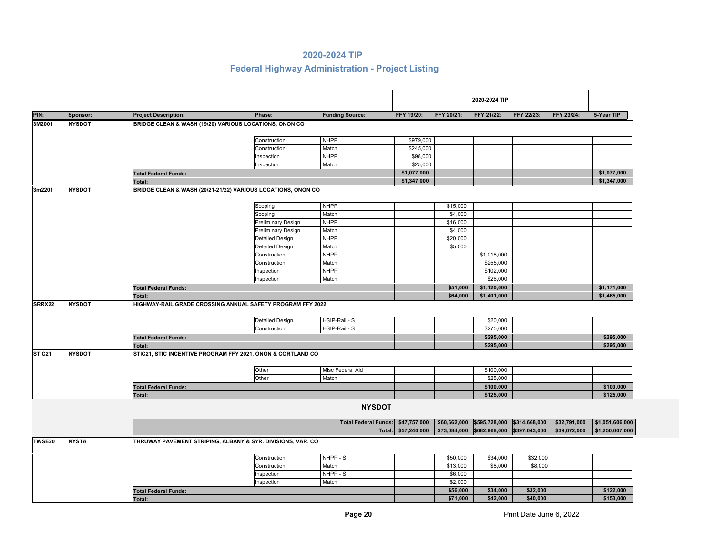|                    |               |                                                        |                                                              |                             |              |              | 2020-2024 TIP |               |              |                 |
|--------------------|---------------|--------------------------------------------------------|--------------------------------------------------------------|-----------------------------|--------------|--------------|---------------|---------------|--------------|-----------------|
| PIN:               | Sponsor:      | <b>Project Description:</b>                            | Phase:                                                       | <b>Funding Source:</b>      | FFY 19/20:   | FFY 20/21:   | FFY 21/22:    | FFY 22/23:    | FFY 23/24:   | 5-Year TIP      |
| 3M2001             | <b>NYSDOT</b> | BRIDGE CLEAN & WASH (19/20) VARIOUS LOCATIONS, ONON CO |                                                              |                             |              |              |               |               |              |                 |
|                    |               |                                                        |                                                              |                             |              |              |               |               |              |                 |
|                    |               |                                                        | Construction                                                 | <b>NHPP</b>                 | \$979,000    |              |               |               |              |                 |
|                    |               |                                                        | Construction                                                 | Match                       | \$245,000    |              |               |               |              |                 |
|                    |               |                                                        | Inspection                                                   | <b>NHPP</b>                 | \$98,000     |              |               |               |              |                 |
|                    |               |                                                        | Inspection                                                   | Match                       | \$25,000     |              |               |               |              |                 |
|                    |               | <b>Total Federal Funds:</b>                            |                                                              |                             | \$1,077,000  |              |               |               |              | \$1,077,000     |
|                    |               | Total:                                                 |                                                              |                             | \$1,347,000  |              |               |               |              | \$1,347,000     |
| 3m2201             | <b>NYSDOT</b> |                                                        | BRIDGE CLEAN & WASH (20/21-21/22) VARIOUS LOCATIONS, ONON CO |                             |              |              |               |               |              |                 |
|                    |               |                                                        | Scoping                                                      | <b>NHPP</b>                 |              | \$15,000     |               |               |              |                 |
|                    |               |                                                        | Scoping                                                      | Match                       |              | \$4,000      |               |               |              |                 |
|                    |               |                                                        | <b>Preliminary Design</b>                                    | <b>NHPP</b>                 |              | \$16,000     |               |               |              |                 |
|                    |               |                                                        | Preliminary Design                                           | Match                       |              | \$4,000      |               |               |              |                 |
|                    |               |                                                        | <b>Detailed Design</b>                                       | <b>NHPP</b>                 |              | \$20,000     |               |               |              |                 |
|                    |               |                                                        | <b>Detailed Design</b>                                       | Match                       |              | \$5,000      |               |               |              |                 |
|                    |               |                                                        | Construction                                                 | <b>NHPP</b>                 |              |              | \$1,018,000   |               |              |                 |
|                    |               |                                                        | Construction                                                 | Match                       |              |              | \$255,000     |               |              |                 |
|                    |               |                                                        | Inspection                                                   | <b>NHPP</b>                 |              |              | \$102,000     |               |              |                 |
|                    |               |                                                        | Inspection                                                   | Match                       |              |              | \$26,000      |               |              |                 |
|                    |               | <b>Total Federal Funds:</b>                            |                                                              |                             |              | \$51,000     | \$1,120,000   |               |              | \$1,171,000     |
|                    |               | Total:                                                 |                                                              |                             |              | \$64,000     | \$1,401,000   |               |              | \$1,465,000     |
| SRRX22             | <b>NYSDOT</b> |                                                        | HIGHWAY-RAIL GRADE CROSSING ANNUAL SAFETY PROGRAM FFY 2022   |                             |              |              |               |               |              |                 |
|                    |               |                                                        |                                                              |                             |              |              |               |               |              |                 |
|                    |               |                                                        | <b>Detailed Design</b>                                       | HSIP-Rail - S               |              |              | \$20,000      |               |              |                 |
|                    |               |                                                        | Construction                                                 | HSIP-Rail - S               |              |              | \$275,000     |               |              |                 |
|                    |               | <b>Total Federal Funds:</b>                            |                                                              |                             |              |              | \$295,000     |               |              | \$295,000       |
|                    |               | <b>Total:</b>                                          |                                                              |                             |              |              | \$295,000     |               |              | \$295,000       |
| STIC <sub>21</sub> | <b>NYSDOT</b> |                                                        | STIC21, STIC INCENTIVE PROGRAM FFY 2021, ONON & CORTLAND CO  |                             |              |              |               |               |              |                 |
|                    |               |                                                        |                                                              |                             |              |              |               |               |              |                 |
|                    |               |                                                        | Other                                                        | Misc Federal Aid            |              |              | \$100,000     |               |              |                 |
|                    |               |                                                        | Other                                                        | Match                       |              |              | \$25,000      |               |              |                 |
|                    |               | <b>Total Federal Funds:</b>                            |                                                              |                             |              |              | \$100,000     |               |              | \$100,000       |
|                    |               | Total:                                                 |                                                              |                             |              |              | \$125,000     |               |              | \$125,000       |
|                    |               |                                                        |                                                              | <b>NYSDOT</b>               |              |              |               |               |              |                 |
|                    |               |                                                        |                                                              |                             |              |              |               |               |              |                 |
|                    |               |                                                        |                                                              | <b>Total Federal Funds:</b> | \$47,757,000 | \$60,662,000 | \$595,728,000 | \$314,668,000 | \$32,791,000 | \$1,051,606,000 |
|                    |               |                                                        |                                                              | Total:                      | \$57,240,000 | \$73,084,000 | \$682,968,000 | \$397,043,000 | \$39,672,000 | \$1,250,007,000 |
| TWSE20             | <b>NYSTA</b>  |                                                        | THRUWAY PAVEMENT STRIPING, ALBANY & SYR. DIVISIONS, VAR. CO  |                             |              |              |               |               |              |                 |
|                    |               |                                                        | Construction                                                 | NHPP - S                    |              | \$50,000     | \$34,000      | \$32,000      |              |                 |
|                    |               |                                                        | Construction                                                 | Match                       |              | \$13,000     | \$8,000       | \$8,000       |              |                 |
|                    |               |                                                        | Inspection                                                   | NHPP - S                    |              | \$6,000      |               |               |              |                 |
|                    |               |                                                        | Inspection                                                   | Match                       |              | \$2,000      |               |               |              |                 |
|                    |               | <b>Total Federal Funds:</b>                            |                                                              |                             |              | \$56,000     | \$34,000      | \$32,000      |              | \$122,000       |
|                    |               | Total:                                                 |                                                              |                             |              | \$71,000     | \$42,000      | \$40,000      |              | \$153,000       |
|                    |               |                                                        |                                                              |                             |              |              |               |               |              |                 |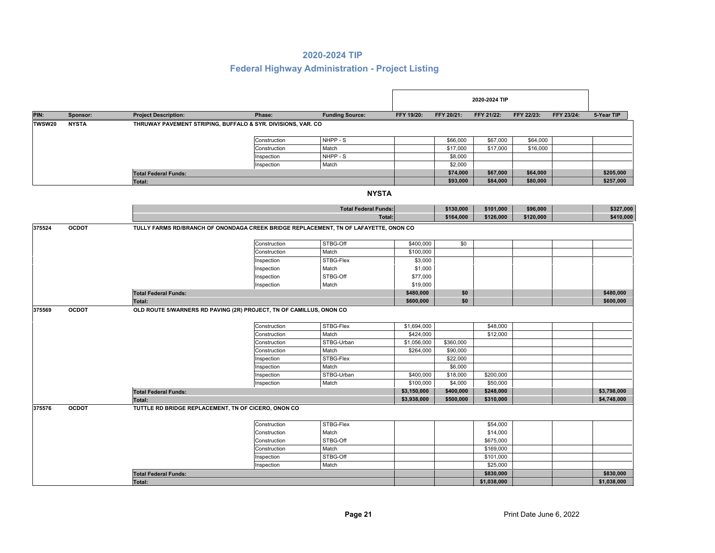|               |              |                                                                     |              |                                                                                      |             |            | 2020-2024 TIP |            |            |             |
|---------------|--------------|---------------------------------------------------------------------|--------------|--------------------------------------------------------------------------------------|-------------|------------|---------------|------------|------------|-------------|
| PIN:          | Sponsor:     | <b>Project Description:</b>                                         | Phase:       | <b>Funding Source:</b>                                                               | FFY 19/20:  | FFY 20/21: | FFY 21/22:    | FFY 22/23: | FFY 23/24: | 5-Year TIP  |
| <b>TWSW20</b> | <b>NYSTA</b> | THRUWAY PAVEMENT STRIPING, BUFFALO & SYR. DIVISIONS, VAR. CO        |              |                                                                                      |             |            |               |            |            |             |
|               |              |                                                                     | Construction | NHPP - S                                                                             |             | \$66,000   | \$67,000      | \$64,000   |            |             |
|               |              |                                                                     | Construction | Match                                                                                |             | \$17,000   | \$17,000      | \$16,000   |            |             |
|               |              |                                                                     | Inspection   | NHPP - S                                                                             |             | \$8,000    |               |            |            |             |
|               |              |                                                                     | Inspection   | Match                                                                                |             | \$2,000    |               |            |            |             |
|               |              | <b>Total Federal Funds:</b>                                         |              |                                                                                      |             | \$74,000   | \$67,000      | \$64,000   |            | \$205,000   |
|               |              | <b>Total:</b>                                                       |              |                                                                                      |             | \$93,000   | \$84,000      | \$80,000   |            | \$257,000   |
|               |              |                                                                     |              | <b>NYSTA</b>                                                                         |             |            |               |            |            |             |
|               |              |                                                                     |              | <b>Total Federal Funds:</b>                                                          |             | \$130,000  | \$101,000     | \$96,000   |            | \$327,000   |
|               |              |                                                                     |              | Total:                                                                               |             | \$164,000  | \$126,000     | \$120,000  |            | \$410,000   |
| 375524        | <b>OCDOT</b> |                                                                     |              | TULLY FARMS RD/BRANCH OF ONONDAGA CREEK BRIDGE REPLACEMENT, TN OF LAFAYETTE, ONON CO |             |            |               |            |            |             |
|               |              |                                                                     | Construction | STBG-Off                                                                             | \$400,000   | \$0        |               |            |            |             |
|               |              |                                                                     | Construction | Match                                                                                | \$100,000   |            |               |            |            |             |
|               |              |                                                                     | Inspection   | STBG-Flex                                                                            | \$3,000     |            |               |            |            |             |
|               |              |                                                                     | Inspection   | Match                                                                                | \$1,000     |            |               |            |            |             |
|               |              |                                                                     | Inspection   | STBG-Off                                                                             | \$77,000    |            |               |            |            |             |
|               |              |                                                                     | Inspection   | Match                                                                                | \$19,000    |            |               |            |            |             |
|               |              | <b>Total Federal Funds:</b>                                         |              |                                                                                      | \$480,000   | \$0<br>\$0 |               |            |            | \$480,000   |
| 375569        |              | Total:                                                              |              |                                                                                      | \$600,000   |            |               |            |            | \$600,000   |
|               | <b>OCDOT</b> | OLD ROUTE 5/WARNERS RD PAVING (2R) PROJECT, TN OF CAMILLUS, ONON CO |              |                                                                                      |             |            |               |            |            |             |
|               |              |                                                                     | Construction | STBG-Flex                                                                            | \$1,694,000 |            | \$48,000      |            |            |             |
|               |              |                                                                     | Construction | Match                                                                                | \$424,000   |            | \$12,000      |            |            |             |
|               |              |                                                                     | Construction | STBG-Urban                                                                           | \$1,056,000 | \$360,000  |               |            |            |             |
|               |              |                                                                     | Construction | Match                                                                                | \$264,000   | \$90,000   |               |            |            |             |
|               |              |                                                                     | Inspection   | STBG-Flex                                                                            |             | \$22,000   |               |            |            |             |
|               |              |                                                                     | Inspection   | Match                                                                                |             | \$6,000    |               |            |            |             |
|               |              |                                                                     | Inspection   | STBG-Urban                                                                           | \$400,000   | \$18,000   | \$200,000     |            |            |             |
|               |              |                                                                     | Inspection   | Match                                                                                | \$100,000   | \$4,000    | \$50,000      |            |            |             |
|               |              | <b>Total Federal Funds:</b>                                         |              |                                                                                      | \$3,150,000 | \$400,000  | \$248,000     |            |            | \$3,798,000 |
|               |              | <b>Total:</b>                                                       |              |                                                                                      | \$3,938,000 | \$500,000  | \$310,000     |            |            | \$4,748,000 |
| 375576        | <b>OCDOT</b> | TUTTLE RD BRIDGE REPLACEMENT, TN OF CICERO, ONON CO                 |              |                                                                                      |             |            |               |            |            |             |
|               |              |                                                                     | Construction | STBG-Flex                                                                            |             |            | \$54,000      |            |            |             |
|               |              |                                                                     | Construction | Match                                                                                |             |            | \$14,000      |            |            |             |
|               |              |                                                                     | Construction | STBG-Off                                                                             |             |            | \$675,000     |            |            |             |
|               |              |                                                                     | Construction | Match                                                                                |             |            | \$169,000     |            |            |             |
|               |              |                                                                     | Inspection   | STBG-Off                                                                             |             |            | \$101,000     |            |            |             |
|               |              |                                                                     | Inspection   | Match                                                                                |             |            | \$25,000      |            |            |             |
|               |              | <b>Total Federal Funds:</b>                                         |              |                                                                                      |             |            | \$830,000     |            |            | \$830,000   |
|               |              | <b>Total:</b>                                                       |              |                                                                                      |             |            | \$1,038,000   |            |            | \$1,038,000 |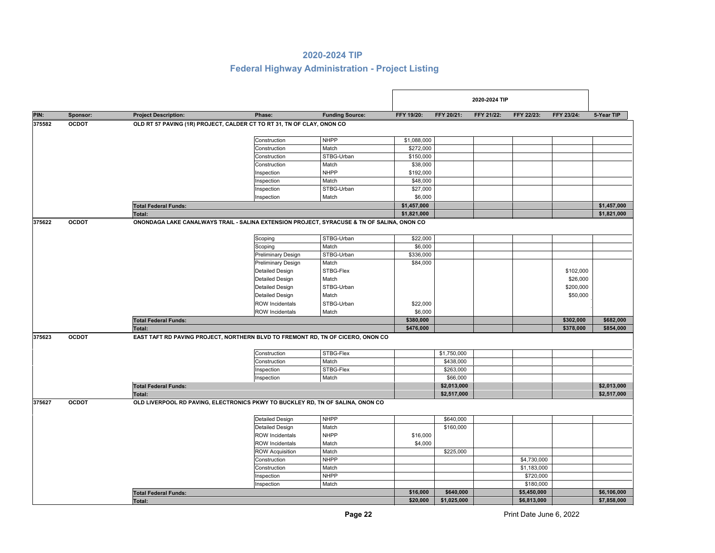|        |              |                             |                                                                                            |                        |             |             | 2020-2024 TIP |             |            |             |
|--------|--------------|-----------------------------|--------------------------------------------------------------------------------------------|------------------------|-------------|-------------|---------------|-------------|------------|-------------|
| PIN:   | Sponsor:     | <b>Project Description:</b> | Phase:                                                                                     | <b>Funding Source:</b> | FFY 19/20:  | FFY 20/21:  | FFY 21/22:    | FFY 22/23:  | FFY 23/24: | 5-Year TIP  |
| 375582 | <b>OCDOT</b> |                             | OLD RT 57 PAVING (1R) PROJECT, CALDER CT TO RT 31, TN OF CLAY, ONON CO                     |                        |             |             |               |             |            |             |
|        |              |                             | Construction                                                                               | <b>NHPP</b>            | \$1,088,000 |             |               |             |            |             |
|        |              |                             | Construction                                                                               | Match                  | \$272,000   |             |               |             |            |             |
|        |              |                             | Construction                                                                               | STBG-Urban             | \$150,000   |             |               |             |            |             |
|        |              |                             | Construction                                                                               | Match                  | \$38,000    |             |               |             |            |             |
|        |              |                             | Inspection                                                                                 | <b>NHPP</b>            | \$192,000   |             |               |             |            |             |
|        |              |                             | Inspection                                                                                 | Match                  | \$48,000    |             |               |             |            |             |
|        |              |                             | Inspection                                                                                 | STBG-Urban             | \$27,000    |             |               |             |            |             |
|        |              |                             | Inspection                                                                                 | Match                  | \$6,000     |             |               |             |            |             |
|        |              | <b>Total Federal Funds:</b> |                                                                                            |                        | \$1,457,000 |             |               |             |            | \$1,457,000 |
|        |              | <b>Total:</b>               |                                                                                            |                        | \$1,821,000 |             |               |             |            | \$1,821,000 |
| 375622 | <b>OCDOT</b> |                             | ONONDAGA LAKE CANALWAYS TRAIL - SALINA EXTENSION PROJECT, SYRACUSE & TN OF SALINA, ONON CO |                        |             |             |               |             |            |             |
|        |              |                             | Scoping                                                                                    | STBG-Urban             | \$22,000    |             |               |             |            |             |
|        |              |                             | Scoping                                                                                    | Match                  | \$6,000     |             |               |             |            |             |
|        |              |                             | <b>Preliminary Design</b>                                                                  | STBG-Urban             | \$336,000   |             |               |             |            |             |
|        |              |                             | <b>Preliminary Design</b>                                                                  | Match                  | \$84,000    |             |               |             |            |             |
|        |              |                             | <b>Detailed Design</b>                                                                     | STBG-Flex              |             |             |               |             | \$102,000  |             |
|        |              |                             | <b>Detailed Design</b>                                                                     | Match                  |             |             |               |             | \$26,000   |             |
|        |              |                             | <b>Detailed Design</b>                                                                     | STBG-Urban             |             |             |               |             | \$200,000  |             |
|        |              |                             | <b>Detailed Design</b>                                                                     | Match                  |             |             |               |             | \$50,000   |             |
|        |              |                             | <b>ROW Incidentals</b>                                                                     | STBG-Urban             | \$22,000    |             |               |             |            |             |
|        |              |                             | <b>ROW Incidentals</b>                                                                     | Match                  | \$6,000     |             |               |             |            |             |
|        |              | <b>Total Federal Funds:</b> |                                                                                            |                        | \$380,000   |             |               |             | \$302,000  | \$682,000   |
|        |              | Total:                      |                                                                                            |                        | \$476,000   |             |               |             | \$378,000  | \$854,000   |
| 375623 | <b>OCDOT</b> |                             | EAST TAFT RD PAVING PROJECT, NORTHERN BLVD TO FREMONT RD, TN OF CICERO, ONON CO            |                        |             |             |               |             |            |             |
|        |              |                             | Construction                                                                               | STBG-Flex              |             | \$1,750,000 |               |             |            |             |
|        |              |                             | Construction                                                                               | Match                  |             | \$438,000   |               |             |            |             |
|        |              |                             | Inspection                                                                                 | STBG-Flex              |             | \$263,000   |               |             |            |             |
|        |              |                             | Inspection                                                                                 | Match                  |             | \$66,000    |               |             |            |             |
|        |              | <b>Total Federal Funds:</b> |                                                                                            |                        |             | \$2,013,000 |               |             |            | \$2,013,000 |
|        |              | Total:                      |                                                                                            |                        |             | \$2,517,000 |               |             |            | \$2,517,000 |
| 375627 | <b>OCDOT</b> |                             | OLD LIVERPOOL RD PAVING, ELECTRONICS PKWY TO BUCKLEY RD, TN OF SALINA, ONON CO             |                        |             |             |               |             |            |             |
|        |              |                             | <b>Detailed Design</b>                                                                     | <b>NHPP</b>            |             | \$640,000   |               |             |            |             |
|        |              |                             | <b>Detailed Design</b>                                                                     | Match                  |             | \$160,000   |               |             |            |             |
|        |              |                             | <b>ROW Incidentals</b>                                                                     | <b>NHPP</b>            | \$16,000    |             |               |             |            |             |
|        |              |                             | <b>ROW</b> Incidentals                                                                     | Match                  | \$4,000     |             |               |             |            |             |
|        |              |                             | <b>ROW Acquisition</b>                                                                     | Match                  |             | \$225,000   |               |             |            |             |
|        |              |                             | Construction                                                                               | <b>NHPP</b>            |             |             |               | \$4,730,000 |            |             |
|        |              |                             | Construction                                                                               | Match                  |             |             |               | \$1,183,000 |            |             |
|        |              |                             | Inspection                                                                                 | <b>NHPP</b>            |             |             |               | \$720,000   |            |             |
|        |              |                             | Inspection                                                                                 | Match                  |             |             |               | \$180,000   |            |             |
|        |              | <b>Total Federal Funds:</b> |                                                                                            |                        | \$16,000    | \$640,000   |               | \$5,450,000 |            | \$6,106,000 |
|        |              | Total:                      |                                                                                            |                        | \$20,000    | \$1,025,000 |               | \$6,813,000 |            | \$7,858,000 |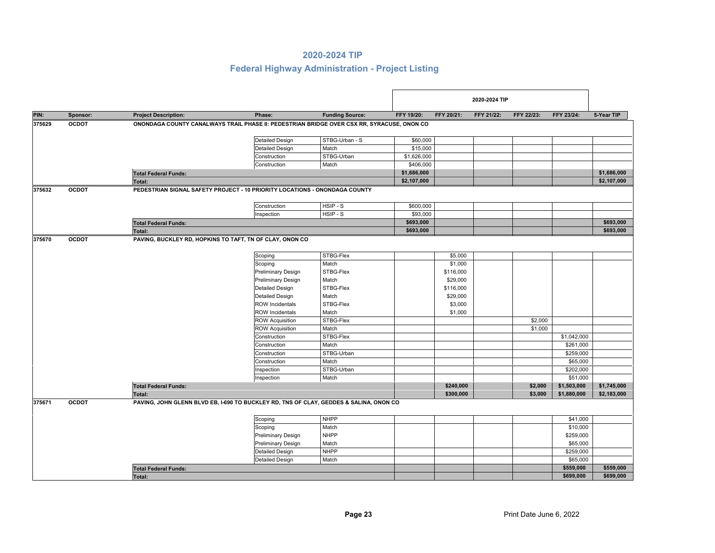|        |              |                             |                                                                                            |                        |             |            | 2020-2024 TIP |            |             |             |
|--------|--------------|-----------------------------|--------------------------------------------------------------------------------------------|------------------------|-------------|------------|---------------|------------|-------------|-------------|
| PIN:   | Sponsor:     | <b>Project Description:</b> | Phase:                                                                                     | <b>Funding Source:</b> | FFY 19/20:  | FFY 20/21: | FFY 21/22:    | FFY 22/23: | FFY 23/24:  | 5-Year TIP  |
| 375629 | <b>OCDOT</b> |                             | ONONDAGA COUNTY CANALWAYS TRAIL PHASE II: PEDESTRIAN BRIDGE OVER CSX RR, SYRACUSE, ONON CO |                        |             |            |               |            |             |             |
|        |              |                             | <b>Detailed Design</b>                                                                     | STBG-Urban - S         | \$60,000    |            |               |            |             |             |
|        |              |                             | <b>Detailed Design</b>                                                                     | Match                  | \$15,000    |            |               |            |             |             |
|        |              |                             | Construction                                                                               | STBG-Urban             | \$1,626,000 |            |               |            |             |             |
|        |              |                             | Construction                                                                               | Match                  | \$406,000   |            |               |            |             |             |
|        |              | <b>Total Federal Funds:</b> |                                                                                            |                        | \$1,686,000 |            |               |            |             | \$1,686,000 |
|        |              | Total:                      |                                                                                            |                        | \$2,107,000 |            |               |            |             | \$2,107,000 |
| 375632 | <b>OCDOT</b> |                             | PEDESTRIAN SIGNAL SAFETY PROJECT - 10 PRIORITY LOCATIONS - ONONDAGA COUNTY                 |                        |             |            |               |            |             |             |
|        |              |                             | Construction                                                                               | HSIP-S                 | \$600,000   |            |               |            |             |             |
|        |              |                             | Inspection                                                                                 | HSIP - S               | \$93,000    |            |               |            |             |             |
|        |              | <b>Total Federal Funds:</b> |                                                                                            |                        | \$693,000   |            |               |            |             | \$693,000   |
|        |              | Total:                      |                                                                                            |                        | \$693,000   |            |               |            |             | \$693,000   |
| 375670 | <b>OCDOT</b> |                             | PAVING, BUCKLEY RD, HOPKINS TO TAFT, TN OF CLAY, ONON CO                                   |                        |             |            |               |            |             |             |
|        |              |                             | Scoping                                                                                    | STBG-Flex              |             | \$5,000    |               |            |             |             |
|        |              |                             | Scoping                                                                                    | Match                  |             | \$1,000    |               |            |             |             |
|        |              |                             | <b>Preliminary Design</b>                                                                  | STBG-Flex              |             | \$116,000  |               |            |             |             |
|        |              |                             | <b>Preliminary Design</b>                                                                  | Match                  |             | \$29,000   |               |            |             |             |
|        |              |                             | <b>Detailed Design</b>                                                                     | STBG-Flex              |             | \$116,000  |               |            |             |             |
|        |              |                             | <b>Detailed Design</b>                                                                     | Match                  |             | \$29,000   |               |            |             |             |
|        |              |                             | <b>ROW Incidentals</b>                                                                     | STBG-Flex              |             | \$3,000    |               |            |             |             |
|        |              |                             | <b>ROW Incidentals</b>                                                                     | Match                  |             | \$1,000    |               |            |             |             |
|        |              |                             | <b>ROW Acquisition</b>                                                                     | STBG-Flex              |             |            |               | \$2,000    |             |             |
|        |              |                             | <b>ROW Acquisition</b>                                                                     | Match                  |             |            |               | \$1,000    |             |             |
|        |              |                             | Construction                                                                               | STBG-Flex              |             |            |               |            | \$1,042,000 |             |
|        |              |                             | Construction                                                                               | Match                  |             |            |               |            | \$261,000   |             |
|        |              |                             | Construction                                                                               | STBG-Urban             |             |            |               |            | \$259,000   |             |
|        |              |                             | Construction                                                                               | Match                  |             |            |               |            | \$65,000    |             |
|        |              |                             | Inspection                                                                                 | STBG-Urban             |             |            |               |            | \$202,000   |             |
|        |              |                             | Inspection                                                                                 | Match                  |             |            |               |            | \$51,000    |             |
|        |              | <b>Total Federal Funds:</b> |                                                                                            |                        |             | \$240,000  |               | \$2,000    | \$1,503,000 | \$1,745,000 |
|        |              | Total:                      |                                                                                            |                        |             | \$300,000  |               | \$3,000    | \$1,880,000 | \$2,183,000 |
| 375671 | <b>OCDOT</b> |                             | PAVING, JOHN GLENN BLVD EB, I-690 TO BUCKLEY RD, TNS OF CLAY, GEDDES & SALINA, ONON CO     |                        |             |            |               |            |             |             |
|        |              |                             | Scoping                                                                                    | <b>NHPP</b>            |             |            |               |            | \$41,000    |             |
|        |              |                             | Scoping                                                                                    | Match                  |             |            |               |            | \$10,000    |             |
|        |              |                             | <b>Preliminary Design</b>                                                                  | <b>NHPP</b>            |             |            |               |            | \$259,000   |             |
|        |              |                             | <b>Preliminary Design</b>                                                                  | Match                  |             |            |               |            | \$65,000    |             |
|        |              |                             | <b>Detailed Design</b>                                                                     | <b>NHPP</b>            |             |            |               |            | \$259,000   |             |
|        |              |                             | <b>Detailed Design</b>                                                                     | Match                  |             |            |               |            | \$65,000    |             |
|        |              | <b>Total Federal Funds:</b> |                                                                                            |                        |             |            |               |            | \$559,000   | \$559,000   |
|        |              | Total:                      |                                                                                            |                        |             |            |               |            | \$699,000   | \$699,000   |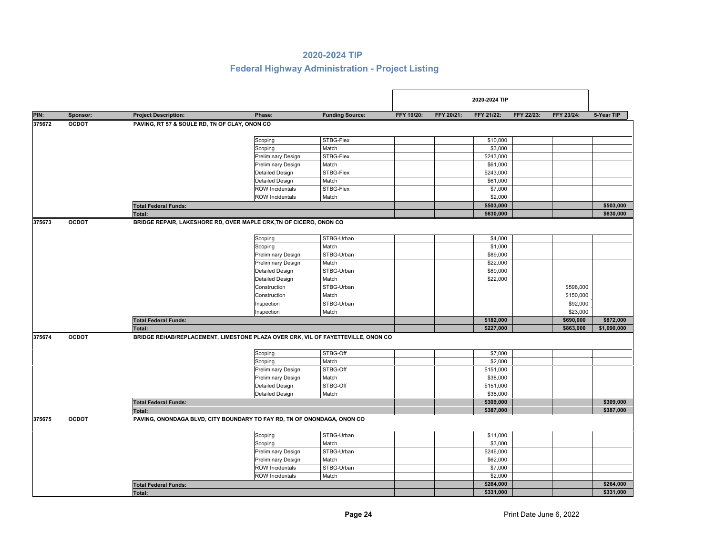| PIN:   | Sponsor:     | <b>Project Description:</b>                   | Phase:                                                                           | <b>Funding Source:</b> | FFY 19/20: | FFY 20/21: | FFY 21/22: | FFY 22/23: | FFY 23/24: | 5-Year TIP  |
|--------|--------------|-----------------------------------------------|----------------------------------------------------------------------------------|------------------------|------------|------------|------------|------------|------------|-------------|
| 375672 | <b>OCDOT</b> | PAVING, RT 57 & SOULE RD, TN OF CLAY, ONON CO |                                                                                  |                        |            |            |            |            |            |             |
|        |              |                                               |                                                                                  |                        |            |            |            |            |            |             |
|        |              |                                               | Scoping                                                                          | STBG-Flex              |            |            | \$10,000   |            |            |             |
|        |              |                                               | Scoping                                                                          | Match                  |            |            | \$3,000    |            |            |             |
|        |              |                                               | <b>Preliminary Design</b>                                                        | STBG-Flex              |            |            | \$243,000  |            |            |             |
|        |              |                                               | <b>Preliminary Design</b>                                                        | Match                  |            |            | \$61,000   |            |            |             |
|        |              |                                               | <b>Detailed Design</b>                                                           | STBG-Flex              |            |            | \$243,000  |            |            |             |
|        |              |                                               | <b>Detailed Design</b>                                                           | Match                  |            |            | \$61,000   |            |            |             |
|        |              |                                               | <b>ROW Incidentals</b>                                                           | STBG-Flex              |            |            | \$7,000    |            |            |             |
|        |              |                                               | <b>ROW Incidentals</b>                                                           | Match                  |            |            | \$2,000    |            |            |             |
|        |              | <b>Total Federal Funds:</b>                   |                                                                                  |                        |            |            | \$503,000  |            |            | \$503,000   |
|        |              | <b>Total:</b>                                 |                                                                                  |                        |            |            | \$630,000  |            |            | \$630,000   |
| 375673 | <b>OCDOT</b> |                                               | BRIDGE REPAIR, LAKESHORE RD, OVER MAPLE CRK, TN OF CICERO, ONON CO.              |                        |            |            |            |            |            |             |
|        |              |                                               |                                                                                  |                        |            |            |            |            |            |             |
|        |              |                                               | Scoping                                                                          | STBG-Urban             |            |            | \$4,000    |            |            |             |
|        |              |                                               | Scoping                                                                          | Match                  |            |            | \$1,000    |            |            |             |
|        |              |                                               | <b>Preliminary Design</b>                                                        | STBG-Urban             |            |            | \$89,000   |            |            |             |
|        |              |                                               | <b>Preliminary Design</b>                                                        | Match                  |            |            | \$22,000   |            |            |             |
|        |              |                                               | <b>Detailed Design</b>                                                           | STBG-Urban             |            |            | \$89,000   |            |            |             |
|        |              |                                               | <b>Detailed Design</b>                                                           | Match                  |            |            | \$22,000   |            |            |             |
|        |              |                                               | Construction                                                                     | STBG-Urban             |            |            |            |            | \$598,000  |             |
|        |              |                                               | Construction                                                                     | Match                  |            |            |            |            | \$150,000  |             |
|        |              |                                               | Inspection                                                                       | STBG-Urban             |            |            |            |            | \$92,000   |             |
|        |              |                                               | Inspection                                                                       | Match                  |            |            |            |            | \$23,000   |             |
|        |              | <b>Total Federal Funds:</b>                   |                                                                                  |                        |            |            | \$182,000  |            | \$690,000  | \$872,000   |
|        |              | Total:                                        |                                                                                  |                        |            |            | \$227,000  |            | \$863,000  | \$1,090,000 |
| 375674 | <b>OCDOT</b> |                                               | BRIDGE REHAB/REPLACEMENT, LIMESTONE PLAZA OVER CRK, VIL OF FAYETTEVILLE, ONON CO |                        |            |            |            |            |            |             |
|        |              |                                               | Scoping                                                                          | STBG-Off               |            |            | \$7,000    |            |            |             |
|        |              |                                               | Scoping                                                                          | Match                  |            |            | \$2,000    |            |            |             |
|        |              |                                               | <b>Preliminary Design</b>                                                        | STBG-Off               |            |            | \$151,000  |            |            |             |
|        |              |                                               | <b>Preliminary Design</b>                                                        | Match                  |            |            | \$38,000   |            |            |             |
|        |              |                                               | <b>Detailed Design</b>                                                           | STBG-Off               |            |            | \$151,000  |            |            |             |
|        |              |                                               | <b>Detailed Design</b>                                                           | Match                  |            |            | \$38,000   |            |            |             |
|        |              | <b>Total Federal Funds:</b>                   |                                                                                  |                        |            |            | \$309,000  |            |            | \$309,000   |
|        |              | <b>Total:</b>                                 |                                                                                  |                        |            |            | \$387,000  |            |            | \$387,000   |
| 375675 | <b>OCDOT</b> |                                               | PAVING, ONONDAGA BLVD, CITY BOUNDARY TO FAY RD, TN OF ONONDAGA, ONON CO          |                        |            |            |            |            |            |             |
|        |              |                                               |                                                                                  |                        |            |            |            |            |            |             |
|        |              |                                               | Scoping                                                                          | STBG-Urban             |            |            | \$11,000   |            |            |             |
|        |              |                                               | Scoping                                                                          | Match                  |            |            | \$3,000    |            |            |             |
|        |              |                                               | <b>Preliminary Design</b>                                                        | STBG-Urban             |            |            | \$246,000  |            |            |             |
|        |              |                                               | <b>Preliminary Design</b>                                                        | Match                  |            |            | \$62,000   |            |            |             |
|        |              |                                               | <b>ROW Incidentals</b>                                                           | STBG-Urban             |            |            | \$7,000    |            |            |             |
|        |              |                                               | <b>ROW Incidentals</b>                                                           | Match                  |            |            | \$2,000    |            |            |             |
|        |              | <b>Total Federal Funds:</b>                   |                                                                                  |                        |            |            | \$264,000  |            |            | \$264,000   |
|        |              | Total:                                        |                                                                                  |                        |            |            | \$331,000  |            |            | \$331,000   |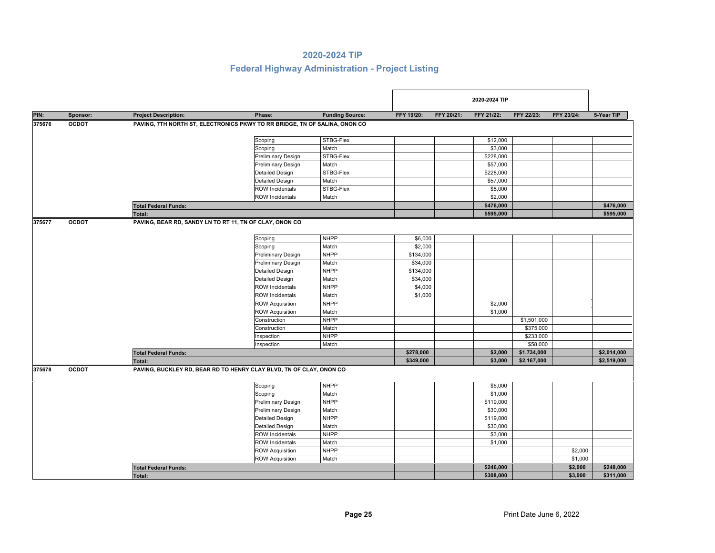|        |              |                                                                            |                           |                        |            |            | 2020-2024 TIP |            |                                                                                                                                 |             |  |
|--------|--------------|----------------------------------------------------------------------------|---------------------------|------------------------|------------|------------|---------------|------------|---------------------------------------------------------------------------------------------------------------------------------|-------------|--|
| PIN:   | Sponsor:     | <b>Project Description:</b>                                                | Phase:                    | <b>Funding Source:</b> | FFY 19/20: | FFY 20/21: | FFY 21/22:    | FFY 22/23: | FFY 23/24:                                                                                                                      | 5-Year TIP  |  |
| 375676 | <b>OCDOT</b> | PAVING, 7TH NORTH ST, ELECTRONICS PKWY TO RR BRIDGE, TN OF SALINA, ONON CO |                           |                        |            |            |               |            |                                                                                                                                 |             |  |
|        |              |                                                                            | Scoping                   | STBG-Flex              |            |            | \$12,000      |            |                                                                                                                                 |             |  |
|        |              |                                                                            | Scoping                   | Match                  |            |            | \$3,000       |            |                                                                                                                                 |             |  |
|        |              |                                                                            | <b>Preliminary Design</b> | STBG-Flex              |            |            | \$228,000     |            |                                                                                                                                 |             |  |
|        |              |                                                                            | <b>Preliminary Design</b> | Match                  |            |            | \$57,000      |            |                                                                                                                                 |             |  |
|        |              |                                                                            | <b>Detailed Design</b>    | STBG-Flex              |            |            | \$228,000     |            |                                                                                                                                 |             |  |
|        |              |                                                                            | <b>Detailed Design</b>    | Match                  |            |            | \$57,000      |            |                                                                                                                                 |             |  |
|        |              |                                                                            | <b>ROW Incidentals</b>    | STBG-Flex              |            |            | \$8,000       |            |                                                                                                                                 |             |  |
|        |              |                                                                            | <b>ROW Incidentals</b>    | Match                  |            |            | \$2,000       |            |                                                                                                                                 |             |  |
|        |              | <b>Total Federal Funds:</b>                                                |                           |                        |            |            | \$476,000     |            |                                                                                                                                 | \$476,000   |  |
|        |              | Total:                                                                     |                           |                        |            |            | \$595,000     |            |                                                                                                                                 | \$595,000   |  |
| 375677 | <b>OCDOT</b> | PAVING, BEAR RD, SANDY LN TO RT 11, TN OF CLAY, ONON CO                    | Scoping                   | <b>NHPP</b>            | \$6,000    |            |               |            |                                                                                                                                 |             |  |
|        |              |                                                                            | Scoping                   | Match                  | \$2,000    |            |               |            |                                                                                                                                 |             |  |
|        |              |                                                                            | <b>Preliminary Design</b> | <b>NHPP</b>            | \$134,000  |            |               |            |                                                                                                                                 |             |  |
|        |              |                                                                            | <b>Preliminary Design</b> | Match                  | \$34,000   |            |               |            |                                                                                                                                 |             |  |
|        |              |                                                                            | <b>Detailed Design</b>    | <b>NHPP</b>            | \$134,000  |            |               |            |                                                                                                                                 |             |  |
|        |              |                                                                            | <b>Detailed Design</b>    | Match                  | \$34,000   |            |               |            |                                                                                                                                 |             |  |
|        |              |                                                                            | <b>ROW Incidentals</b>    | <b>NHPP</b>            | \$4,000    |            |               |            |                                                                                                                                 |             |  |
|        |              |                                                                            | <b>ROW Incidentals</b>    | Match                  | \$1,000    |            |               |            |                                                                                                                                 |             |  |
|        |              |                                                                            | <b>ROW Acquisition</b>    | <b>NHPP</b>            |            |            | \$2,000       |            |                                                                                                                                 |             |  |
|        |              |                                                                            | <b>ROW Acquisition</b>    | Match                  |            |            | \$1,000       |            |                                                                                                                                 |             |  |
|        |              |                                                                            | Construction              | <b>NHPP</b>            |            |            |               |            |                                                                                                                                 |             |  |
|        |              |                                                                            | Construction              | Match                  |            |            |               |            |                                                                                                                                 |             |  |
|        |              |                                                                            | Inspection                | <b>NHPP</b>            |            |            |               |            |                                                                                                                                 |             |  |
|        |              |                                                                            | Inspection                | Match                  |            |            |               |            |                                                                                                                                 |             |  |
|        |              | <b>Total Federal Funds:</b>                                                |                           |                        | \$278,000  |            | \$2,000       |            | \$1,501,000<br>\$375,000<br>\$233,000<br>\$58,000<br>\$1,734,000<br>\$2,014,000<br>\$2,167,000<br>\$2,000<br>\$1,000<br>\$2,000 |             |  |
|        |              | <b>Total:</b>                                                              |                           |                        | \$349,000  |            | \$3,000       |            |                                                                                                                                 | \$2,519,000 |  |
| 375678 | <b>OCDOT</b> | PAVING, BUCKLEY RD, BEAR RD TO HENRY CLAY BLVD, TN OF CLAY, ONON CO        |                           |                        |            |            |               |            |                                                                                                                                 |             |  |
|        |              |                                                                            | Scoping                   | <b>NHPP</b>            |            |            | \$5,000       |            |                                                                                                                                 |             |  |
|        |              |                                                                            | Scoping                   | Match                  |            |            | \$1,000       |            |                                                                                                                                 |             |  |
|        |              |                                                                            | <b>Preliminary Design</b> | <b>NHPP</b>            |            |            | \$119,000     |            |                                                                                                                                 |             |  |
|        |              |                                                                            | <b>Preliminary Design</b> | Match                  |            |            | \$30,000      |            |                                                                                                                                 |             |  |
|        |              |                                                                            | <b>Detailed Design</b>    | <b>NHPP</b>            |            |            | \$119,000     |            |                                                                                                                                 |             |  |
|        |              |                                                                            | <b>Detailed Design</b>    | Match                  |            |            | \$30,000      |            |                                                                                                                                 |             |  |
|        |              |                                                                            | <b>ROW Incidentals</b>    | <b>NHPP</b>            |            |            | \$3,000       |            |                                                                                                                                 |             |  |
|        |              |                                                                            | <b>ROW Incidentals</b>    | Match                  |            |            | \$1,000       |            |                                                                                                                                 |             |  |
|        |              |                                                                            | <b>ROW Acquisition</b>    | <b>NHPP</b>            |            |            |               |            |                                                                                                                                 |             |  |
|        |              |                                                                            | <b>ROW Acquisition</b>    | Match                  |            |            |               |            |                                                                                                                                 |             |  |
|        |              | <b>Total Federal Funds:</b>                                                |                           |                        |            |            | \$246,000     |            |                                                                                                                                 | \$248,000   |  |
|        |              | Total:                                                                     |                           |                        |            |            | \$308,000     |            | \$3,000                                                                                                                         | \$311,000   |  |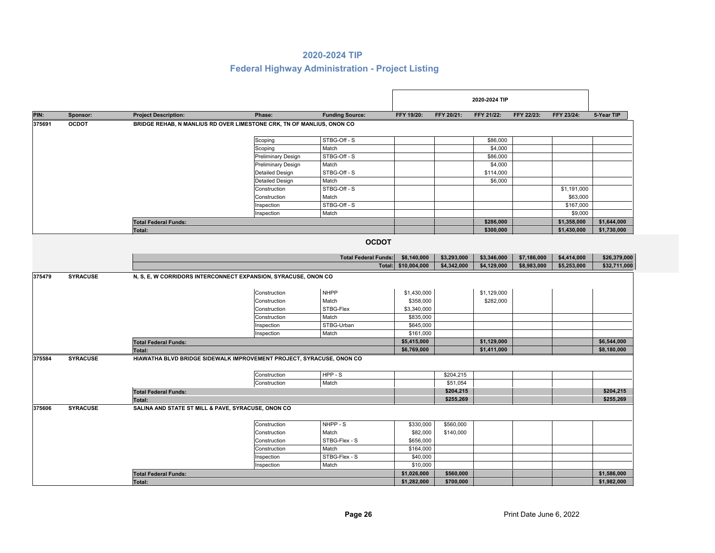| PIN:   | Sponsor:        | <b>Project Description:</b>                                           | Phase:                    | <b>Funding Source:</b>      | FFY 19/20:              | FFY 20/21:  | FFY 21/22:  | FFY 22/23:  | FFY 23/24:                 | 5-Year TIP   |
|--------|-----------------|-----------------------------------------------------------------------|---------------------------|-----------------------------|-------------------------|-------------|-------------|-------------|----------------------------|--------------|
| 375691 | <b>OCDOT</b>    | BRIDGE REHAB, N MANLIUS RD OVER LIMESTONE CRK, TN OF MANLIUS, ONON CO |                           |                             |                         |             |             |             |                            |              |
|        |                 |                                                                       | Scoping                   | STBG-Off-S                  |                         |             | \$86,000    |             |                            |              |
|        |                 |                                                                       | Scoping                   | Match                       |                         |             | \$4,000     |             |                            |              |
|        |                 |                                                                       | <b>Preliminary Design</b> | STBG-Off-S                  |                         |             | \$86,000    |             |                            |              |
|        |                 |                                                                       | Preliminary Design        | Match                       |                         |             | \$4,000     |             |                            |              |
|        |                 |                                                                       | <b>Detailed Design</b>    | STBG-Off-S                  |                         |             | \$114,000   |             |                            |              |
|        |                 |                                                                       | Detailed Design           | Match                       |                         |             | \$6,000     |             |                            |              |
|        |                 |                                                                       | Construction              | STBG-Off-S                  |                         |             |             |             | \$1,191,000                |              |
|        |                 |                                                                       | Construction              | Match                       |                         |             |             |             | \$63,000                   |              |
|        |                 |                                                                       | Inspection                | STBG-Off-S                  |                         |             |             |             | \$167,000                  |              |
|        |                 |                                                                       | Inspection                | Match                       |                         |             |             |             | \$9,000                    |              |
|        |                 | <b>Total Federal Funds:</b>                                           |                           |                             |                         |             | \$286,000   |             | \$1,358,000                | \$1,644,000  |
|        |                 | <b>Total:</b>                                                         |                           |                             |                         |             | \$300,000   |             | \$1,430,000                | \$1,730,000  |
|        |                 |                                                                       |                           | <b>OCDOT</b>                |                         |             |             |             |                            |              |
|        |                 |                                                                       |                           | <b>Total Federal Funds:</b> | \$8,140,000             | \$3,293,000 | \$3,346,000 | \$7,186,000 |                            | \$26,379,000 |
|        |                 |                                                                       |                           | Total:                      | \$10,004,000            | \$4,342,000 | \$4,129,000 | \$8,983,000 |                            | \$32,711,000 |
| 375479 | <b>SYRACUSE</b> | N, S, E, W CORRIDORS INTERCONNECT EXPANSION, SYRACUSE, ONON CO        |                           |                             |                         |             |             |             |                            |              |
|        |                 |                                                                       |                           |                             |                         |             |             |             |                            |              |
|        |                 |                                                                       | Construction              | <b>NHPP</b>                 | \$1,430,000             |             | \$1,129,000 |             |                            |              |
|        |                 |                                                                       | Construction              | Match                       | \$358,000               |             | \$282,000   |             |                            |              |
|        |                 |                                                                       | Construction              | STBG-Flex                   | \$3,340,000             |             |             |             |                            |              |
|        |                 |                                                                       | Construction              | Match                       | \$835,000               |             |             |             |                            |              |
|        |                 |                                                                       | Inspection                | STBG-Urban                  | \$645,000               |             |             |             |                            |              |
|        |                 |                                                                       | Inspection                | Match                       | \$161,000               |             |             |             |                            |              |
|        |                 | <b>Total Federal Funds:</b>                                           |                           |                             | \$5,415,000             |             | \$1,129,000 |             |                            | \$6,544,000  |
|        |                 | Total:                                                                |                           |                             | \$6,769,000             |             | \$1,411,000 |             |                            | \$8,180,000  |
| 375584 | <b>SYRACUSE</b> | HIAWATHA BLVD BRIDGE SIDEWALK IMPROVEMENT PROJECT, SYRACUSE, ONON CO  |                           |                             |                         |             |             |             |                            |              |
|        |                 |                                                                       |                           |                             |                         |             |             |             |                            |              |
|        |                 |                                                                       | Construction              | $HPP-S$                     |                         | \$204,215   |             |             |                            |              |
|        |                 |                                                                       | Construction              | Match                       |                         | \$51,054    |             |             |                            |              |
|        |                 | <b>Total Federal Funds:</b>                                           |                           |                             |                         | \$204,215   |             |             |                            | \$204,215    |
|        |                 |                                                                       |                           |                             |                         | \$255,269   |             |             |                            | \$255,269    |
|        |                 | Total:                                                                |                           |                             |                         |             |             |             | \$4,414,000<br>\$5,253,000 |              |
| 375606 | <b>SYRACUSE</b> | SALINA AND STATE ST MILL & PAVE, SYRACUSE, ONON CO                    |                           |                             |                         |             |             |             |                            |              |
|        |                 |                                                                       |                           |                             |                         |             |             |             |                            |              |
|        |                 |                                                                       | Construction              | NHPP - S                    | \$330,000               | \$560,000   |             |             |                            |              |
|        |                 |                                                                       | Construction              | Match                       | \$82,000                | \$140,000   |             |             |                            |              |
|        |                 |                                                                       | Construction              | STBG-Flex - S               | \$656,000               |             |             |             |                            |              |
|        |                 |                                                                       | Construction              | Match                       | \$164,000               |             |             |             |                            |              |
|        |                 |                                                                       | Inspection                | STBG-Flex - S               | \$40,000                |             |             |             |                            |              |
|        |                 | <b>Total Federal Funds:</b>                                           | Inspection                | Match                       | \$10,000<br>\$1,026,000 | \$560,000   |             |             |                            | \$1,586,000  |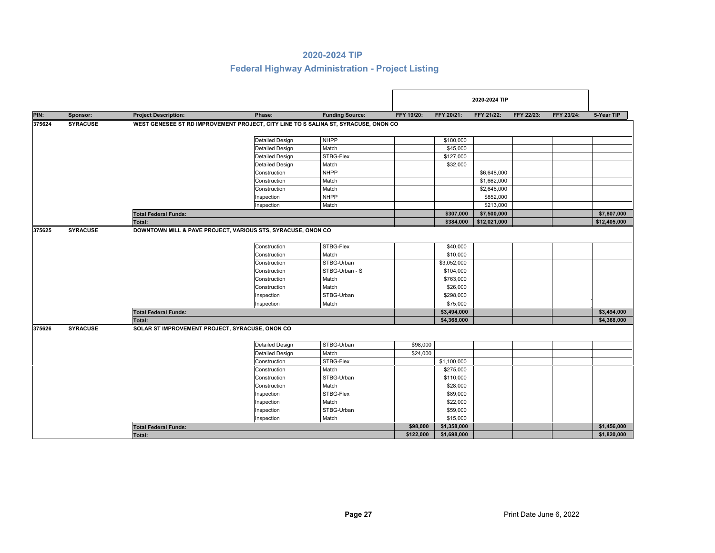|        |                 |                                                                                     |                        |                        |            |             | 2020-2024 TIP                                                                         |            |            |              |
|--------|-----------------|-------------------------------------------------------------------------------------|------------------------|------------------------|------------|-------------|---------------------------------------------------------------------------------------|------------|------------|--------------|
| PIN:   | Sponsor:        | <b>Project Description:</b>                                                         | Phase:                 | <b>Funding Source:</b> | FFY 19/20: | FFY 20/21:  | FFY 21/22:                                                                            | FFY 22/23: | FFY 23/24: | 5-Year TIP   |
| 375624 | <b>SYRACUSE</b> | WEST GENESEE ST RD IMPROVEMENT PROJECT, CITY LINE TO S SALINA ST, SYRACUSE, ONON CO |                        |                        |            |             |                                                                                       |            |            |              |
|        |                 |                                                                                     | <b>Detailed Design</b> | <b>NHPP</b>            |            | \$180,000   |                                                                                       |            |            |              |
|        |                 |                                                                                     | <b>Detailed Design</b> | Match                  |            | \$45,000    |                                                                                       |            |            |              |
|        |                 |                                                                                     | <b>Detailed Design</b> | STBG-Flex              |            | \$127,000   |                                                                                       |            |            |              |
|        |                 |                                                                                     | <b>Detailed Design</b> | Match                  |            | \$32,000    |                                                                                       |            |            |              |
|        |                 |                                                                                     | Construction           | <b>NHPP</b>            |            |             |                                                                                       |            |            |              |
|        |                 |                                                                                     | Construction           | Match                  |            |             |                                                                                       |            |            |              |
|        |                 |                                                                                     | Construction           | Match                  |            |             |                                                                                       |            |            |              |
|        |                 |                                                                                     | Inspection             | <b>NHPP</b>            |            |             | \$852,000                                                                             |            |            |              |
|        |                 |                                                                                     | Inspection             | Match                  |            |             |                                                                                       |            |            |              |
|        |                 | <b>Total Federal Funds:</b>                                                         |                        |                        |            | \$307,000   |                                                                                       |            |            | \$7,807,000  |
|        |                 | Total:                                                                              |                        |                        |            | \$384,000   |                                                                                       |            |            | \$12,405,000 |
| 375625 | <b>SYRACUSE</b> | DOWNTOWN MILL & PAVE PROJECT, VARIOUS STS, SYRACUSE, ONON CO                        |                        |                        |            |             |                                                                                       |            |            |              |
|        |                 |                                                                                     | Construction           | STBG-Flex              |            | \$40,000    |                                                                                       |            |            |              |
|        |                 |                                                                                     | Construction           | Match                  |            | \$10,000    |                                                                                       |            |            |              |
|        |                 |                                                                                     | Construction           | STBG-Urban             |            | \$3,052,000 |                                                                                       |            |            |              |
|        |                 |                                                                                     | Construction           | STBG-Urban - S         |            | \$104,000   |                                                                                       |            |            |              |
|        |                 |                                                                                     | Construction           | Match                  |            | \$763,000   |                                                                                       |            |            |              |
|        |                 |                                                                                     | Construction           | Match                  |            | \$26,000    |                                                                                       |            |            |              |
|        |                 |                                                                                     | Inspection             | STBG-Urban             |            | \$298,000   |                                                                                       |            |            |              |
|        |                 |                                                                                     | Inspection             | Match                  |            | \$75,000    |                                                                                       |            |            |              |
|        |                 | <b>Total Federal Funds:</b>                                                         |                        |                        |            | \$3,494,000 |                                                                                       |            |            | \$3,494,000  |
|        |                 | <b>Total:</b>                                                                       |                        |                        |            | \$4,368,000 | \$6,648,000<br>\$1,662,000<br>\$2,646,000<br>\$213,000<br>\$7,500,000<br>\$12,021,000 |            |            | \$4,368,000  |
| 375626 | <b>SYRACUSE</b> | SOLAR ST IMPROVEMENT PROJECT, SYRACUSE, ONON CO.                                    |                        |                        |            |             |                                                                                       |            |            |              |
|        |                 |                                                                                     | <b>Detailed Design</b> | STBG-Urban             | \$98,000   |             |                                                                                       |            |            |              |
|        |                 |                                                                                     | <b>Detailed Design</b> | Match                  | \$24,000   |             |                                                                                       |            |            |              |
|        |                 |                                                                                     | Construction           | STBG-Flex              |            | \$1,100,000 |                                                                                       |            |            |              |
|        |                 |                                                                                     | Construction           | Match                  |            | \$275,000   |                                                                                       |            |            |              |
|        |                 |                                                                                     | Construction           | STBG-Urban             |            | \$110,000   |                                                                                       |            |            |              |
|        |                 |                                                                                     | Construction           | Match                  |            | \$28,000    |                                                                                       |            |            |              |
|        |                 |                                                                                     | Inspection             | STBG-Flex              |            | \$89,000    |                                                                                       |            |            |              |
|        |                 |                                                                                     | Inspection             | Match                  |            | \$22,000    |                                                                                       |            |            |              |
|        |                 |                                                                                     | Inspection             | STBG-Urban             |            | \$59,000    |                                                                                       |            |            |              |
|        |                 |                                                                                     | Inspection             | Match                  |            | \$15,000    |                                                                                       |            |            |              |
|        |                 | <b>Total Federal Funds:</b>                                                         |                        |                        | \$98,000   | \$1,358,000 |                                                                                       |            |            | \$1,456,000  |
|        |                 | <b>Total:</b>                                                                       |                        |                        | \$122,000  | \$1,698,000 |                                                                                       |            |            | \$1,820,000  |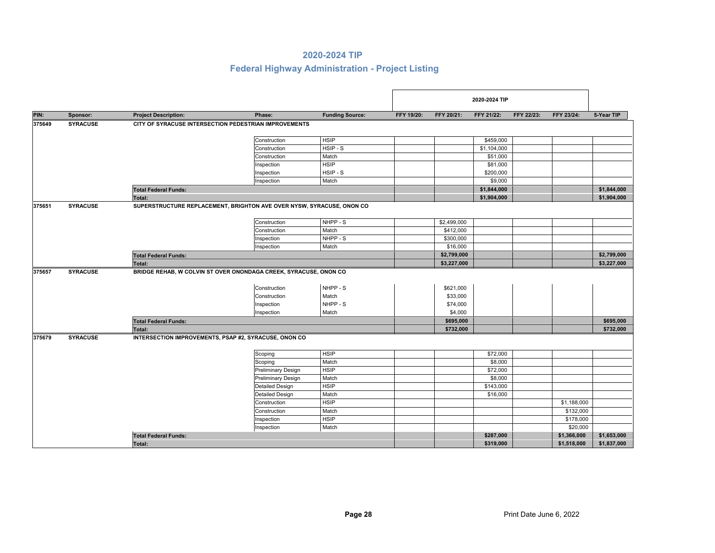|        |                 |                             |                                                                                                                                                                                                                                                                                                                                                                                                                                                                                                                                                                                                                                                                                                                                                                                                                                                                                                                                           |                        |            |                                                                                                                                                                                                                                                                                                                                                                                                 | 2020-2024 TIP |            |             |             |
|--------|-----------------|-----------------------------|-------------------------------------------------------------------------------------------------------------------------------------------------------------------------------------------------------------------------------------------------------------------------------------------------------------------------------------------------------------------------------------------------------------------------------------------------------------------------------------------------------------------------------------------------------------------------------------------------------------------------------------------------------------------------------------------------------------------------------------------------------------------------------------------------------------------------------------------------------------------------------------------------------------------------------------------|------------------------|------------|-------------------------------------------------------------------------------------------------------------------------------------------------------------------------------------------------------------------------------------------------------------------------------------------------------------------------------------------------------------------------------------------------|---------------|------------|-------------|-------------|
| PIN:   | Sponsor:        | <b>Project Description:</b> | Phase:                                                                                                                                                                                                                                                                                                                                                                                                                                                                                                                                                                                                                                                                                                                                                                                                                                                                                                                                    | <b>Funding Source:</b> | FFY 19/20: | FFY 20/21:                                                                                                                                                                                                                                                                                                                                                                                      | FFY 21/22:    | FFY 22/23: | FFY 23/24:  | 5-Year TIP  |
| 375649 | <b>SYRACUSE</b> |                             |                                                                                                                                                                                                                                                                                                                                                                                                                                                                                                                                                                                                                                                                                                                                                                                                                                                                                                                                           |                        |            |                                                                                                                                                                                                                                                                                                                                                                                                 |               |            |             |             |
|        |                 |                             |                                                                                                                                                                                                                                                                                                                                                                                                                                                                                                                                                                                                                                                                                                                                                                                                                                                                                                                                           |                        |            |                                                                                                                                                                                                                                                                                                                                                                                                 |               |            |             |             |
|        |                 |                             |                                                                                                                                                                                                                                                                                                                                                                                                                                                                                                                                                                                                                                                                                                                                                                                                                                                                                                                                           |                        |            | \$459,000<br>\$1,104,000<br>\$51,000<br>\$81,000<br>\$200,000<br>\$9,000<br>\$1,844,000<br>\$1,904,000<br>\$2,499,000<br>\$412,000<br>\$300,000<br>\$16,000<br>\$2,799,000<br>\$3,227,000<br>\$621,000<br>\$33,000<br>\$74,000<br>\$4,000<br>\$695,000<br>\$732,000<br>\$72,000<br>\$8,000<br>\$72,000<br>\$8,000<br>\$143,000<br>\$16,000<br>\$1,188,000<br>\$132,000<br>\$178,000<br>\$20,000 |               |            |             |             |
|        |                 |                             | CITY OF SYRACUSE INTERSECTION PEDESTRIAN IMPROVEMENTS<br><b>HSIP</b><br>Construction<br>HSIP - S<br>Construction<br>Construction<br>Match<br><b>HSIP</b><br>Inspection<br>HSIP-S<br>Inspection<br>Match<br>Inspection<br>\$1,844,000<br>\$1,904,000<br>SUPERSTRUCTURE REPLACEMENT, BRIGHTON AVE OVER NYSW, SYRACUSE, ONON CO<br>NHPP - S<br>Construction<br>Construction<br>Match<br>NHPP - S<br>Inspection<br>Match<br>Inspection<br>BRIDGE REHAB, W COLVIN ST OVER ONONDAGA CREEK, SYRACUSE, ONON CO<br>NHPP - S<br>Construction<br>Construction<br>Match<br>NHPP - S<br>Inspection<br>Inspection<br>Match<br>INTERSECTION IMPROVEMENTS, PSAP #2, SYRACUSE, ONON CO<br><b>HSIP</b><br>Scoping<br>Match<br>Scoping<br><b>HSIP</b><br><b>Preliminary Design</b><br>Match<br><b>Preliminary Design</b><br><b>HSIP</b><br><b>Detailed Design</b><br>Match<br><b>Detailed Design</b><br><b>HSIP</b><br>Construction<br>Match<br>Construction |                        |            |                                                                                                                                                                                                                                                                                                                                                                                                 |               |            |             |             |
|        |                 |                             |                                                                                                                                                                                                                                                                                                                                                                                                                                                                                                                                                                                                                                                                                                                                                                                                                                                                                                                                           |                        |            |                                                                                                                                                                                                                                                                                                                                                                                                 |               |            |             |             |
|        |                 |                             |                                                                                                                                                                                                                                                                                                                                                                                                                                                                                                                                                                                                                                                                                                                                                                                                                                                                                                                                           |                        |            |                                                                                                                                                                                                                                                                                                                                                                                                 |               |            |             |             |
|        |                 |                             |                                                                                                                                                                                                                                                                                                                                                                                                                                                                                                                                                                                                                                                                                                                                                                                                                                                                                                                                           |                        |            |                                                                                                                                                                                                                                                                                                                                                                                                 |               |            |             |             |
|        |                 |                             |                                                                                                                                                                                                                                                                                                                                                                                                                                                                                                                                                                                                                                                                                                                                                                                                                                                                                                                                           |                        |            |                                                                                                                                                                                                                                                                                                                                                                                                 |               |            |             |             |
|        |                 | <b>Total Federal Funds:</b> |                                                                                                                                                                                                                                                                                                                                                                                                                                                                                                                                                                                                                                                                                                                                                                                                                                                                                                                                           |                        |            |                                                                                                                                                                                                                                                                                                                                                                                                 |               |            |             |             |
|        |                 | <b>Total:</b>               |                                                                                                                                                                                                                                                                                                                                                                                                                                                                                                                                                                                                                                                                                                                                                                                                                                                                                                                                           |                        |            |                                                                                                                                                                                                                                                                                                                                                                                                 |               |            |             |             |
| 375651 | <b>SYRACUSE</b> |                             |                                                                                                                                                                                                                                                                                                                                                                                                                                                                                                                                                                                                                                                                                                                                                                                                                                                                                                                                           |                        |            |                                                                                                                                                                                                                                                                                                                                                                                                 |               |            |             |             |
|        |                 |                             |                                                                                                                                                                                                                                                                                                                                                                                                                                                                                                                                                                                                                                                                                                                                                                                                                                                                                                                                           |                        |            |                                                                                                                                                                                                                                                                                                                                                                                                 |               |            |             |             |
|        |                 |                             |                                                                                                                                                                                                                                                                                                                                                                                                                                                                                                                                                                                                                                                                                                                                                                                                                                                                                                                                           |                        |            |                                                                                                                                                                                                                                                                                                                                                                                                 |               |            |             |             |
|        |                 |                             |                                                                                                                                                                                                                                                                                                                                                                                                                                                                                                                                                                                                                                                                                                                                                                                                                                                                                                                                           |                        |            |                                                                                                                                                                                                                                                                                                                                                                                                 |               |            |             |             |
|        |                 |                             |                                                                                                                                                                                                                                                                                                                                                                                                                                                                                                                                                                                                                                                                                                                                                                                                                                                                                                                                           |                        |            |                                                                                                                                                                                                                                                                                                                                                                                                 |               |            |             |             |
|        |                 | <b>Total Federal Funds:</b> |                                                                                                                                                                                                                                                                                                                                                                                                                                                                                                                                                                                                                                                                                                                                                                                                                                                                                                                                           |                        |            |                                                                                                                                                                                                                                                                                                                                                                                                 |               |            |             | \$2,799,000 |
|        |                 | <b>Total:</b>               |                                                                                                                                                                                                                                                                                                                                                                                                                                                                                                                                                                                                                                                                                                                                                                                                                                                                                                                                           |                        |            |                                                                                                                                                                                                                                                                                                                                                                                                 |               |            |             | \$3,227,000 |
| 375657 | <b>SYRACUSE</b> |                             |                                                                                                                                                                                                                                                                                                                                                                                                                                                                                                                                                                                                                                                                                                                                                                                                                                                                                                                                           |                        |            |                                                                                                                                                                                                                                                                                                                                                                                                 |               |            |             |             |
|        |                 |                             |                                                                                                                                                                                                                                                                                                                                                                                                                                                                                                                                                                                                                                                                                                                                                                                                                                                                                                                                           |                        |            |                                                                                                                                                                                                                                                                                                                                                                                                 |               |            |             |             |
|        |                 |                             |                                                                                                                                                                                                                                                                                                                                                                                                                                                                                                                                                                                                                                                                                                                                                                                                                                                                                                                                           |                        |            |                                                                                                                                                                                                                                                                                                                                                                                                 |               |            |             |             |
|        |                 |                             |                                                                                                                                                                                                                                                                                                                                                                                                                                                                                                                                                                                                                                                                                                                                                                                                                                                                                                                                           |                        |            |                                                                                                                                                                                                                                                                                                                                                                                                 |               |            |             |             |
|        |                 |                             |                                                                                                                                                                                                                                                                                                                                                                                                                                                                                                                                                                                                                                                                                                                                                                                                                                                                                                                                           |                        |            |                                                                                                                                                                                                                                                                                                                                                                                                 |               |            |             |             |
|        |                 | <b>Total Federal Funds:</b> |                                                                                                                                                                                                                                                                                                                                                                                                                                                                                                                                                                                                                                                                                                                                                                                                                                                                                                                                           |                        |            |                                                                                                                                                                                                                                                                                                                                                                                                 |               |            |             | \$695,000   |
|        |                 | Total:                      |                                                                                                                                                                                                                                                                                                                                                                                                                                                                                                                                                                                                                                                                                                                                                                                                                                                                                                                                           |                        |            |                                                                                                                                                                                                                                                                                                                                                                                                 |               |            |             | \$732,000   |
| 375679 | <b>SYRACUSE</b> |                             |                                                                                                                                                                                                                                                                                                                                                                                                                                                                                                                                                                                                                                                                                                                                                                                                                                                                                                                                           |                        |            |                                                                                                                                                                                                                                                                                                                                                                                                 |               |            |             |             |
|        |                 |                             |                                                                                                                                                                                                                                                                                                                                                                                                                                                                                                                                                                                                                                                                                                                                                                                                                                                                                                                                           |                        |            |                                                                                                                                                                                                                                                                                                                                                                                                 |               |            |             |             |
|        |                 |                             |                                                                                                                                                                                                                                                                                                                                                                                                                                                                                                                                                                                                                                                                                                                                                                                                                                                                                                                                           |                        |            |                                                                                                                                                                                                                                                                                                                                                                                                 |               |            |             |             |
|        |                 |                             |                                                                                                                                                                                                                                                                                                                                                                                                                                                                                                                                                                                                                                                                                                                                                                                                                                                                                                                                           |                        |            |                                                                                                                                                                                                                                                                                                                                                                                                 |               |            |             |             |
|        |                 |                             |                                                                                                                                                                                                                                                                                                                                                                                                                                                                                                                                                                                                                                                                                                                                                                                                                                                                                                                                           |                        |            |                                                                                                                                                                                                                                                                                                                                                                                                 |               |            |             |             |
|        |                 |                             |                                                                                                                                                                                                                                                                                                                                                                                                                                                                                                                                                                                                                                                                                                                                                                                                                                                                                                                                           |                        |            |                                                                                                                                                                                                                                                                                                                                                                                                 |               |            |             |             |
|        |                 |                             |                                                                                                                                                                                                                                                                                                                                                                                                                                                                                                                                                                                                                                                                                                                                                                                                                                                                                                                                           |                        |            |                                                                                                                                                                                                                                                                                                                                                                                                 |               |            |             |             |
|        |                 |                             |                                                                                                                                                                                                                                                                                                                                                                                                                                                                                                                                                                                                                                                                                                                                                                                                                                                                                                                                           |                        |            |                                                                                                                                                                                                                                                                                                                                                                                                 |               |            |             |             |
|        |                 |                             |                                                                                                                                                                                                                                                                                                                                                                                                                                                                                                                                                                                                                                                                                                                                                                                                                                                                                                                                           |                        |            |                                                                                                                                                                                                                                                                                                                                                                                                 |               |            |             |             |
|        |                 |                             | Inspection                                                                                                                                                                                                                                                                                                                                                                                                                                                                                                                                                                                                                                                                                                                                                                                                                                                                                                                                | <b>HSIP</b>            |            |                                                                                                                                                                                                                                                                                                                                                                                                 |               |            |             |             |
|        |                 |                             | Inspection                                                                                                                                                                                                                                                                                                                                                                                                                                                                                                                                                                                                                                                                                                                                                                                                                                                                                                                                | Match                  |            |                                                                                                                                                                                                                                                                                                                                                                                                 |               |            |             |             |
|        |                 | <b>Total Federal Funds:</b> |                                                                                                                                                                                                                                                                                                                                                                                                                                                                                                                                                                                                                                                                                                                                                                                                                                                                                                                                           |                        |            |                                                                                                                                                                                                                                                                                                                                                                                                 | \$287,000     |            | \$1,366,000 | \$1,653,000 |
|        |                 | Total:                      |                                                                                                                                                                                                                                                                                                                                                                                                                                                                                                                                                                                                                                                                                                                                                                                                                                                                                                                                           |                        |            |                                                                                                                                                                                                                                                                                                                                                                                                 | \$319,000     |            | \$1,518,000 | \$1,837,000 |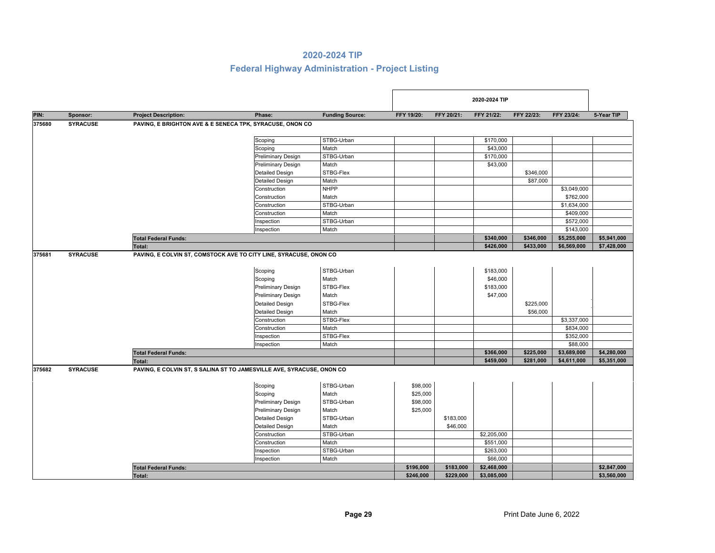|        |                 |                                                                       |                           |                        |            |            | 2020-2024 TIP |            |             |             |
|--------|-----------------|-----------------------------------------------------------------------|---------------------------|------------------------|------------|------------|---------------|------------|-------------|-------------|
| PIN:   | Sponsor:        | <b>Project Description:</b>                                           | Phase:                    | <b>Funding Source:</b> | FFY 19/20: | FFY 20/21: | FFY 21/22:    | FFY 22/23: | FFY 23/24:  | 5-Year TIP  |
| 375680 | <b>SYRACUSE</b> | PAVING, E BRIGHTON AVE & E SENECA TPK, SYRACUSE, ONON CO              |                           |                        |            |            |               |            |             |             |
|        |                 |                                                                       |                           | STBG-Urban             |            |            | \$170,000     |            |             |             |
|        |                 |                                                                       | Scoping<br>Scoping        | Match                  |            |            | \$43,000      |            |             |             |
|        |                 |                                                                       | <b>Preliminary Design</b> | STBG-Urban             |            |            | \$170,000     |            |             |             |
|        |                 |                                                                       | <b>Preliminary Design</b> | Match                  |            |            | \$43,000      |            |             |             |
|        |                 |                                                                       | <b>Detailed Design</b>    | STBG-Flex              |            |            |               | \$346,000  |             |             |
|        |                 |                                                                       | <b>Detailed Design</b>    | Match                  |            |            |               | \$87,000   |             |             |
|        |                 |                                                                       | Construction              | <b>NHPP</b>            |            |            |               |            | \$3,049,000 |             |
|        |                 |                                                                       | Construction              | Match                  |            |            |               |            | \$762,000   |             |
|        |                 |                                                                       | Construction              | STBG-Urban             |            |            |               |            | \$1,634,000 |             |
|        |                 |                                                                       | Construction              | Match                  |            |            |               |            | \$409,000   |             |
|        |                 |                                                                       | Inspection                | STBG-Urban             |            |            |               |            | \$572,000   |             |
|        |                 |                                                                       | Inspection                | Match                  |            |            |               |            | \$143,000   |             |
|        |                 | <b>Total Federal Funds:</b>                                           |                           |                        |            |            | \$340,000     | \$346,000  | \$5,255,000 | \$5,941,000 |
|        |                 | <b>Total:</b>                                                         |                           |                        |            |            | \$426,000     | \$433,000  | \$6,569,000 | \$7,428,000 |
| 375681 | <b>SYRACUSE</b> | PAVING, E COLVIN ST, COMSTOCK AVE TO CITY LINE, SYRACUSE, ONON CO     |                           |                        |            |            |               |            |             |             |
|        |                 |                                                                       |                           |                        |            |            |               |            |             |             |
|        |                 |                                                                       | Scoping                   | STBG-Urban             |            |            | \$183,000     |            |             |             |
|        |                 |                                                                       | Scoping                   | Match                  |            |            | \$46,000      |            |             |             |
|        |                 |                                                                       | <b>Preliminary Design</b> | STBG-Flex              |            |            | \$183,000     |            |             |             |
|        |                 |                                                                       | <b>Preliminary Design</b> | Match                  |            |            | \$47,000      |            |             |             |
|        |                 |                                                                       | <b>Detailed Design</b>    | STBG-Flex              |            |            |               | \$225,000  |             |             |
|        |                 |                                                                       | <b>Detailed Design</b>    | Match                  |            |            |               | \$56,000   |             |             |
|        |                 |                                                                       | Construction              | STBG-Flex              |            |            |               |            | \$3,337,000 |             |
|        |                 |                                                                       | Construction              | Match                  |            |            |               |            | \$834,000   |             |
|        |                 |                                                                       | Inspection                | STBG-Flex              |            |            |               |            | \$352,000   |             |
|        |                 |                                                                       | Inspection                | Match                  |            |            |               |            | \$88,000    |             |
|        |                 | <b>Total Federal Funds:</b>                                           |                           |                        |            |            | \$366,000     | \$225,000  | \$3,689,000 | \$4,280,000 |
|        |                 | Total:                                                                |                           |                        |            |            | \$459,000     | \$281,000  | \$4,611,000 | \$5,351,000 |
| 375682 | <b>SYRACUSE</b> | PAVING, E COLVIN ST, S SALINA ST TO JAMESVILLE AVE, SYRACUSE, ONON CO |                           |                        |            |            |               |            |             |             |
|        |                 |                                                                       |                           |                        |            |            |               |            |             |             |
|        |                 |                                                                       | Scoping                   | STBG-Urban             | \$98,000   |            |               |            |             |             |
|        |                 |                                                                       | Scoping                   | Match                  | \$25,000   |            |               |            |             |             |
|        |                 |                                                                       | <b>Preliminary Design</b> | STBG-Urban             | \$98,000   |            |               |            |             |             |
|        |                 |                                                                       | <b>Preliminary Design</b> | Match                  | \$25,000   |            |               |            |             |             |
|        |                 |                                                                       | <b>Detailed Design</b>    | STBG-Urban             |            | \$183,000  |               |            |             |             |
|        |                 |                                                                       | <b>Detailed Design</b>    | Match                  |            | \$46,000   |               |            |             |             |
|        |                 |                                                                       | Construction              | STBG-Urban             |            |            | \$2,205,000   |            |             |             |
|        |                 |                                                                       | Construction              | Match                  |            |            | \$551,000     |            |             |             |
|        |                 |                                                                       | Inspection                | STBG-Urban             |            |            | \$263,000     |            |             |             |
|        |                 |                                                                       | Inspection                | Match                  |            |            | \$66,000      |            |             |             |
|        |                 | <b>Total Federal Funds:</b>                                           |                           |                        | \$196,000  | \$183,000  | \$2,468,000   |            |             | \$2,847,000 |
|        |                 | Total:                                                                |                           |                        | \$246,000  | \$229,000  | \$3,085,000   |            |             | \$3,560,000 |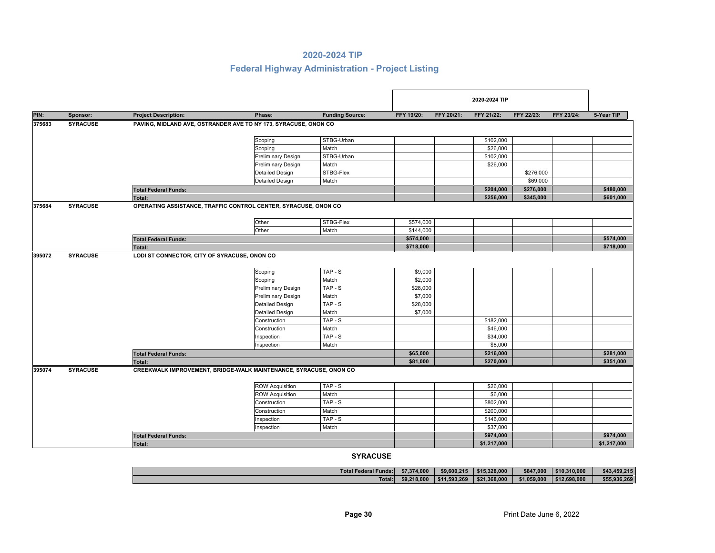## **Federal Highway Administration - Project Listing**

|        |                 |                                              | 2020-2024 TIP                                                     |                        |            |                                                                                                                                                                                                                                                                                                             |            |            |            |             |
|--------|-----------------|----------------------------------------------|-------------------------------------------------------------------|------------------------|------------|-------------------------------------------------------------------------------------------------------------------------------------------------------------------------------------------------------------------------------------------------------------------------------------------------------------|------------|------------|------------|-------------|
| PIN:   | Sponsor:        | <b>Project Description:</b>                  | Phase:                                                            | <b>Funding Source:</b> | FFY 19/20: | FFY 20/21:                                                                                                                                                                                                                                                                                                  | FFY 21/22: | FFY 22/23: | FFY 23/24: | 5-Year TIP  |
| 375683 | <b>SYRACUSE</b> |                                              | PAVING, MIDLAND AVE, OSTRANDER AVE TO NY 173, SYRACUSE, ONON CO   |                        |            |                                                                                                                                                                                                                                                                                                             |            |            |            |             |
|        |                 |                                              |                                                                   |                        |            |                                                                                                                                                                                                                                                                                                             |            |            |            |             |
|        |                 |                                              | Scoping                                                           | STBG-Urban             |            |                                                                                                                                                                                                                                                                                                             |            |            |            |             |
|        |                 |                                              | Scoping                                                           | Match                  |            |                                                                                                                                                                                                                                                                                                             |            |            |            |             |
|        |                 |                                              | <b>Preliminary Design</b>                                         | STBG-Urban             |            | \$102,000<br>\$26,000<br>\$102,000<br>\$26,000<br>\$276,000<br>\$69,000<br>\$204,000<br>\$276,000<br>\$256,000<br>\$345,000<br>\$182,000<br>\$46,000<br>\$34,000<br>\$8,000<br>\$216,000<br>\$270,000<br>\$26,000<br>\$6,000<br>\$802,000<br>\$200,000<br>\$146,000<br>\$37,000<br>\$974,000<br>\$1,217,000 |            |            |            |             |
|        |                 |                                              | <b>Preliminary Design</b>                                         | Match                  |            |                                                                                                                                                                                                                                                                                                             |            |            |            |             |
|        |                 |                                              | <b>Detailed Design</b>                                            | STBG-Flex              |            |                                                                                                                                                                                                                                                                                                             |            |            |            |             |
|        |                 |                                              | <b>Detailed Design</b>                                            | Match                  |            |                                                                                                                                                                                                                                                                                                             |            |            |            |             |
|        |                 | <b>Total Federal Funds:</b>                  |                                                                   |                        |            |                                                                                                                                                                                                                                                                                                             |            |            |            | \$480,000   |
|        |                 | Total:                                       |                                                                   |                        |            |                                                                                                                                                                                                                                                                                                             |            |            |            | \$601,000   |
| 375684 | <b>SYRACUSE</b> |                                              | OPERATING ASSISTANCE, TRAFFIC CONTROL CENTER, SYRACUSE, ONON CO   |                        |            |                                                                                                                                                                                                                                                                                                             |            |            |            |             |
|        |                 |                                              | Other                                                             | STBG-Flex              | \$574,000  |                                                                                                                                                                                                                                                                                                             |            |            |            |             |
|        |                 |                                              | Other                                                             | Match                  | \$144,000  |                                                                                                                                                                                                                                                                                                             |            |            |            |             |
|        |                 | <b>Total Federal Funds:</b>                  |                                                                   |                        | \$574,000  |                                                                                                                                                                                                                                                                                                             |            |            |            | \$574,000   |
|        |                 | Total:                                       |                                                                   |                        | \$718,000  |                                                                                                                                                                                                                                                                                                             |            |            |            | \$718,000   |
|        | <b>SYRACUSE</b> | LODI ST CONNECTOR, CITY OF SYRACUSE, ONON CO |                                                                   |                        |            |                                                                                                                                                                                                                                                                                                             |            |            |            |             |
|        |                 |                                              |                                                                   |                        |            |                                                                                                                                                                                                                                                                                                             |            |            |            |             |
|        |                 |                                              | Scoping                                                           | TAP-S                  | \$9,000    |                                                                                                                                                                                                                                                                                                             |            |            |            |             |
|        |                 |                                              | Scoping                                                           | Match                  | \$2,000    |                                                                                                                                                                                                                                                                                                             |            |            |            |             |
|        |                 |                                              | <b>Preliminary Design</b>                                         | TAP-S                  | \$28,000   |                                                                                                                                                                                                                                                                                                             |            |            |            |             |
|        |                 |                                              | <b>Preliminary Design</b>                                         | Match                  | \$7,000    |                                                                                                                                                                                                                                                                                                             |            |            |            |             |
| 395072 |                 |                                              | <b>Detailed Design</b>                                            | TAP-S                  | \$28,000   |                                                                                                                                                                                                                                                                                                             |            |            |            |             |
|        |                 |                                              | <b>Detailed Design</b>                                            | Match                  | \$7,000    |                                                                                                                                                                                                                                                                                                             |            |            |            |             |
|        |                 |                                              | Construction                                                      | $TAP-S$                |            |                                                                                                                                                                                                                                                                                                             |            |            |            |             |
|        |                 |                                              | Construction                                                      | Match                  |            |                                                                                                                                                                                                                                                                                                             |            |            |            |             |
|        |                 |                                              | Inspection                                                        | TAP-S                  |            |                                                                                                                                                                                                                                                                                                             |            |            |            |             |
|        |                 |                                              | Inspection                                                        | Match                  |            |                                                                                                                                                                                                                                                                                                             |            |            |            |             |
|        |                 | <b>Total Federal Funds:</b>                  |                                                                   |                        | \$65,000   |                                                                                                                                                                                                                                                                                                             |            |            |            | \$281,000   |
|        |                 | Total:                                       |                                                                   |                        | \$81,000   |                                                                                                                                                                                                                                                                                                             |            |            |            | \$351,000   |
| 395074 | <b>SYRACUSE</b> |                                              | CREEKWALK IMPROVEMENT, BRIDGE-WALK MAINTENANCE, SYRACUSE, ONON CO |                        |            |                                                                                                                                                                                                                                                                                                             |            |            |            |             |
|        |                 |                                              |                                                                   |                        |            |                                                                                                                                                                                                                                                                                                             |            |            |            |             |
|        |                 |                                              | <b>ROW Acquisition</b>                                            | TAP-S                  |            |                                                                                                                                                                                                                                                                                                             |            |            |            |             |
|        |                 |                                              | <b>ROW Acquisition</b>                                            | Match                  |            |                                                                                                                                                                                                                                                                                                             |            |            |            |             |
|        |                 |                                              | Construction                                                      | TAP-S                  |            |                                                                                                                                                                                                                                                                                                             |            |            |            |             |
|        |                 |                                              | Construction                                                      | Match                  |            |                                                                                                                                                                                                                                                                                                             |            |            |            |             |
|        |                 |                                              | Inspection                                                        | TAP-S                  |            |                                                                                                                                                                                                                                                                                                             |            |            |            |             |
|        |                 |                                              | Inspection                                                        | Match                  |            |                                                                                                                                                                                                                                                                                                             |            |            |            |             |
|        |                 | <b>Total Federal Funds:</b>                  |                                                                   |                        |            |                                                                                                                                                                                                                                                                                                             |            |            |            | \$974,000   |
|        |                 | Total:                                       |                                                                   |                        |            |                                                                                                                                                                                                                                                                                                             |            |            |            | \$1,217,000 |

**Total: \$9,218,000 \$11,593,269 \$21,368,000 \$1,059,000 \$12,698,000 \$55,936,269 Total Federal Funds:\$7,374,000 \$9,600,215 \$15,328,000 \$847,000 \$10,310,000 \$43,459,215**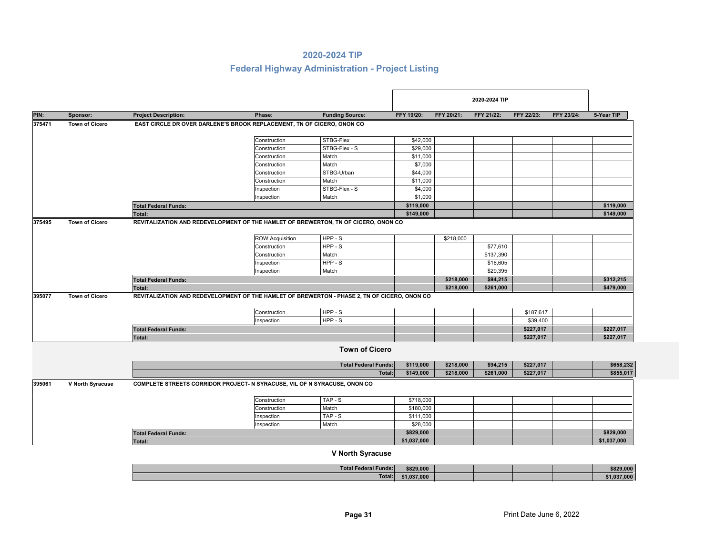## **Federal Highway Administration - Project Listing**

|        |                       |                                                                                              |                        |                             |             |            | 2020-2024 TIP |            |            |             |
|--------|-----------------------|----------------------------------------------------------------------------------------------|------------------------|-----------------------------|-------------|------------|---------------|------------|------------|-------------|
| PIN:   | Sponsor:              | <b>Project Description:</b>                                                                  | Phase:                 | <b>Funding Source:</b>      | FFY 19/20:  | FFY 20/21: | FFY 21/22:    | FFY 22/23: | FFY 23/24: | 5-Year TIP  |
| 375471 | <b>Town of Cicero</b> | EAST CIRCLE DR OVER DARLENE'S BROOK REPLACEMENT, TN OF CICERO, ONON CO                       |                        |                             |             |            |               |            |            |             |
|        |                       |                                                                                              | Construction           | STBG-Flex                   | \$42,000    |            |               |            |            |             |
|        |                       |                                                                                              | Construction           | STBG-Flex - S               | \$29,000    |            |               |            |            |             |
|        |                       |                                                                                              | Construction           | Match                       | \$11,000    |            |               |            |            |             |
|        |                       |                                                                                              | Construction           | Match                       | \$7,000     |            |               |            |            |             |
|        |                       |                                                                                              | Construction           | STBG-Urban                  | \$44,000    |            |               |            |            |             |
|        |                       |                                                                                              | Construction           | Match                       | \$11,000    |            |               |            |            |             |
|        |                       |                                                                                              | Inspection             | STBG-Flex - S               | \$4,000     |            |               |            |            |             |
|        |                       |                                                                                              | Inspection             | Match                       | \$1,000     |            |               |            |            |             |
|        |                       | <b>Total Federal Funds:</b>                                                                  |                        |                             | \$119,000   |            |               |            |            | \$119,000   |
|        |                       | <b>Total:</b>                                                                                |                        |                             | \$149,000   |            |               |            |            | \$149,000   |
| 375495 | <b>Town of Cicero</b> | REVITALIZATION AND REDEVELOPMENT OF THE HAMLET OF BREWERTON, TN OF CICERO, ONON CO           |                        |                             |             |            |               |            |            |             |
|        |                       |                                                                                              | <b>ROW Acquisition</b> | HPP-S                       |             | \$218,000  |               |            |            |             |
|        |                       |                                                                                              | Construction           | HPP-S                       |             |            | \$77,610      |            |            |             |
|        |                       |                                                                                              | Construction           | Match                       |             |            | \$137,390     |            |            |             |
|        |                       |                                                                                              | Inspection             | HPP-S                       |             |            | \$16,605      |            |            |             |
|        |                       |                                                                                              | Inspection             | Match                       |             |            | \$29,395      |            |            |             |
|        |                       | <b>Total Federal Funds:</b>                                                                  |                        |                             |             | \$218,000  | \$94,215      |            |            | \$312,215   |
|        |                       | Total:                                                                                       |                        |                             |             | \$218,000  | \$261,000     |            |            | \$479,000   |
| 395077 | <b>Town of Cicero</b> | REVITALIZATION AND REDEVELOPMENT OF THE HAMLET OF BREWERTON - PHASE 2, TN OF CICERO, ONON CO |                        |                             |             |            |               |            |            |             |
|        |                       |                                                                                              | Construction           | HPP-S                       |             |            |               | \$187,617  |            |             |
|        |                       |                                                                                              | Inspection             | HPP-S                       |             |            |               | \$39,400   |            |             |
|        |                       | <b>Total Federal Funds:</b>                                                                  |                        |                             |             |            |               | \$227,017  |            | \$227,017   |
|        |                       | Total:                                                                                       |                        |                             |             |            |               | \$227,017  |            | \$227,017   |
|        |                       |                                                                                              |                        | <b>Town of Cicero</b>       |             |            |               |            |            |             |
|        |                       |                                                                                              |                        | <b>Total Federal Funds:</b> | \$119,000   | \$218,000  | \$94,215      | \$227,017  |            | \$658,232   |
|        |                       |                                                                                              |                        | Total:                      | \$149,000   | \$218,000  | \$261,000     | \$227,017  |            | \$855,017   |
| 395061 | V North Syracuse      | COMPLETE STREETS CORRIDOR PROJECT- N SYRACUSE, VIL OF N SYRACUSE, ONON CO                    |                        |                             |             |            |               |            |            |             |
|        |                       |                                                                                              | Construction           | TAP-S                       | \$718,000   |            |               |            |            |             |
|        |                       |                                                                                              | Construction           | Match                       | \$180,000   |            |               |            |            |             |
|        |                       |                                                                                              | Inspection             | TAP-S                       | \$111,000   |            |               |            |            |             |
|        |                       |                                                                                              | Inspection             | Match                       | \$28,000    |            |               |            |            |             |
|        |                       | <b>Total Federal Funds:</b>                                                                  |                        |                             | \$829,000   |            |               |            |            | \$829,000   |
|        |                       | Total:                                                                                       |                        |                             | \$1,037,000 |            |               |            |            | \$1,037,000 |

#### **V North Syracuse**

| <b>Total Federal Funds:</b> | \$829,000   |  | \$829,000 |
|-----------------------------|-------------|--|-----------|
| Total:                      | \$1,037,000 |  | 37.000    |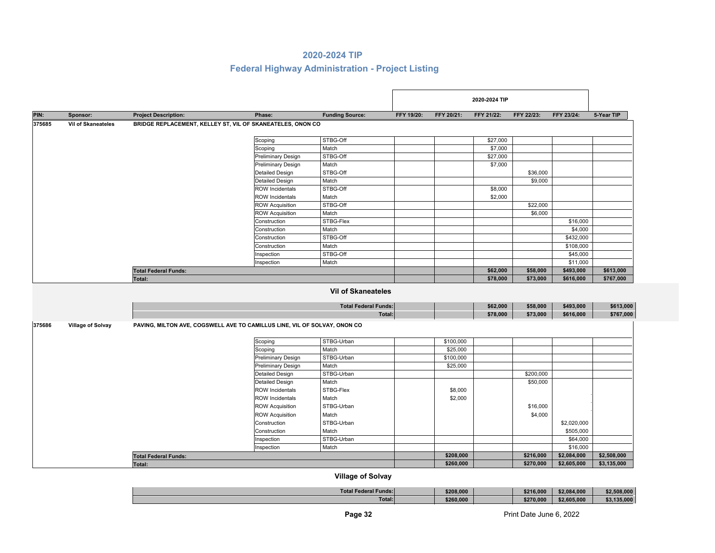# **Federal Highway Administration - Project Listing**

|        |                           |                                                                           |                           |                                                          |            |            | 2020-2024 TIP |            |             |             |
|--------|---------------------------|---------------------------------------------------------------------------|---------------------------|----------------------------------------------------------|------------|------------|---------------|------------|-------------|-------------|
| PIN:   | Sponsor:                  | <b>Project Description:</b>                                               | Phase:                    | <b>Funding Source:</b>                                   | FFY 19/20: | FFY 20/21: | FFY 21/22:    | FFY 22/23: | FFY 23/24:  | 5-Year TIP  |
| 375685 | <b>Vil of Skaneateles</b> | BRIDGE REPLACEMENT, KELLEY ST, VIL OF SKANEATELES, ONON CO                |                           |                                                          |            |            |               |            |             |             |
|        |                           |                                                                           |                           |                                                          |            |            |               |            |             |             |
|        |                           |                                                                           | Scoping                   | STBG-Off                                                 |            |            | \$27,000      |            |             |             |
|        |                           |                                                                           | Scoping                   | Match                                                    |            |            | \$7,000       |            |             |             |
|        |                           |                                                                           | <b>Preliminary Design</b> | STBG-Off                                                 |            |            | \$27,000      |            |             |             |
|        |                           |                                                                           | <b>Preliminary Design</b> | Match                                                    |            |            | \$7,000       |            |             |             |
|        |                           |                                                                           | <b>Detailed Design</b>    | STBG-Off                                                 |            |            |               | \$36,000   |             |             |
|        |                           |                                                                           | <b>Detailed Design</b>    | Match                                                    |            |            |               | \$9,000    |             |             |
|        |                           |                                                                           | <b>ROW</b> Incidentals    | STBG-Off                                                 |            |            | \$8,000       |            |             |             |
|        |                           |                                                                           | <b>ROW Incidentals</b>    | Match                                                    |            |            | \$2,000       |            |             |             |
|        |                           |                                                                           | <b>ROW Acquisition</b>    | STBG-Off                                                 |            |            |               | \$22,000   |             |             |
|        |                           |                                                                           | <b>ROW Acquisition</b>    | Match                                                    |            |            |               | \$6,000    |             |             |
|        |                           |                                                                           | Construction              | STBG-Flex                                                |            |            |               |            | \$16,000    |             |
|        |                           |                                                                           | Construction              | Match                                                    |            |            |               |            | \$4,000     |             |
|        |                           |                                                                           | Construction              | STBG-Off                                                 |            |            |               |            | \$432,000   |             |
|        |                           |                                                                           | Construction              | Match                                                    |            |            |               |            | \$108,000   |             |
|        |                           |                                                                           | Inspection                | STBG-Off                                                 |            |            |               |            | \$45,000    |             |
|        |                           |                                                                           | Inspection                | Match                                                    |            |            |               |            | \$11,000    |             |
|        |                           | <b>Total Federal Funds:</b>                                               |                           |                                                          |            |            | \$62,000      | \$58,000   | \$493,000   | \$613,000   |
|        |                           | Total:                                                                    |                           |                                                          |            |            | \$78,000      | \$73,000   | \$616,000   | \$767,000   |
|        |                           |                                                                           |                           | <b>Vil of Skaneateles</b><br><b>Total Federal Funds:</b> |            |            | \$62,000      | \$58,000   | \$493,000   | \$613,000   |
|        |                           |                                                                           |                           | Total:                                                   |            |            | \$78,000      | \$73,000   | \$616,000   | \$767,000   |
|        |                           |                                                                           |                           |                                                          |            |            |               |            |             |             |
| 375686 | <b>Village of Solvay</b>  | PAVING, MILTON AVE, COGSWELL AVE TO CAMILLUS LINE, VIL OF SOLVAY, ONON CO |                           |                                                          |            |            |               |            |             |             |
|        |                           |                                                                           | Scoping                   | STBG-Urban                                               |            | \$100,000  |               |            |             |             |
|        |                           |                                                                           | Scoping                   | Match                                                    |            | \$25,000   |               |            |             |             |
|        |                           |                                                                           | <b>Preliminary Design</b> | STBG-Urban                                               |            | \$100,000  |               |            |             |             |
|        |                           |                                                                           | <b>Preliminary Design</b> | Match                                                    |            | \$25,000   |               |            |             |             |
|        |                           |                                                                           | <b>Detailed Design</b>    | STBG-Urban                                               |            |            |               | \$200,000  |             |             |
|        |                           |                                                                           | <b>Detailed Design</b>    | Match                                                    |            |            |               | \$50,000   |             |             |
|        |                           |                                                                           | <b>ROW Incidentals</b>    | STBG-Flex                                                |            | \$8,000    |               |            |             |             |
|        |                           |                                                                           | <b>ROW Incidentals</b>    | Match                                                    |            | \$2,000    |               |            |             |             |
|        |                           |                                                                           | <b>ROW Acquisition</b>    | STBG-Urban                                               |            |            |               | \$16,000   |             |             |
|        |                           |                                                                           | <b>ROW Acquisition</b>    | Match                                                    |            |            |               | \$4,000    |             |             |
|        |                           |                                                                           | Construction              | STBG-Urban                                               |            |            |               |            | \$2,020,000 |             |
|        |                           |                                                                           | Construction              | Match                                                    |            |            |               |            | \$505,000   |             |
|        |                           |                                                                           | Inspection                | STBG-Urban                                               |            |            |               |            | \$64,000    |             |
|        |                           |                                                                           | Inspection                | Match                                                    |            |            |               |            | \$16,000    |             |
|        |                           | <b>Total Federal Funds:</b>                                               |                           |                                                          |            | \$208,000  |               | \$216,000  | \$2,084,000 | \$2,508,000 |
|        |                           |                                                                           |                           |                                                          |            | \$260,000  |               | \$270,000  | \$2,605,000 | \$3,135,000 |
|        |                           | Total:                                                                    |                           |                                                          |            |            |               |            |             |             |

## **Village of Solvay**

| <b>Total Federal Funds:</b> | \$208,000 | \$216,000 | \$2.084.000 | ,000.80 |
|-----------------------------|-----------|-----------|-------------|---------|
| Total:                      | \$260,000 | \$270.000 | \$2,605.000 | 135.000 |